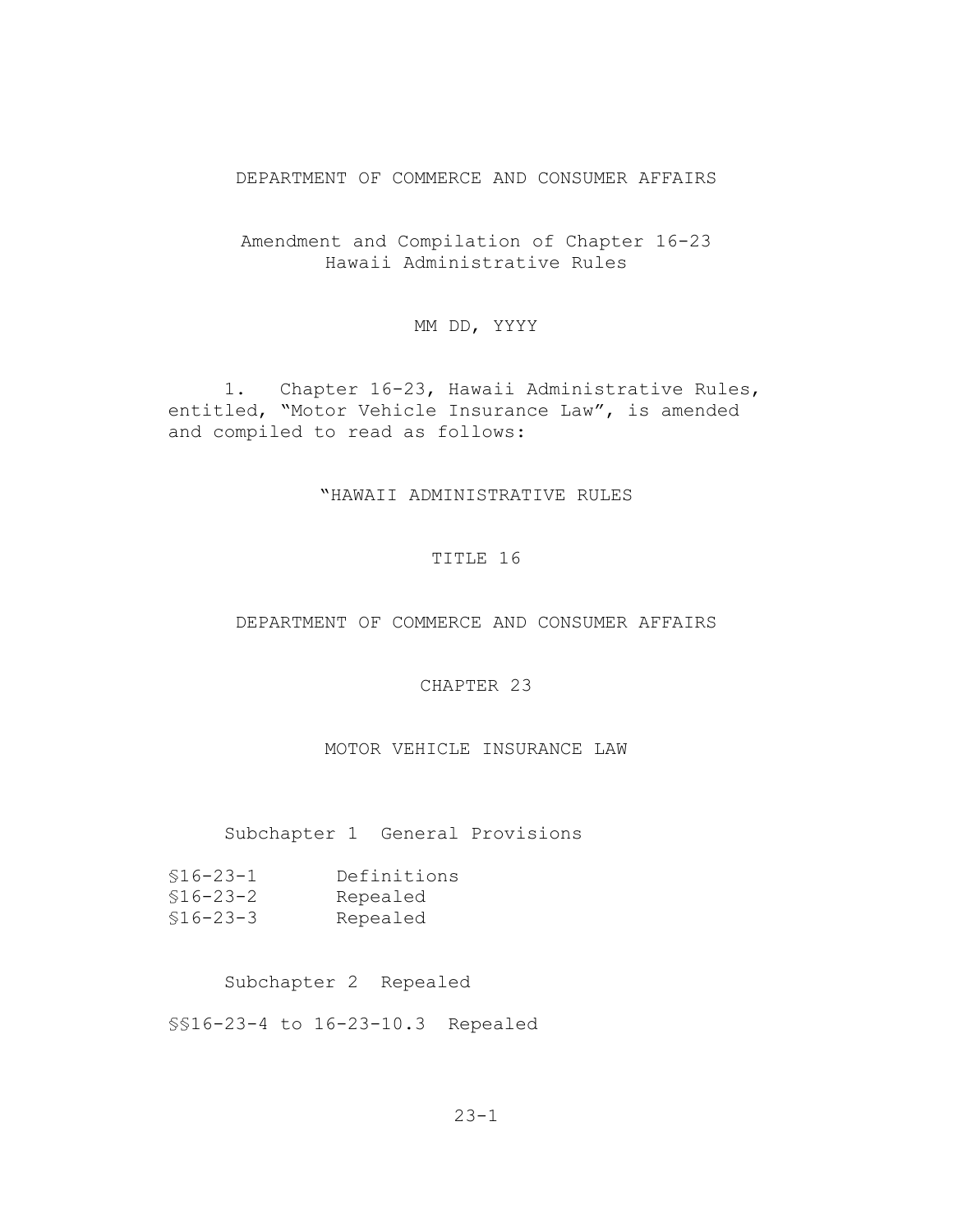#### DEPARTMENT OF COMMERCE AND CONSUMER AFFAIRS

Amendment and Compilation of Chapter 16-23 Hawaii Administrative Rules

MM DD, YYYY

1. Chapter 16-23, Hawaii Administrative Rules, entitled, "Motor Vehicle Insurance Law", is amended and compiled to read as follows:

### "HAWAII ADMINISTRATIVE RULES

#### TITLE 16

#### DEPARTMENT OF COMMERCE AND CONSUMER AFFAIRS

# CHAPTER 23

### MOTOR VEHICLE INSURANCE LAW

### Subchapter 1 General Provisions

| $$16 - 23 - 1$ | Definitions |
|----------------|-------------|
| $$16-23-2$     | Repealed    |
| $$16-23-3$     | Repealed    |

#### Subchapter 2 Repealed

§§16-23-4 to 16-23-10.3 Repealed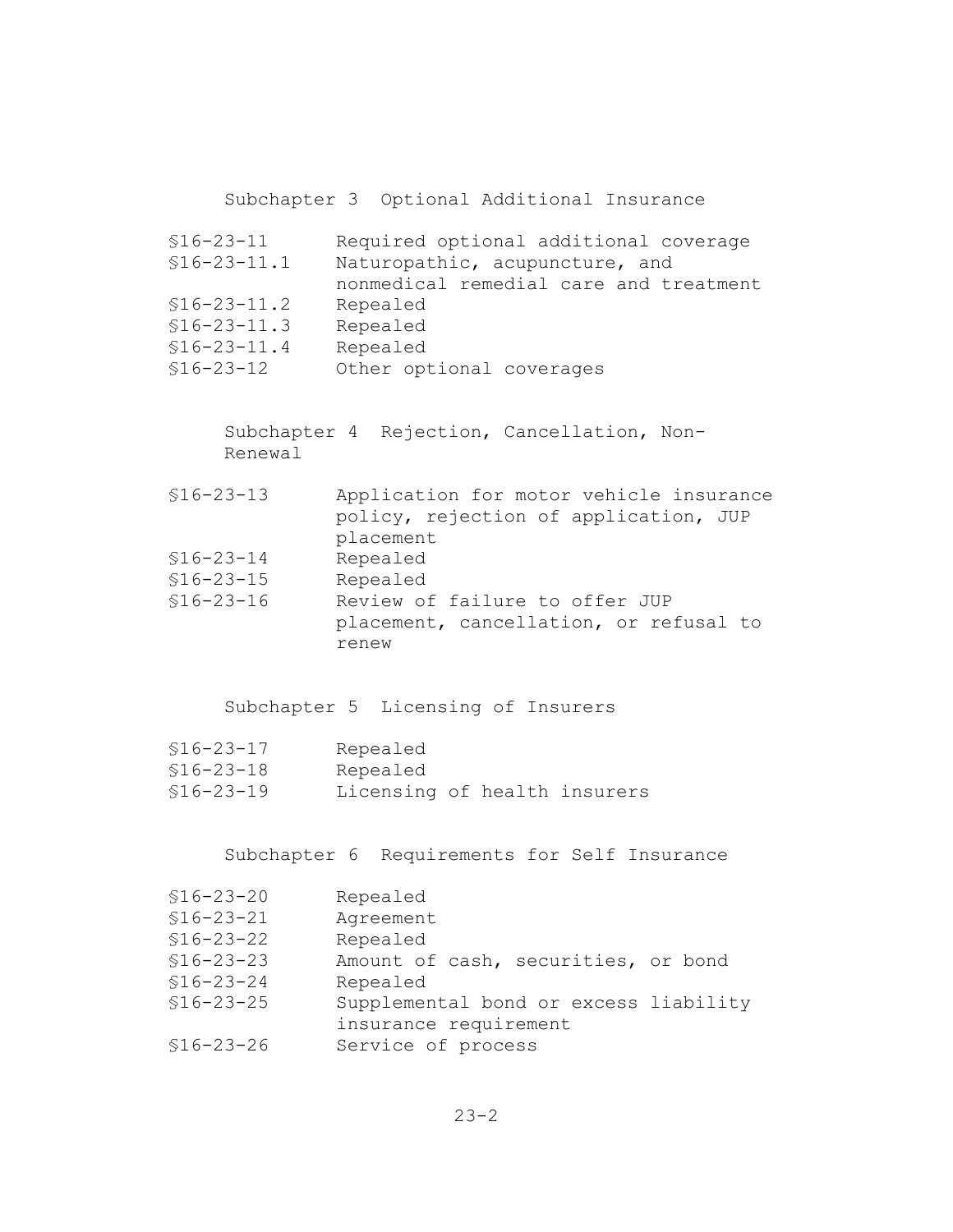Subchapter 3 Optional Additional Insurance

§16-23-11 Required optional additional coverage §16-23-11.1 Naturopathic, acupuncture, and nonmedical remedial care and treatment §16-23-11.2 Repealed §16-23-11.3 Repealed §16-23-11.4 Repealed §16-23-12 Other optional coverages

Subchapter 4 Rejection, Cancellation, Non-Renewal

- §16-23-13 Application for motor vehicle insurance policy, rejection of application, JUP placement §16-23-14 Repealed
- §16-23-15 Repealed
- §16-23-16 Review of failure to offer JUP placement, cancellation, or refusal to renew

Subchapter 5 Licensing of Insurers

| $$16 - 23 - 17$ | Repealed                     |  |  |
|-----------------|------------------------------|--|--|
| $$16 - 23 - 18$ | Repealed                     |  |  |
| $$16 - 23 - 19$ | Licensing of health insurers |  |  |

Subchapter 6 Requirements for Self Insurance

| $$16 - 23 - 20$ | Repealed                              |  |
|-----------------|---------------------------------------|--|
| $$16 - 23 - 21$ | Agreement                             |  |
| $$16 - 23 - 22$ | Repealed                              |  |
| $$16 - 23 - 23$ | Amount of cash, securities, or bond   |  |
| $$16 - 23 - 24$ | Repealed                              |  |
| $$16 - 23 - 25$ | Supplemental bond or excess liability |  |
|                 | insurance requirement                 |  |
| $$16 - 23 - 26$ | Service of process                    |  |
|                 |                                       |  |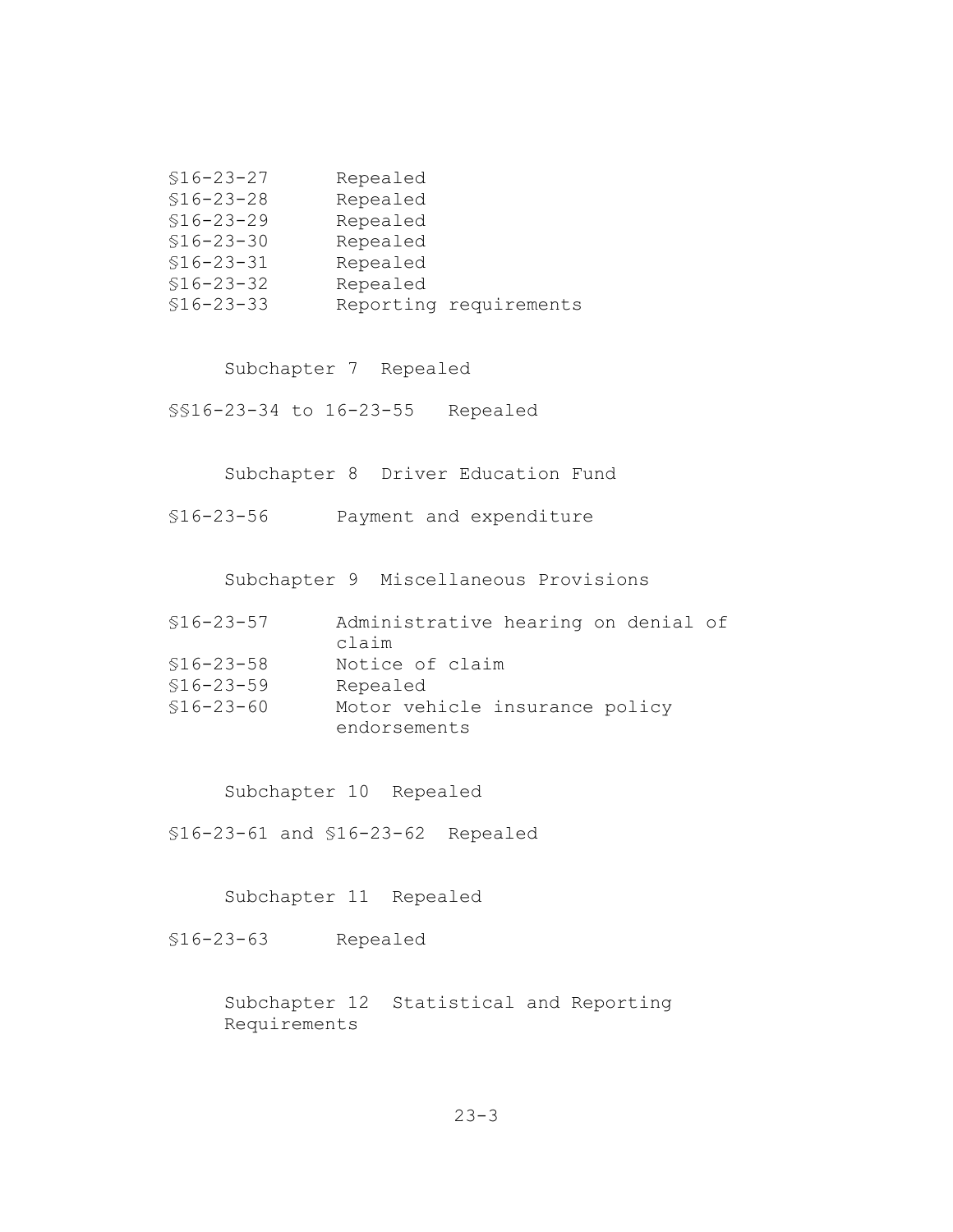| $$16 - 23 - 27$ | Repealed |                        |  |
|-----------------|----------|------------------------|--|
| $$16 - 23 - 28$ | Repealed |                        |  |
| $$16 - 23 - 29$ | Repealed |                        |  |
| $$16 - 23 - 30$ | Repealed |                        |  |
| $$16 - 23 - 31$ | Repealed |                        |  |
| $$16 - 23 - 32$ | Repealed |                        |  |
| $$16 - 23 - 33$ |          | Reporting requirements |  |

Subchapter 7 Repealed

§§16-23-34 to 16-23-55 Repealed

Subchapter 8 Driver Education Fund

§16-23-56 Payment and expenditure

Subchapter 9 Miscellaneous Provisions

| $$16 - 23 - 57$ | Administrative hearing on denial of<br>claim |
|-----------------|----------------------------------------------|
|                 |                                              |
| $$16 - 23 - 58$ | Notice of claim                              |
| $$16 - 23 - 59$ | Repealed                                     |
| $$16 - 23 - 60$ | Motor vehicle insurance policy               |
|                 | endorsements                                 |

Subchapter 10 Repealed

§16-23-61 and §16-23-62 Repealed

Subchapter 11 Repealed

§16-23-63 Repealed

Subchapter 12 Statistical and Reporting Requirements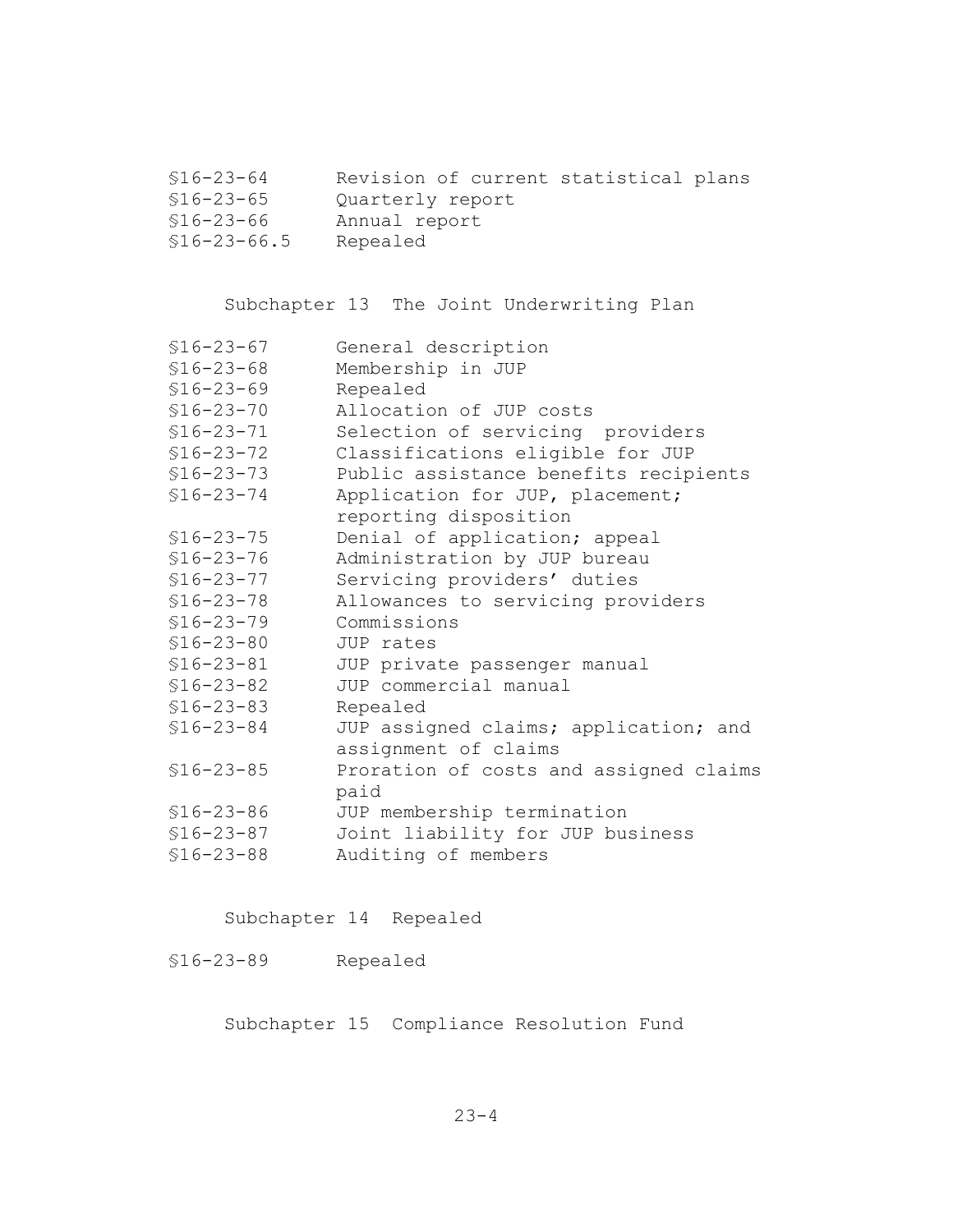| \$16-23-64 |                  |  | Revision of current statistical plans |  |
|------------|------------------|--|---------------------------------------|--|
| \$16-23-65 | Quarterly report |  |                                       |  |
| \$16-23-66 | Annual report    |  |                                       |  |

§16-23-66.5 Repealed

Subchapter 13 The Joint Underwriting Plan

| $$16 - 23 - 67$ | General description                    |
|-----------------|----------------------------------------|
| $$16 - 23 - 68$ | Membership in JUP                      |
| $$16 - 23 - 69$ | Repealed                               |
| $$16 - 23 - 70$ | Allocation of JUP costs                |
| $$16 - 23 - 71$ | Selection of servicing providers       |
| $$16 - 23 - 72$ | Classifications eligible for JUP       |
| $$16 - 23 - 73$ | Public assistance benefits recipients  |
| $$16 - 23 - 74$ | Application for JUP, placement;        |
|                 | reporting disposition                  |
| $$16 - 23 - 75$ | Denial of application; appeal          |
| $$16 - 23 - 76$ | Administration by JUP bureau           |
| $$16 - 23 - 77$ | Servicing providers' duties            |
| $$16 - 23 - 78$ | Allowances to servicing providers      |
| $$16 - 23 - 79$ | Commissions                            |
| $$16 - 23 - 80$ | JUP rates                              |
| $$16 - 23 - 81$ | JUP private passenger manual           |
| $$16 - 23 - 82$ | JUP commercial manual                  |
| $$16 - 23 - 83$ | Repealed                               |
| $$16 - 23 - 84$ | JUP assigned claims; application; and  |
|                 | assignment of claims                   |
| $$16 - 23 - 85$ | Proration of costs and assigned claims |
|                 | paid                                   |
| $$16 - 23 - 86$ | JUP membership termination             |
| $$16 - 23 - 87$ | Joint liability for JUP business       |
| $$16 - 23 - 88$ | Auditing of members                    |

Subchapter 14 Repealed

§16-23-89 Repealed

Subchapter 15 Compliance Resolution Fund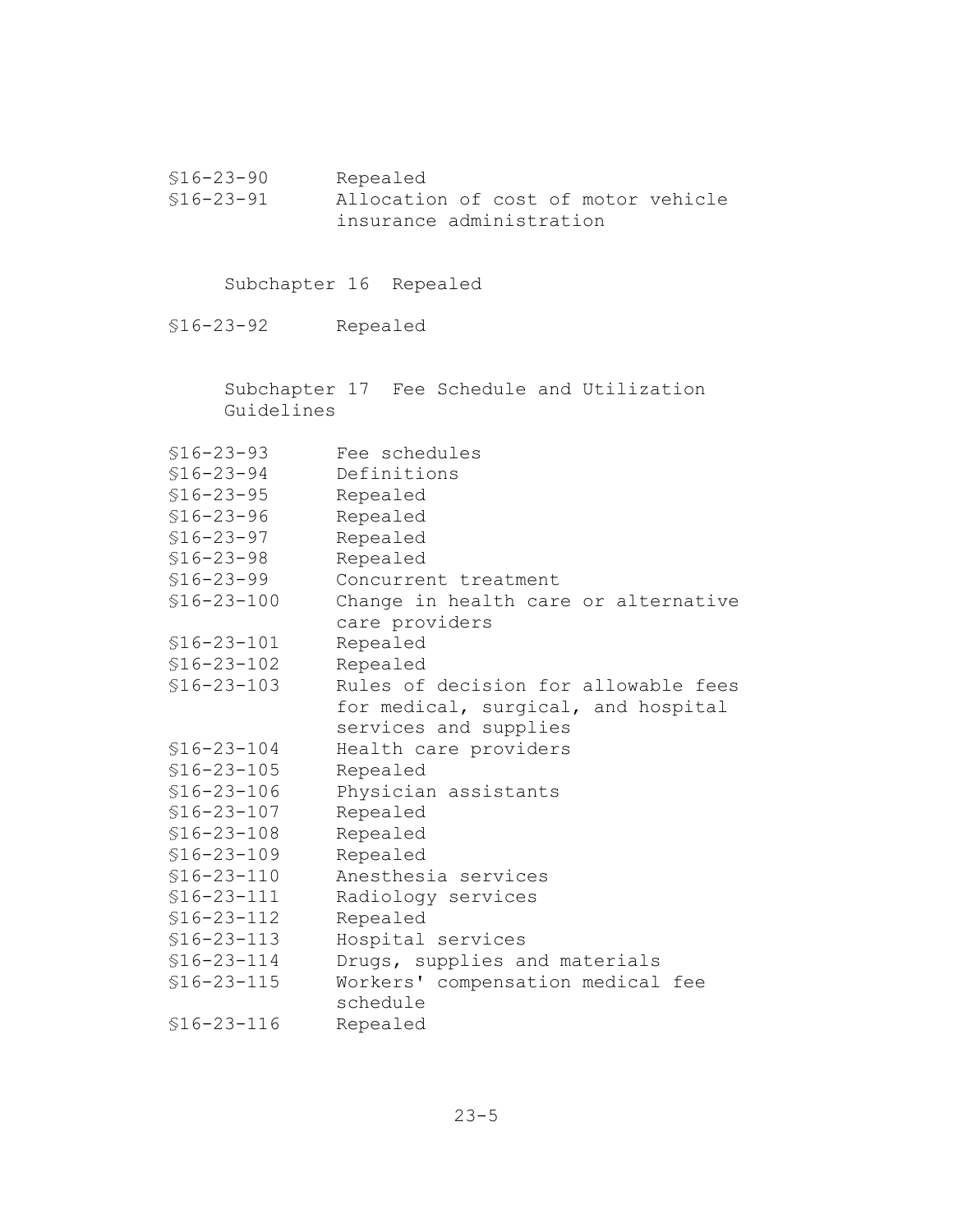§16-23-90 Repealed allocation of cost of motor vehicle insurance administration

Subchapter 16 Repealed

§16-23-92 Repealed

Subchapter 17 Fee Schedule and Utilization Guidelines

| $$16 - 23 - 93$  | Fee schedules                        |
|------------------|--------------------------------------|
| $$16 - 23 - 94$  | Definitions                          |
| $$16 - 23 - 95$  | Repealed                             |
| $$16 - 23 - 96$  | Repealed                             |
| $$16 - 23 - 97$  | Repealed                             |
| $$16 - 23 - 98$  | Repealed                             |
| $$16 - 23 - 99$  | Concurrent treatment                 |
| $$16 - 23 - 100$ | Change in health care or alternative |
|                  | care providers                       |
| $$16 - 23 - 101$ | Repealed                             |
| $$16 - 23 - 102$ | Repealed                             |
| $$16 - 23 - 103$ | Rules of decision for allowable fees |
|                  | for medical, surgical, and hospital  |
|                  | services and supplies                |
| $$16 - 23 - 104$ | Health care providers                |
| $$16 - 23 - 105$ | Repealed                             |
| $$16 - 23 - 106$ | Physician assistants                 |
| $$16 - 23 - 107$ | Repealed                             |
| $$16 - 23 - 108$ | Repealed                             |
| $$16 - 23 - 109$ | Repealed                             |
| $$16 - 23 - 110$ | Anesthesia services                  |
| $$16 - 23 - 111$ | Radiology services                   |
| $$16 - 23 - 112$ | Repealed                             |
| $$16-23-113$     | Hospital services                    |
| $$16 - 23 - 114$ | Drugs, supplies and materials        |
| $$16 - 23 - 115$ | Workers' compensation medical fee    |
|                  | schedule                             |
| $$16 - 23 - 116$ | Repealed                             |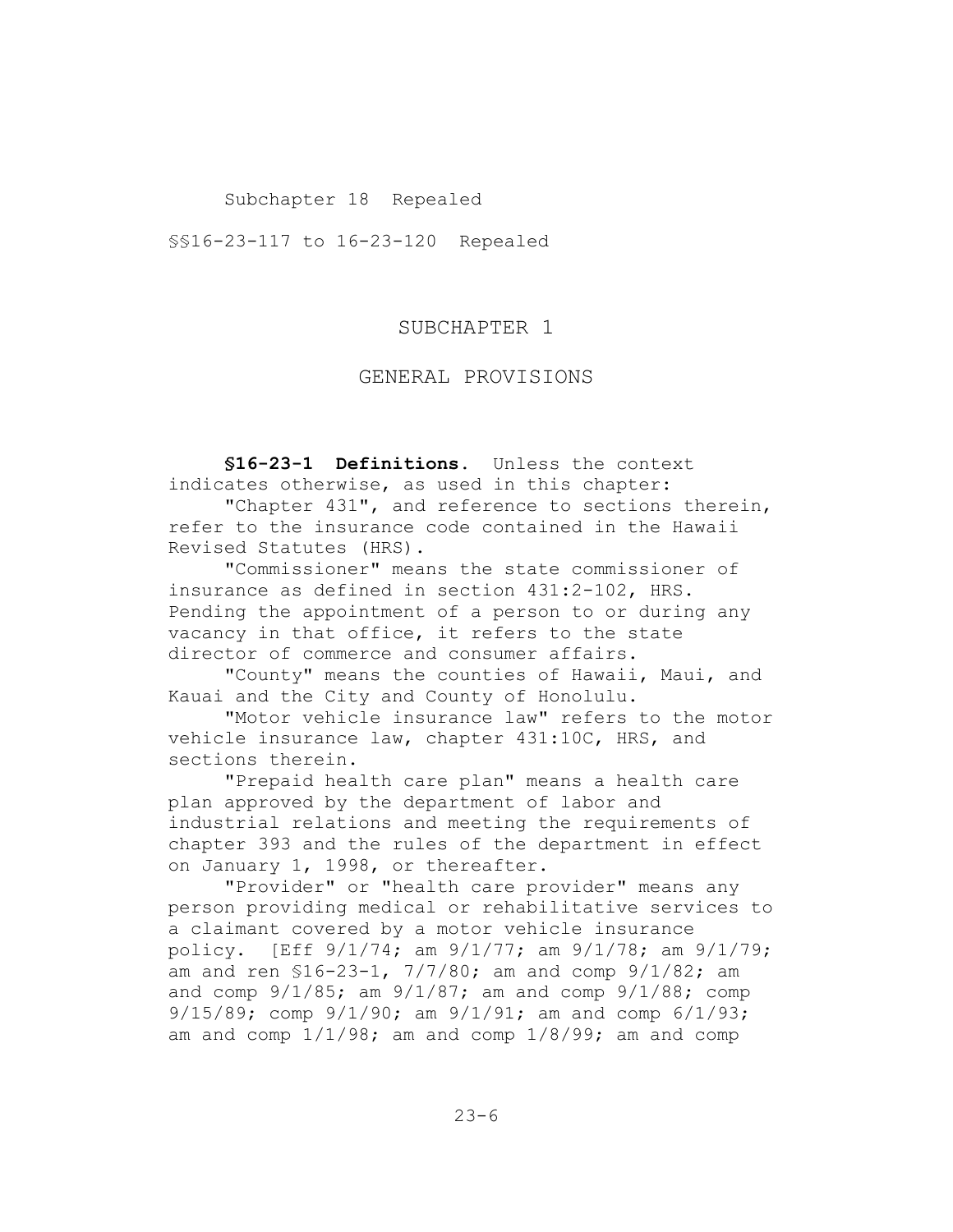### Subchapter 18 Repealed

§§16-23-117 to 16-23-120 Repealed

### SUBCHAPTER 1

### GENERAL PROVISIONS

**§16-23-1 Definitions.** Unless the context indicates otherwise, as used in this chapter: "Chapter 431", and reference to sections therein, refer to the insurance code contained in the Hawaii

Revised Statutes (HRS).

"Commissioner" means the state commissioner of insurance as defined in section 431:2-102, HRS. Pending the appointment of a person to or during any vacancy in that office, it refers to the state director of commerce and consumer affairs.

"County" means the counties of Hawaii, Maui, and Kauai and the City and County of Honolulu.

"Motor vehicle insurance law" refers to the motor vehicle insurance law, chapter 431:10C, HRS, and sections therein.

"Prepaid health care plan" means a health care plan approved by the department of labor and industrial relations and meeting the requirements of chapter 393 and the rules of the department in effect on January 1, 1998, or thereafter.

"Provider" or "health care provider" means any person providing medical or rehabilitative services to a claimant covered by a motor vehicle insurance policy. [Eff 9/1/74; am 9/1/77; am 9/1/78; am 9/1/79; am and ren §16-23-1, 7/7/80; am and comp 9/1/82; am and comp 9/1/85; am 9/1/87; am and comp 9/1/88; comp 9/15/89; comp 9/1/90; am 9/1/91; am and comp 6/1/93; am and comp  $1/1/98$ ; am and comp  $1/8/99$ ; am and comp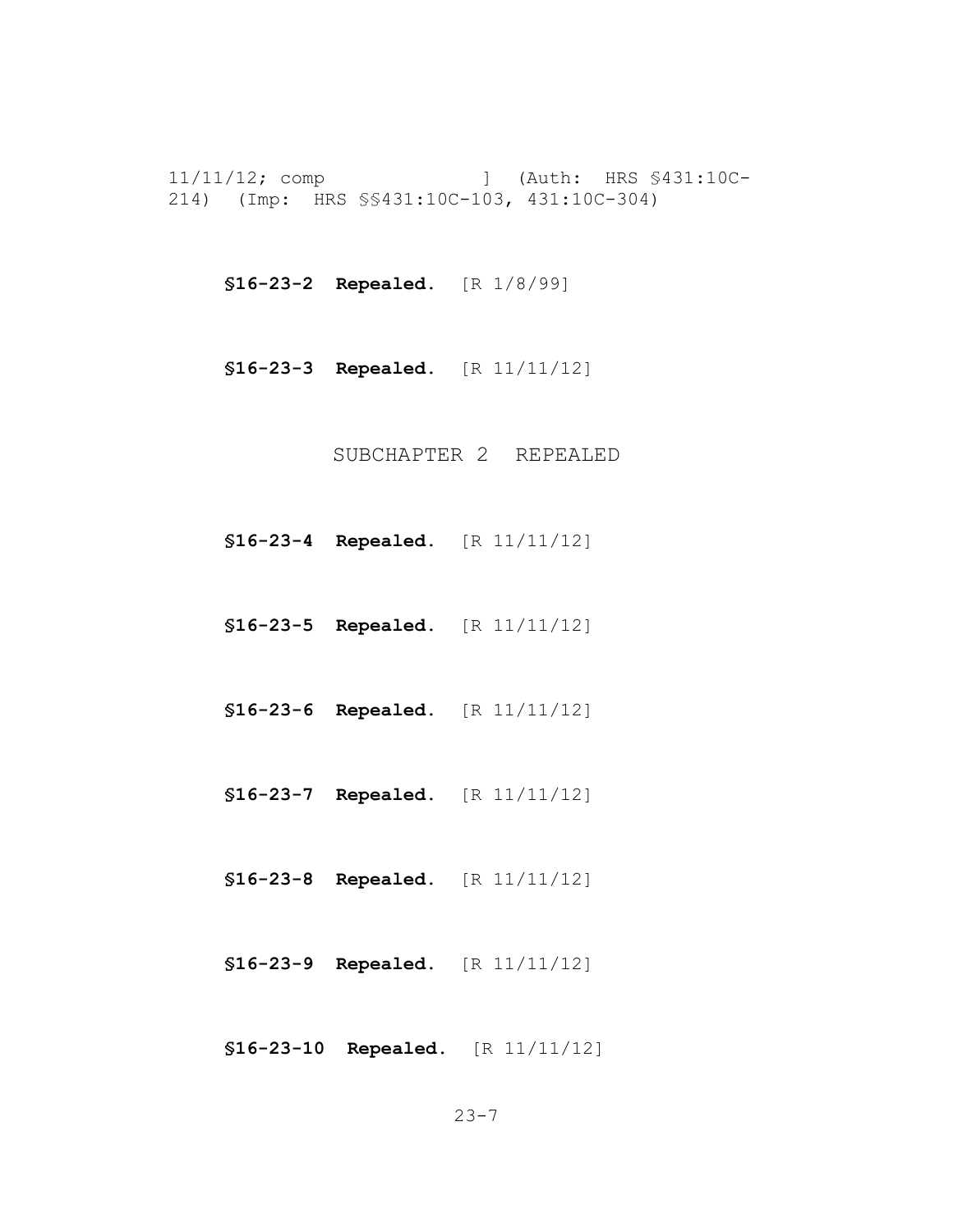11/11/12; comp ] (Auth: HRS §431:10C-214) (Imp: HRS §§431:10C-103, 431:10C-304)

**§16-23-2 Repealed.** [R 1/8/99]

**§16-23-3 Repealed.** [R 11/11/12]

SUBCHAPTER 2 REPEALED

- **§16-23-4 Repealed.** [R 11/11/12]
- **§16-23-5 Repealed.** [R 11/11/12]
- **§16-23-6 Repealed.** [R 11/11/12]
- **§16-23-7 Repealed.** [R 11/11/12]
- **§16-23-8 Repealed.** [R 11/11/12]
- **§16-23-9 Repealed.** [R 11/11/12]
- **§16-23-10 Repealed.** [R 11/11/12]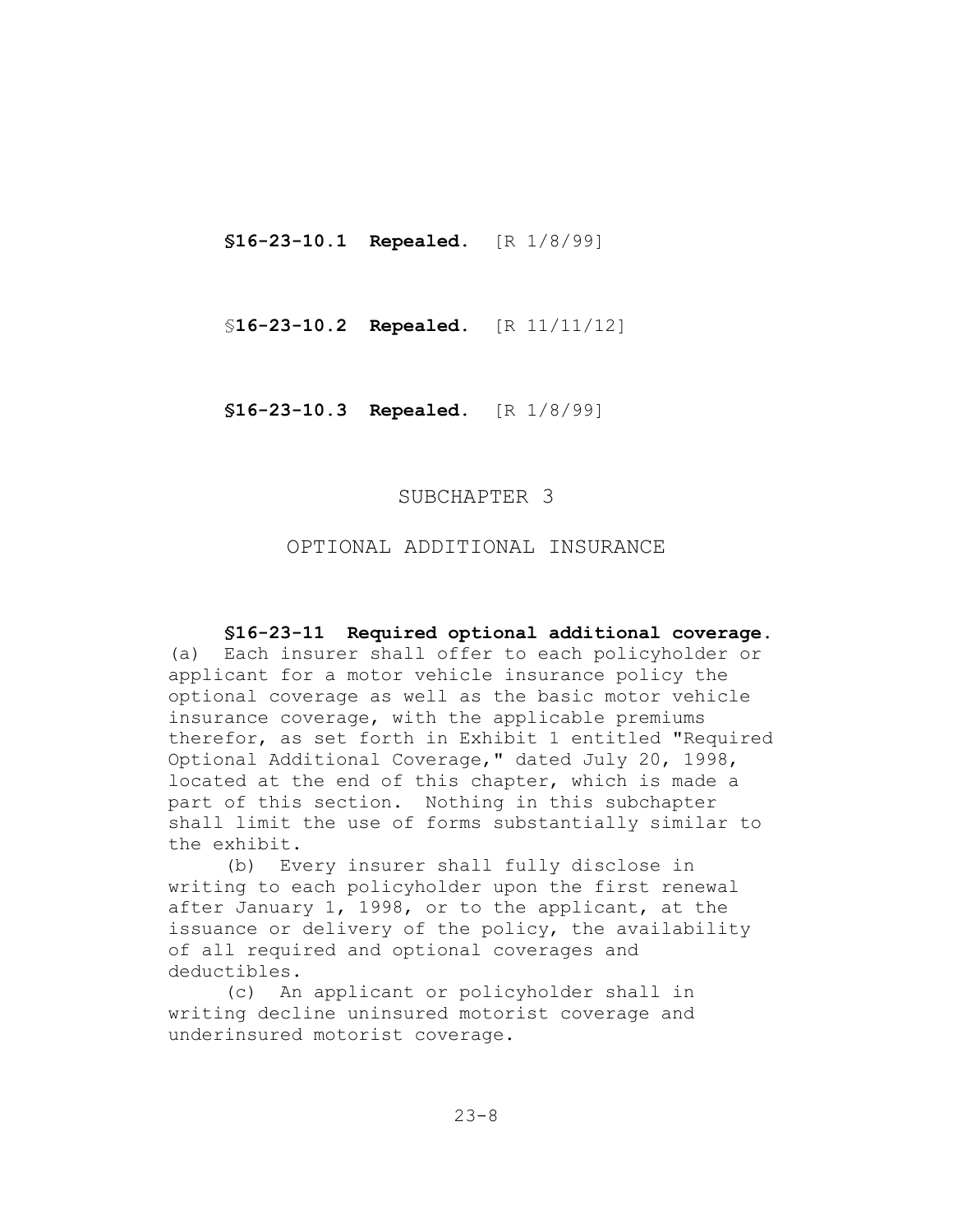**§16-23-10.1 Repealed.** [R 1/8/99]

§**16-23-10.2 Repealed.** [R 11/11/12]

**§16-23-10.3 Repealed.** [R 1/8/99]

# SUBCHAPTER 3

# OPTIONAL ADDITIONAL INSURANCE

### **§16-23-11 Required optional additional coverage.**

(a) Each insurer shall offer to each policyholder or applicant for a motor vehicle insurance policy the optional coverage as well as the basic motor vehicle insurance coverage, with the applicable premiums therefor, as set forth in Exhibit 1 entitled "Required Optional Additional Coverage," dated July 20, 1998, located at the end of this chapter, which is made a part of this section. Nothing in this subchapter shall limit the use of forms substantially similar to the exhibit.

(b) Every insurer shall fully disclose in writing to each policyholder upon the first renewal after January 1, 1998, or to the applicant, at the issuance or delivery of the policy, the availability of all required and optional coverages and deductibles.

(c) An applicant or policyholder shall in writing decline uninsured motorist coverage and underinsured motorist coverage.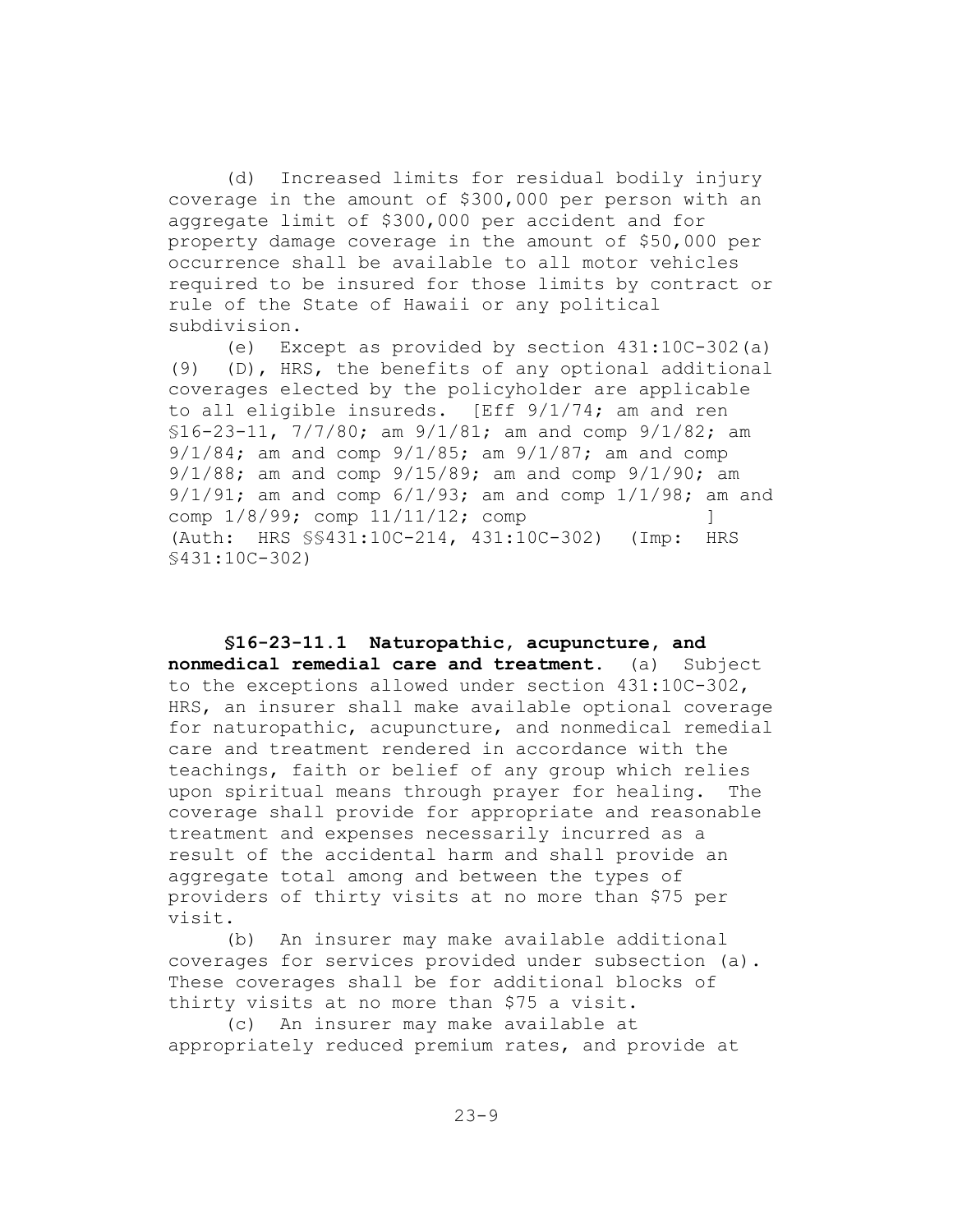(d) Increased limits for residual bodily injury coverage in the amount of \$300,000 per person with an aggregate limit of \$300,000 per accident and for property damage coverage in the amount of \$50,000 per occurrence shall be available to all motor vehicles required to be insured for those limits by contract or rule of the State of Hawaii or any political subdivision.

(e) Except as provided by section 431:10C-302(a) (9) (D), HRS, the benefits of any optional additional coverages elected by the policyholder are applicable to all eligible insureds. [Eff 9/1/74; am and ren §16-23-11, 7/7/80; am 9/1/81; am and comp 9/1/82; am 9/1/84; am and comp 9/1/85; am 9/1/87; am and comp 9/1/88; am and comp 9/15/89; am and comp 9/1/90; am  $9/1/91$ ; am and comp  $6/1/93$ ; am and comp  $1/1/98$ ; am and comp  $1/8/99$ ; comp  $11/11/12$ ; comp (Auth: HRS §§431:10C-214, 431:10C-302) (Imp: HRS §431:10C-302)

**§16-23-11.1 Naturopathic, acupuncture, and nonmedical remedial care and treatment.** (a) Subject to the exceptions allowed under section 431:10C-302, HRS, an insurer shall make available optional coverage for naturopathic, acupuncture, and nonmedical remedial care and treatment rendered in accordance with the teachings, faith or belief of any group which relies upon spiritual means through prayer for healing. The coverage shall provide for appropriate and reasonable treatment and expenses necessarily incurred as a result of the accidental harm and shall provide an aggregate total among and between the types of providers of thirty visits at no more than \$75 per visit.

(b) An insurer may make available additional coverages for services provided under subsection (a). These coverages shall be for additional blocks of thirty visits at no more than \$75 a visit.

(c) An insurer may make available at appropriately reduced premium rates, and provide at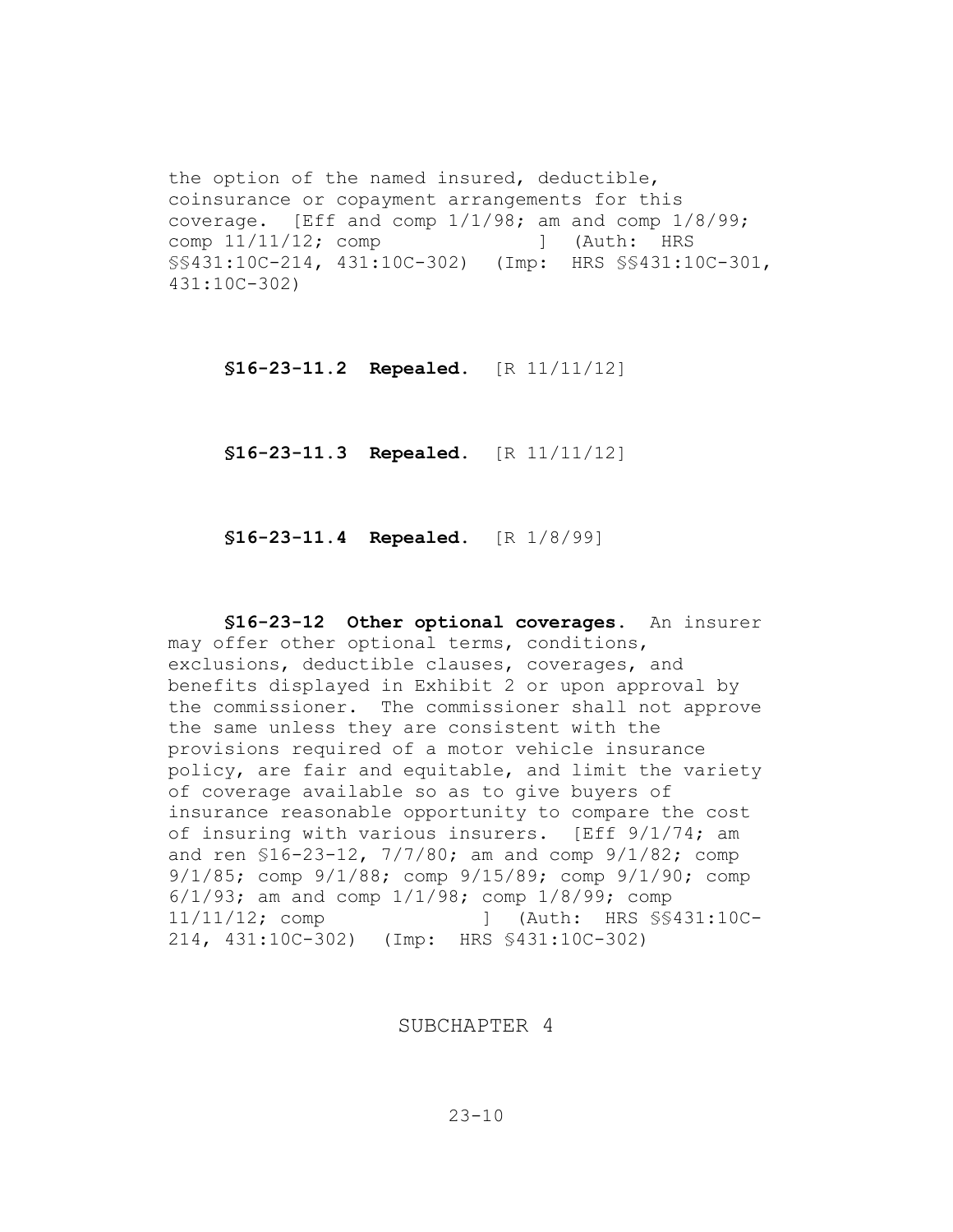the option of the named insured, deductible, coinsurance or copayment arrangements for this coverage. [Eff and comp 1/1/98; am and comp 1/8/99; comp  $11/11/12$ ; comp  $\qquad$  [Auth: HRS §§431:10C-214, 431:10C-302) (Imp: HRS §§431:10C-301, 431:10C-302)

**§16-23-11.2 Repealed.** [R 11/11/12]

**§16-23-11.3 Repealed.** [R 11/11/12]

**§16-23-11.4 Repealed.** [R 1/8/99]

**§16-23-12 Other optional coverages.** An insurer may offer other optional terms, conditions, exclusions, deductible clauses, coverages, and benefits displayed in Exhibit 2 or upon approval by the commissioner. The commissioner shall not approve the same unless they are consistent with the provisions required of a motor vehicle insurance policy, are fair and equitable, and limit the variety of coverage available so as to give buyers of insurance reasonable opportunity to compare the cost of insuring with various insurers. [Eff 9/1/74; am and ren §16-23-12, 7/7/80; am and comp 9/1/82; comp 9/1/85; comp 9/1/88; comp 9/15/89; comp 9/1/90; comp 6/1/93; am and comp 1/1/98; comp 1/8/99; comp 11/11/12; comp ] (Auth: HRS §§431:10C-214, 431:10C-302) (Imp: HRS §431:10C-302)

SUBCHAPTER 4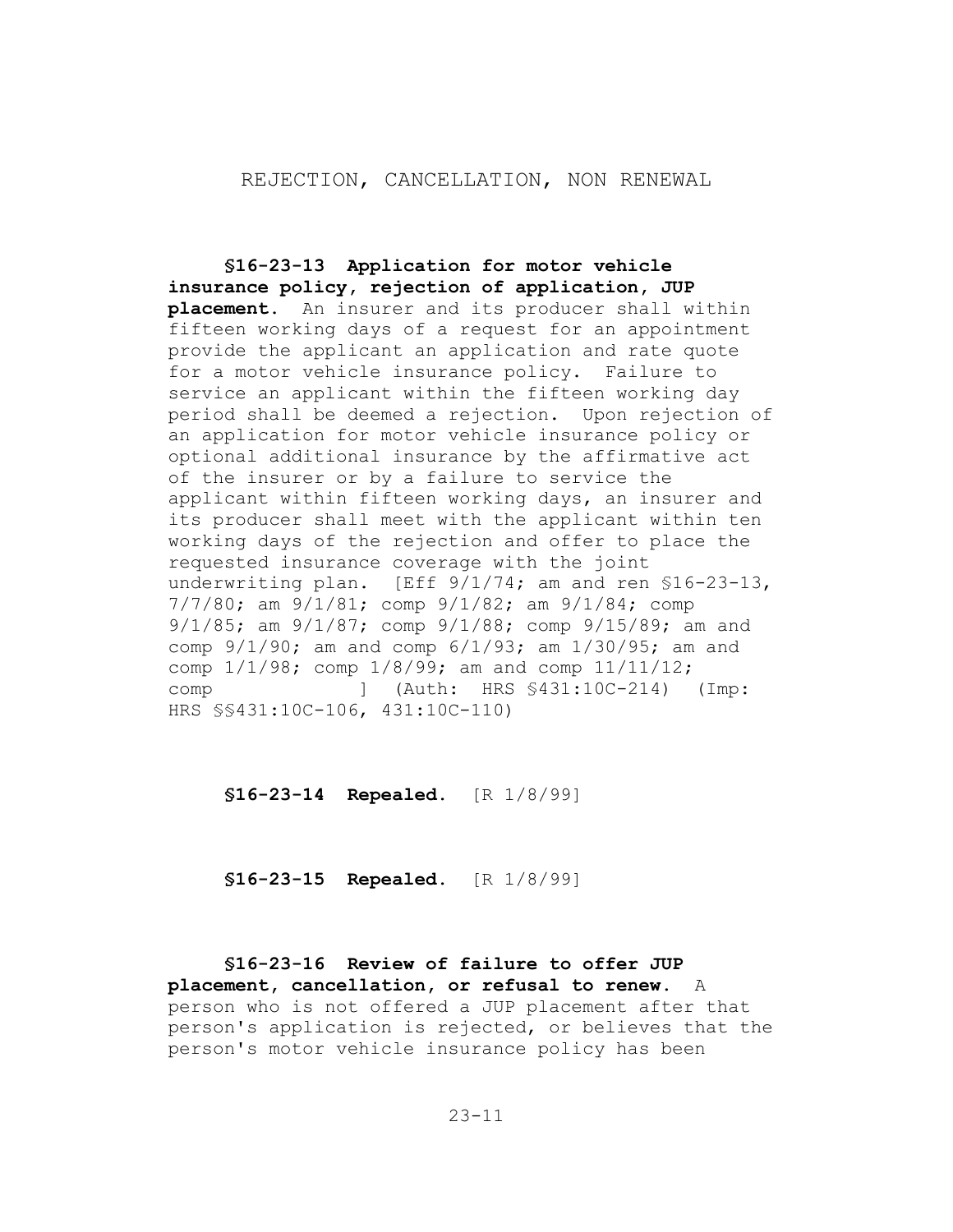### REJECTION, CANCELLATION, NON RENEWAL

**§16-23-13 Application for motor vehicle insurance policy, rejection of application, JUP placement.** An insurer and its producer shall within fifteen working days of a request for an appointment provide the applicant an application and rate quote for a motor vehicle insurance policy. Failure to service an applicant within the fifteen working day period shall be deemed a rejection. Upon rejection of an application for motor vehicle insurance policy or optional additional insurance by the affirmative act of the insurer or by a failure to service the applicant within fifteen working days, an insurer and its producer shall meet with the applicant within ten working days of the rejection and offer to place the requested insurance coverage with the joint underwriting plan. [Eff 9/1/74; am and ren §16-23-13, 7/7/80; am 9/1/81; comp 9/1/82; am 9/1/84; comp 9/1/85; am 9/1/87; comp 9/1/88; comp 9/15/89; am and comp 9/1/90; am and comp 6/1/93; am 1/30/95; am and comp 1/1/98; comp 1/8/99; am and comp 11/11/12; comp ] (Auth: HRS §431:10C-214) (Imp: HRS §§431:10C-106, 431:10C-110)

**§16-23-14 Repealed.** [R 1/8/99]

**§16-23-15 Repealed.** [R 1/8/99]

**§16-23-16 Review of failure to offer JUP placement, cancellation, or refusal to renew.** A person who is not offered a JUP placement after that person's application is rejected, or believes that the person's motor vehicle insurance policy has been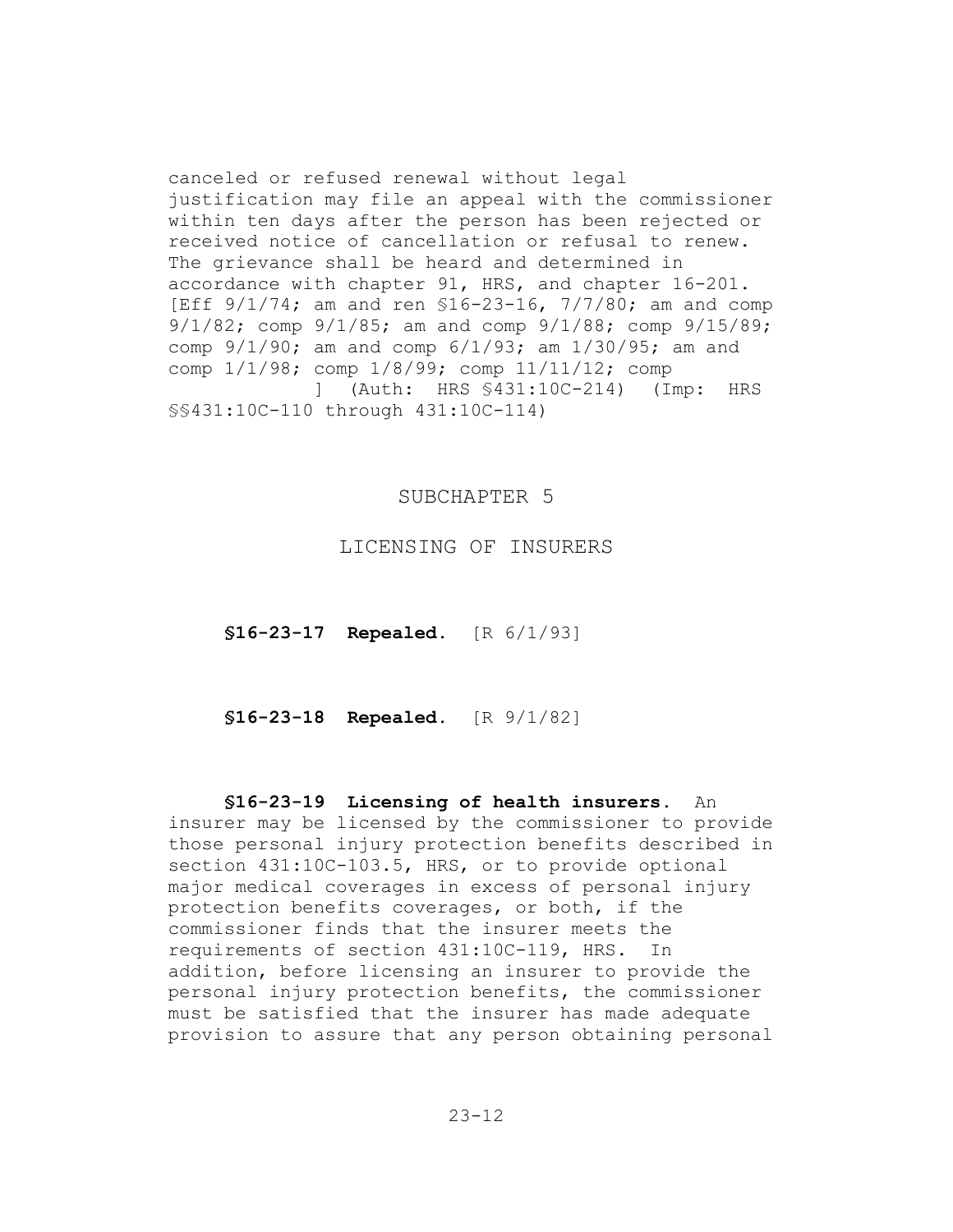canceled or refused renewal without legal justification may file an appeal with the commissioner within ten days after the person has been rejected or received notice of cancellation or refusal to renew. The grievance shall be heard and determined in accordance with chapter 91, HRS, and chapter 16-201. [Eff 9/1/74; am and ren \$16-23-16, 7/7/80; am and comp 9/1/82; comp 9/1/85; am and comp 9/1/88; comp 9/15/89; comp 9/1/90; am and comp 6/1/93; am 1/30/95; am and comp 1/1/98; comp 1/8/99; comp 11/11/12; comp ] (Auth: HRS §431:10C-214) (Imp: HRS §§431:10C-110 through 431:10C-114)

### SUBCHAPTER 5

LICENSING OF INSURERS

**§16-23-17 Repealed.** [R 6/1/93]

**§16-23-18 Repealed.** [R 9/1/82]

#### **§16-23-19 Licensing of health insurers.** An

insurer may be licensed by the commissioner to provide those personal injury protection benefits described in section 431:10C-103.5, HRS, or to provide optional major medical coverages in excess of personal injury protection benefits coverages, or both, if the commissioner finds that the insurer meets the requirements of section 431:10C-119, HRS. In addition, before licensing an insurer to provide the personal injury protection benefits, the commissioner must be satisfied that the insurer has made adequate provision to assure that any person obtaining personal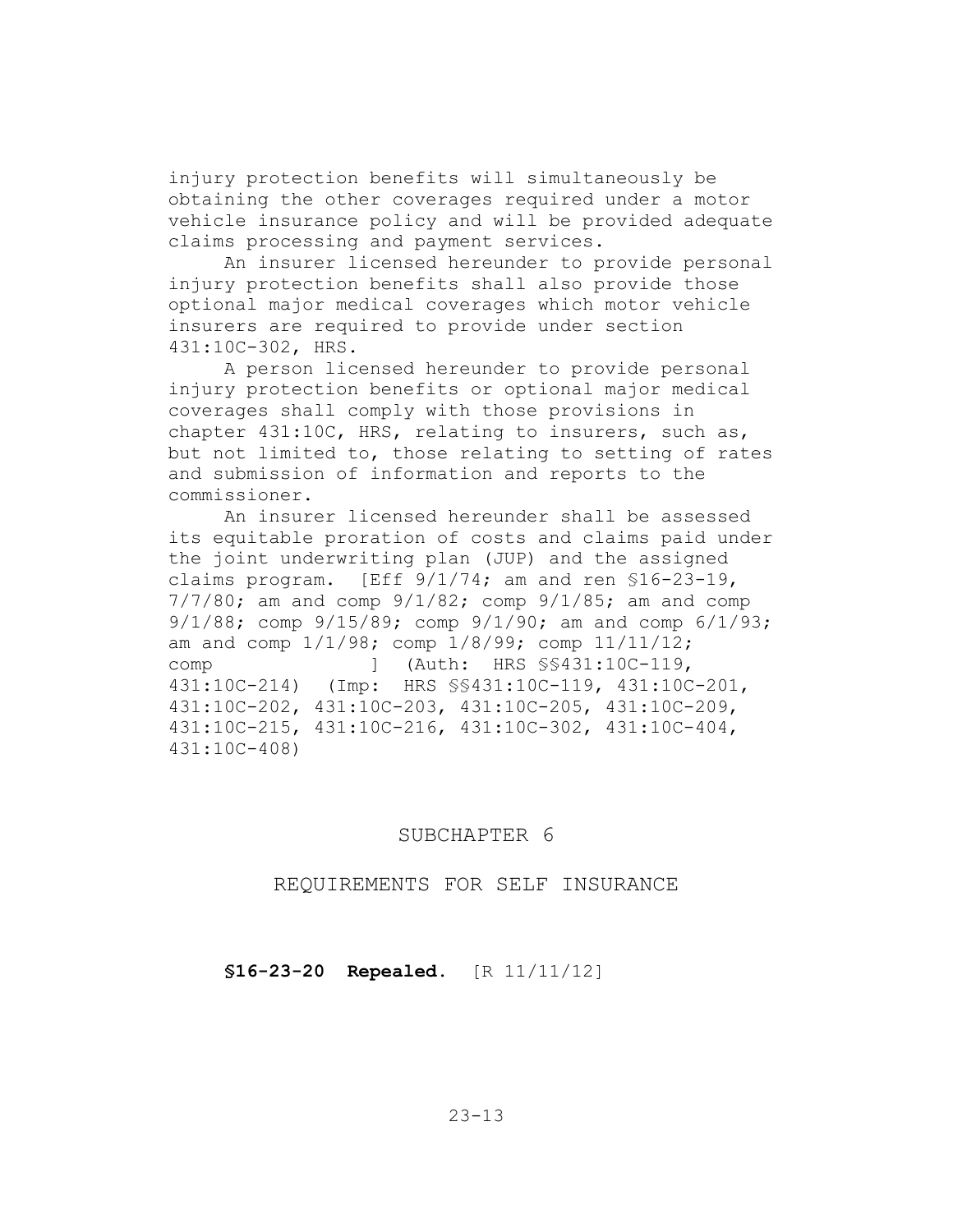injury protection benefits will simultaneously be obtaining the other coverages required under a motor vehicle insurance policy and will be provided adequate claims processing and payment services.

An insurer licensed hereunder to provide personal injury protection benefits shall also provide those optional major medical coverages which motor vehicle insurers are required to provide under section 431:10C-302, HRS.

A person licensed hereunder to provide personal injury protection benefits or optional major medical coverages shall comply with those provisions in chapter 431:10C, HRS, relating to insurers, such as, but not limited to, those relating to setting of rates and submission of information and reports to the commissioner.

An insurer licensed hereunder shall be assessed its equitable proration of costs and claims paid under the joint underwriting plan (JUP) and the assigned claims program. [Eff 9/1/74; am and ren §16-23-19, 7/7/80; am and comp 9/1/82; comp 9/1/85; am and comp 9/1/88; comp 9/15/89; comp 9/1/90; am and comp 6/1/93; am and comp 1/1/98; comp 1/8/99; comp 11/11/12; comp ] (Auth: HRS §§431:10C-119, 431:10C-214) (Imp: HRS §§431:10C-119, 431:10C-201, 431:10C-202, 431:10C-203, 431:10C-205, 431:10C-209, 431:10C-215, 431:10C-216, 431:10C-302, 431:10C-404, 431:10C-408)

#### SUBCHAPTER 6

REQUIREMENTS FOR SELF INSURANCE

**§16-23-20 Repealed.** [R 11/11/12]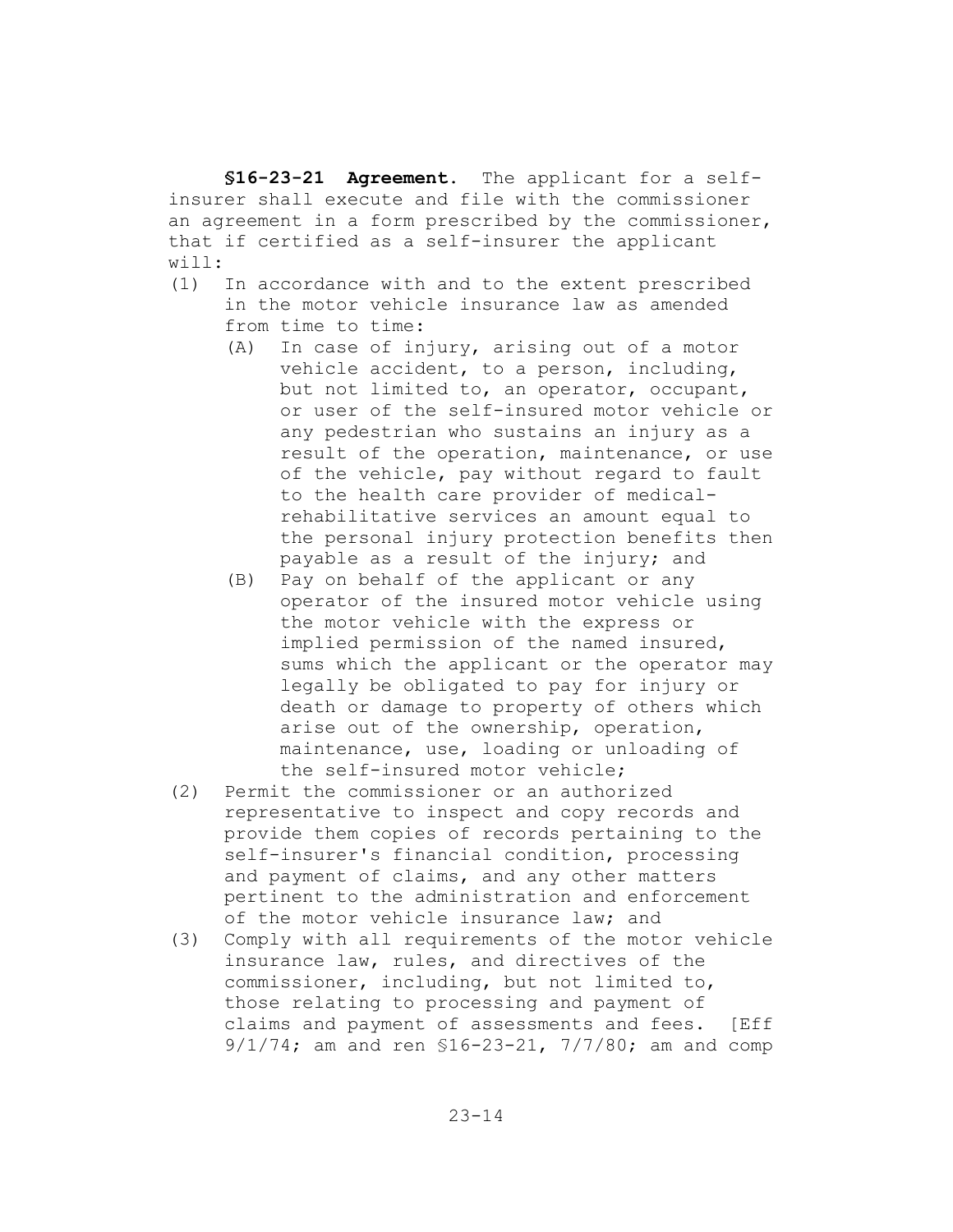**§16-23-21 Agreement.** The applicant for a selfinsurer shall execute and file with the commissioner an agreement in a form prescribed by the commissioner, that if certified as a self-insurer the applicant will:

- (1) In accordance with and to the extent prescribed in the motor vehicle insurance law as amended from time to time:
	- (A) In case of injury, arising out of a motor vehicle accident, to a person, including, but not limited to, an operator, occupant, or user of the self-insured motor vehicle or any pedestrian who sustains an injury as a result of the operation, maintenance, or use of the vehicle, pay without regard to fault to the health care provider of medicalrehabilitative services an amount equal to the personal injury protection benefits then payable as a result of the injury; and
	- (B) Pay on behalf of the applicant or any operator of the insured motor vehicle using the motor vehicle with the express or implied permission of the named insured, sums which the applicant or the operator may legally be obligated to pay for injury or death or damage to property of others which arise out of the ownership, operation, maintenance, use, loading or unloading of the self-insured motor vehicle;
- (2) Permit the commissioner or an authorized representative to inspect and copy records and provide them copies of records pertaining to the self-insurer's financial condition, processing and payment of claims, and any other matters pertinent to the administration and enforcement of the motor vehicle insurance law; and
- (3) Comply with all requirements of the motor vehicle insurance law, rules, and directives of the commissioner, including, but not limited to, those relating to processing and payment of claims and payment of assessments and fees. [Eff 9/1/74; am and ren §16-23-21, 7/7/80; am and comp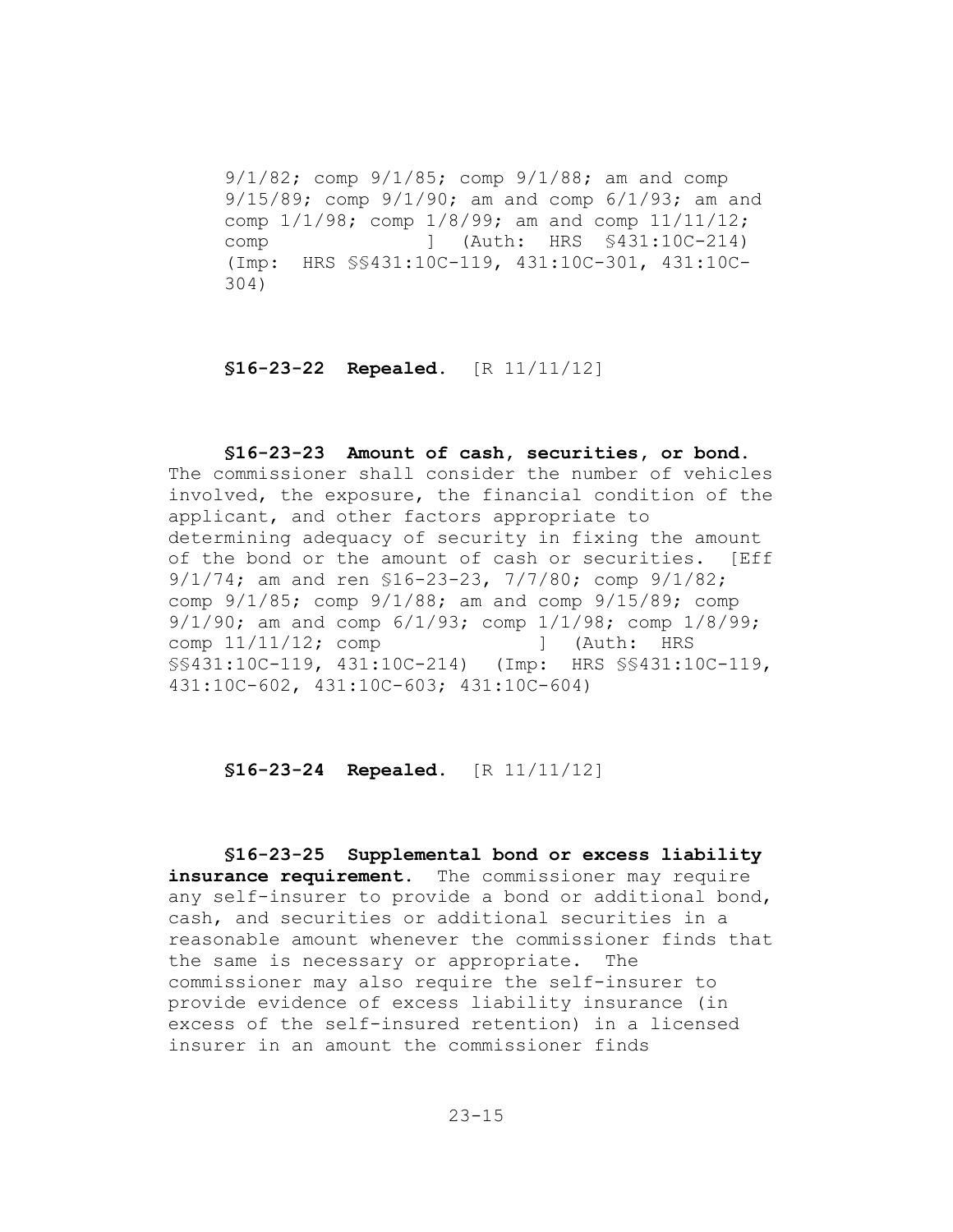9/1/82; comp 9/1/85; comp 9/1/88; am and comp 9/15/89; comp 9/1/90; am and comp 6/1/93; am and comp 1/1/98; comp 1/8/99; am and comp 11/11/12; comp ] (Auth: HRS §431:10C-214) (Imp: HRS §§431:10C-119, 431:10C-301, 431:10C-304)

### **§16-23-22 Repealed.** [R 11/11/12]

**§16-23-23 Amount of cash, securities, or bond.**  The commissioner shall consider the number of vehicles involved, the exposure, the financial condition of the applicant, and other factors appropriate to determining adequacy of security in fixing the amount of the bond or the amount of cash or securities. [Eff 9/1/74; am and ren §16-23-23, 7/7/80; comp 9/1/82; comp 9/1/85; comp 9/1/88; am and comp 9/15/89; comp 9/1/90; am and comp 6/1/93; comp 1/1/98; comp 1/8/99; comp  $11/11/12$ ; comp | (Auth: HRS §§431:10C-119, 431:10C-214) (Imp: HRS §§431:10C-119, 431:10C-602, 431:10C-603; 431:10C-604)

# **§16-23-24 Repealed.** [R 11/11/12]

**§16-23-25 Supplemental bond or excess liability**  insurance requirement. The commissioner may require any self-insurer to provide a bond or additional bond, cash, and securities or additional securities in a reasonable amount whenever the commissioner finds that the same is necessary or appropriate. The commissioner may also require the self-insurer to provide evidence of excess liability insurance (in excess of the self-insured retention) in a licensed insurer in an amount the commissioner finds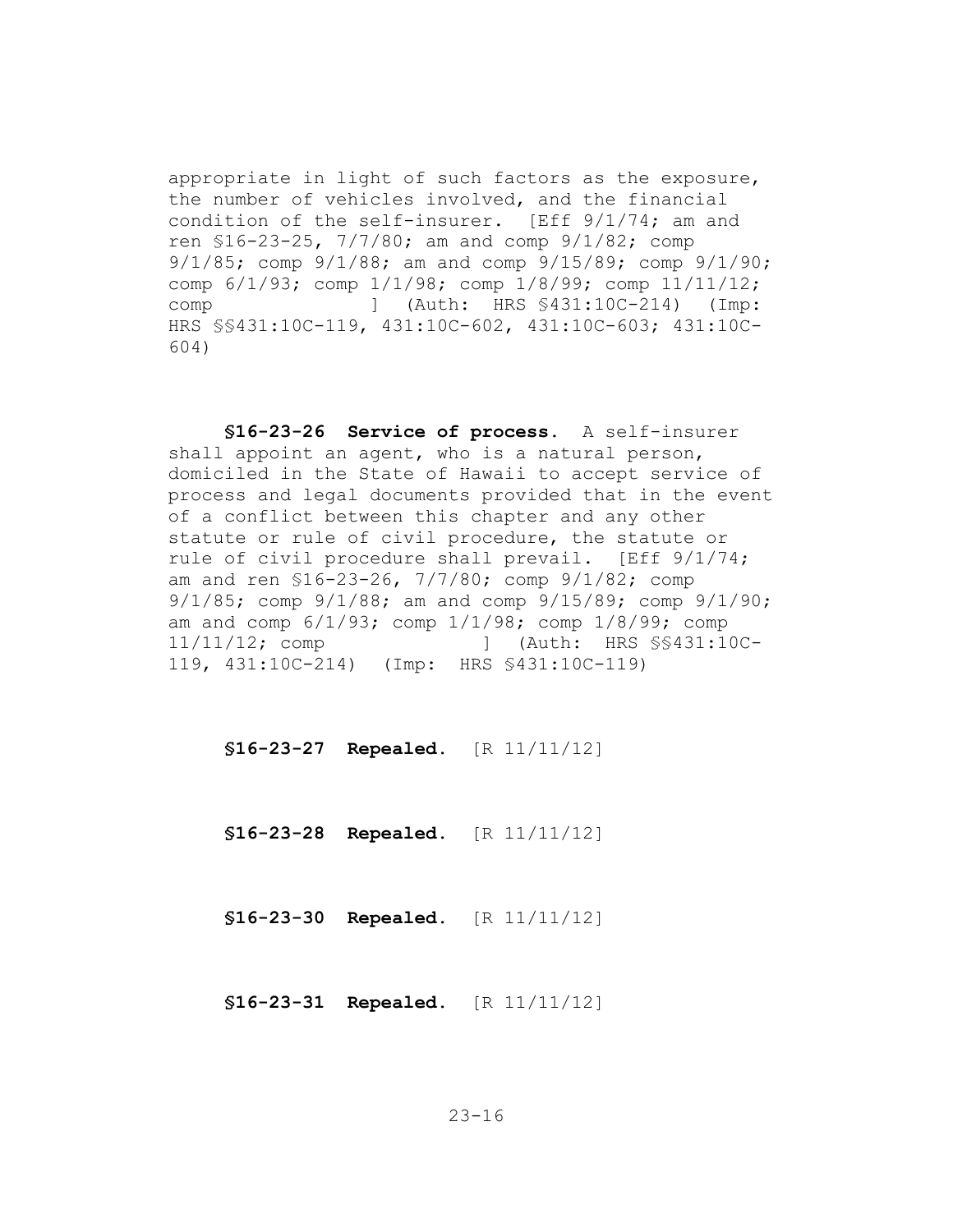appropriate in light of such factors as the exposure, the number of vehicles involved, and the financial condition of the self-insurer. [Eff 9/1/74; am and ren §16-23-25, 7/7/80; am and comp 9/1/82; comp 9/1/85; comp 9/1/88; am and comp 9/15/89; comp 9/1/90; comp 6/1/93; comp 1/1/98; comp 1/8/99; comp 11/11/12; comp ] (Auth: HRS §431:10C-214) (Imp: HRS §§431:10C-119, 431:10C-602, 431:10C-603; 431:10C-604)

**§16-23-26 Service of process.** A self-insurer shall appoint an agent, who is a natural person, domiciled in the State of Hawaii to accept service of process and legal documents provided that in the event of a conflict between this chapter and any other statute or rule of civil procedure, the statute or rule of civil procedure shall prevail. [Eff 9/1/74; am and ren §16-23-26, 7/7/80; comp 9/1/82; comp 9/1/85; comp 9/1/88; am and comp 9/15/89; comp 9/1/90; am and comp 6/1/93; comp 1/1/98; comp 1/8/99; comp 11/11/12; comp ] (Auth: HRS §§431:10C-119, 431:10C-214) (Imp: HRS §431:10C-119)

**§16-23-27 Repealed.** [R 11/11/12]

**§16-23-28 Repealed.** [R 11/11/12]

**§16-23-30 Repealed.** [R 11/11/12]

**§16-23-31 Repealed.** [R 11/11/12]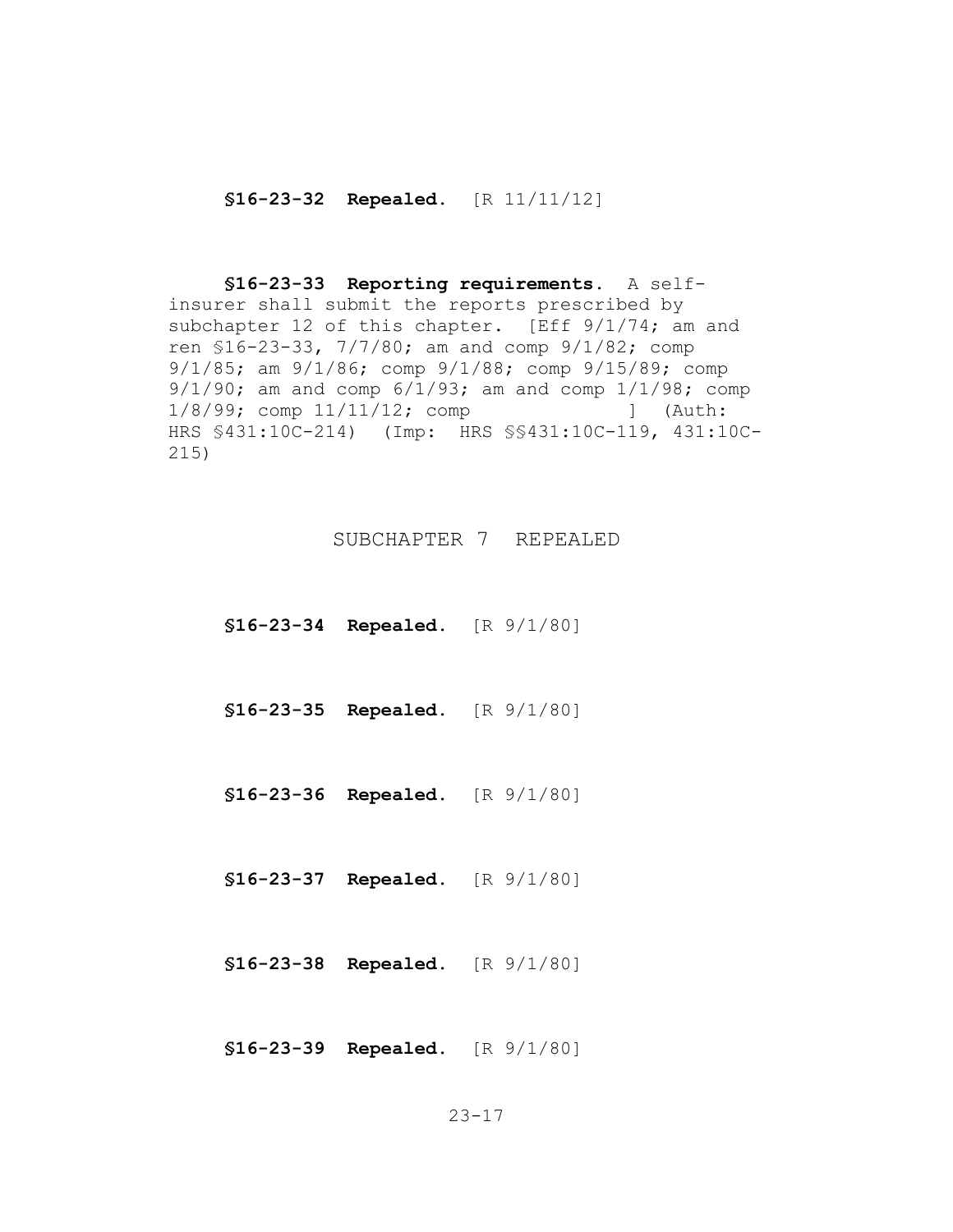**§16-23-32 Repealed.** [R 11/11/12]

**§16-23-33 Reporting requirements.** A selfinsurer shall submit the reports prescribed by subchapter 12 of this chapter. [Eff 9/1/74; am and ren §16-23-33, 7/7/80; am and comp 9/1/82; comp 9/1/85; am 9/1/86; comp 9/1/88; comp 9/15/89; comp 9/1/90; am and comp 6/1/93; am and comp 1/1/98; comp 1/8/99; comp 11/11/12; comp ] (Auth: HRS §431:10C-214) (Imp: HRS §§431:10C-119, 431:10C-215)

SUBCHAPTER 7 REPEALED

**§16-23-34 Repealed.** [R 9/1/80]

**§16-23-35 Repealed.** [R 9/1/80]

**§16-23-36 Repealed.** [R 9/1/80]

**§16-23-37 Repealed.** [R 9/1/80]

**§16-23-38 Repealed.** [R 9/1/80]

**§16-23-39 Repealed.** [R 9/1/80]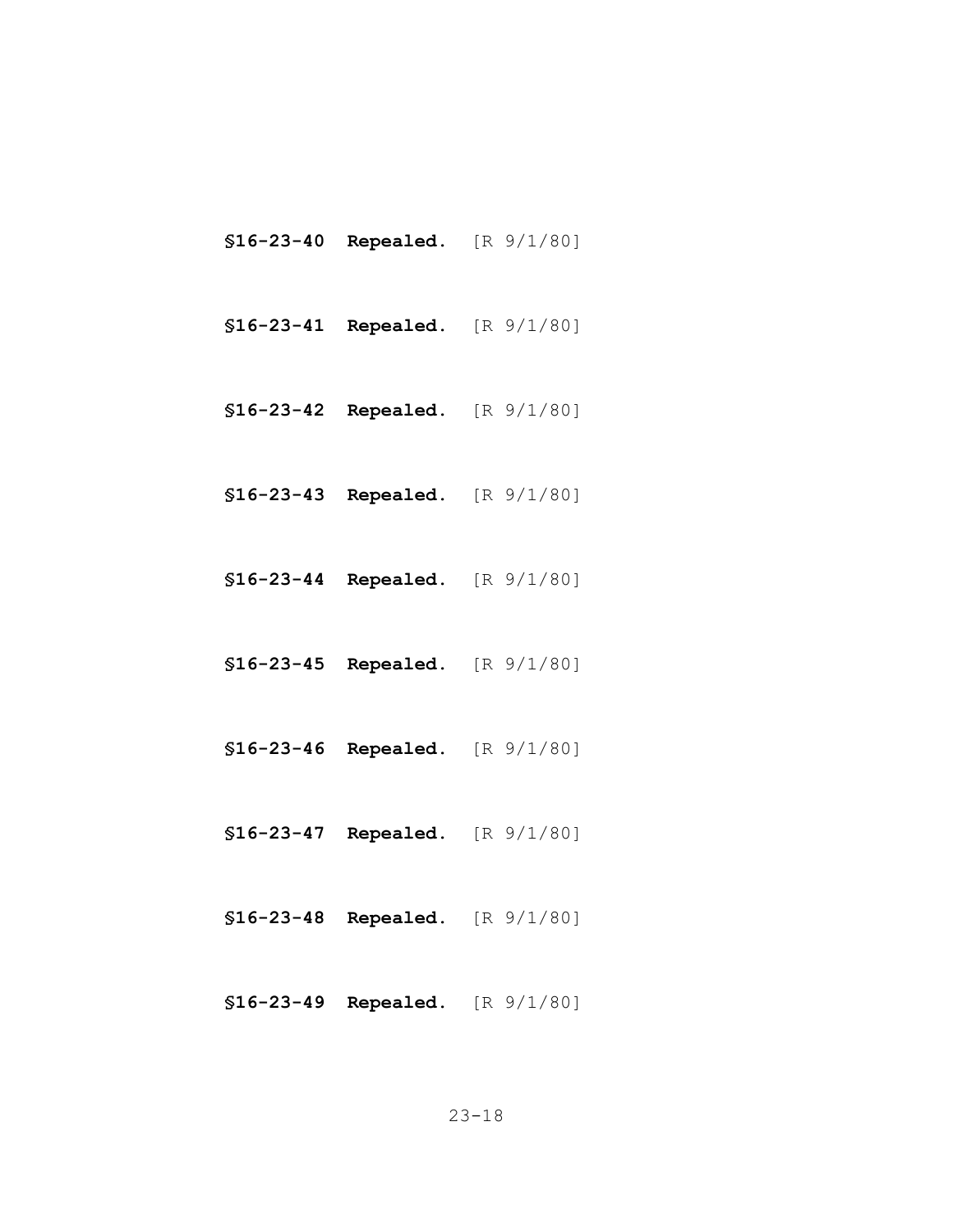- **§16-23-40 Repealed.** [R 9/1/80]
- **§16-23-41 Repealed.** [R 9/1/80]
- **§16-23-42 Repealed.** [R 9/1/80]
- **§16-23-43 Repealed.** [R 9/1/80]
- **§16-23-44 Repealed.** [R 9/1/80]
- **§16-23-45 Repealed.** [R 9/1/80]
- **§16-23-46 Repealed.** [R 9/1/80]
- **§16-23-47 Repealed.** [R 9/1/80]
- **§16-23-48 Repealed.** [R 9/1/80]
- **§16-23-49 Repealed.** [R 9/1/80]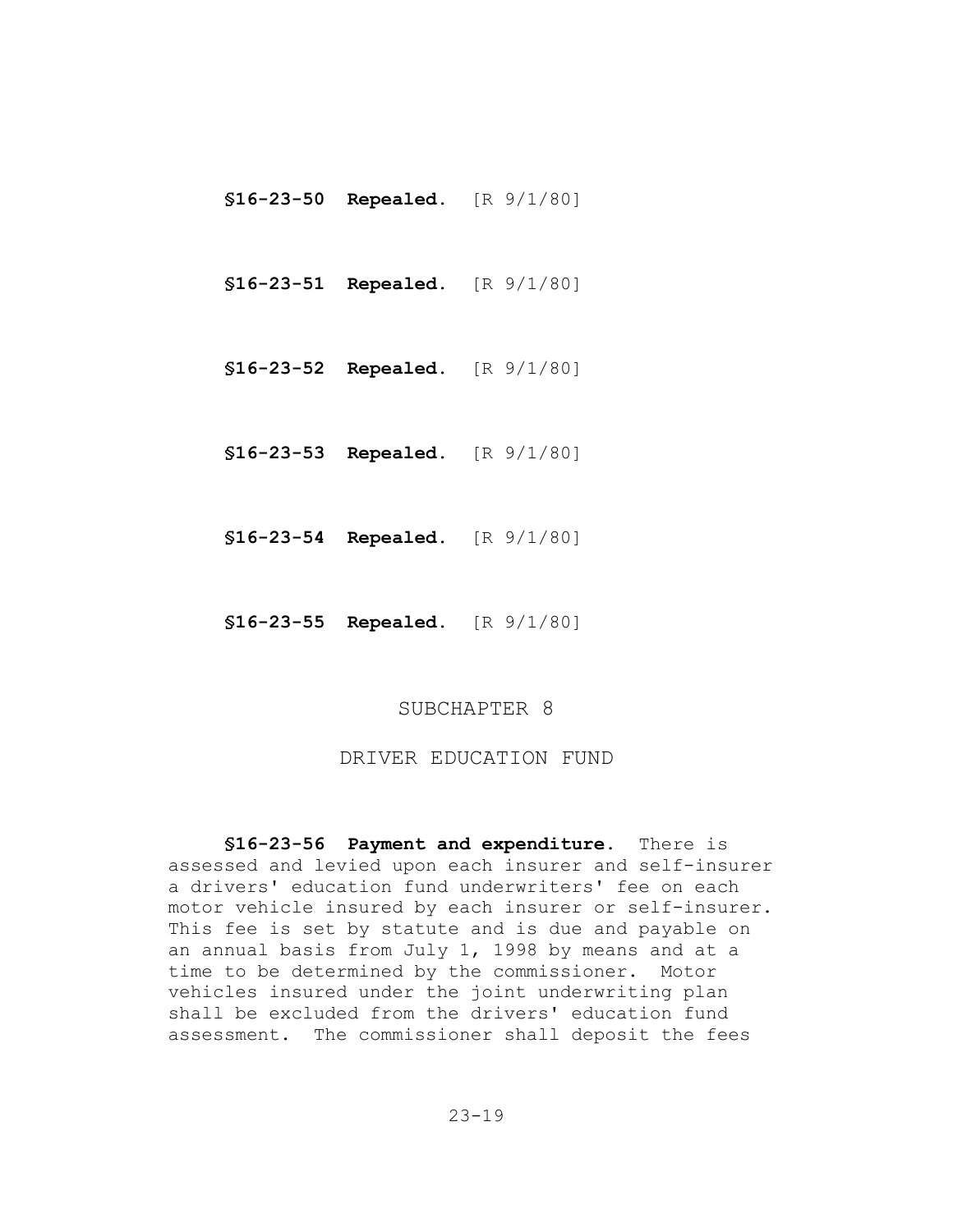**§16-23-50 Repealed.** [R 9/1/80]

**§16-23-51 Repealed.** [R 9/1/80]

- **§16-23-52 Repealed.** [R 9/1/80]
- **§16-23-53 Repealed.** [R 9/1/80]
- **§16-23-54 Repealed.** [R 9/1/80]
- **§16-23-55 Repealed.** [R 9/1/80]

#### SUBCHAPTER 8

#### DRIVER EDUCATION FUND

**§16-23-56 Payment and expenditure.** There is assessed and levied upon each insurer and self-insurer a drivers' education fund underwriters' fee on each motor vehicle insured by each insurer or self-insurer. This fee is set by statute and is due and payable on an annual basis from July 1, 1998 by means and at a time to be determined by the commissioner. Motor vehicles insured under the joint underwriting plan shall be excluded from the drivers' education fund assessment. The commissioner shall deposit the fees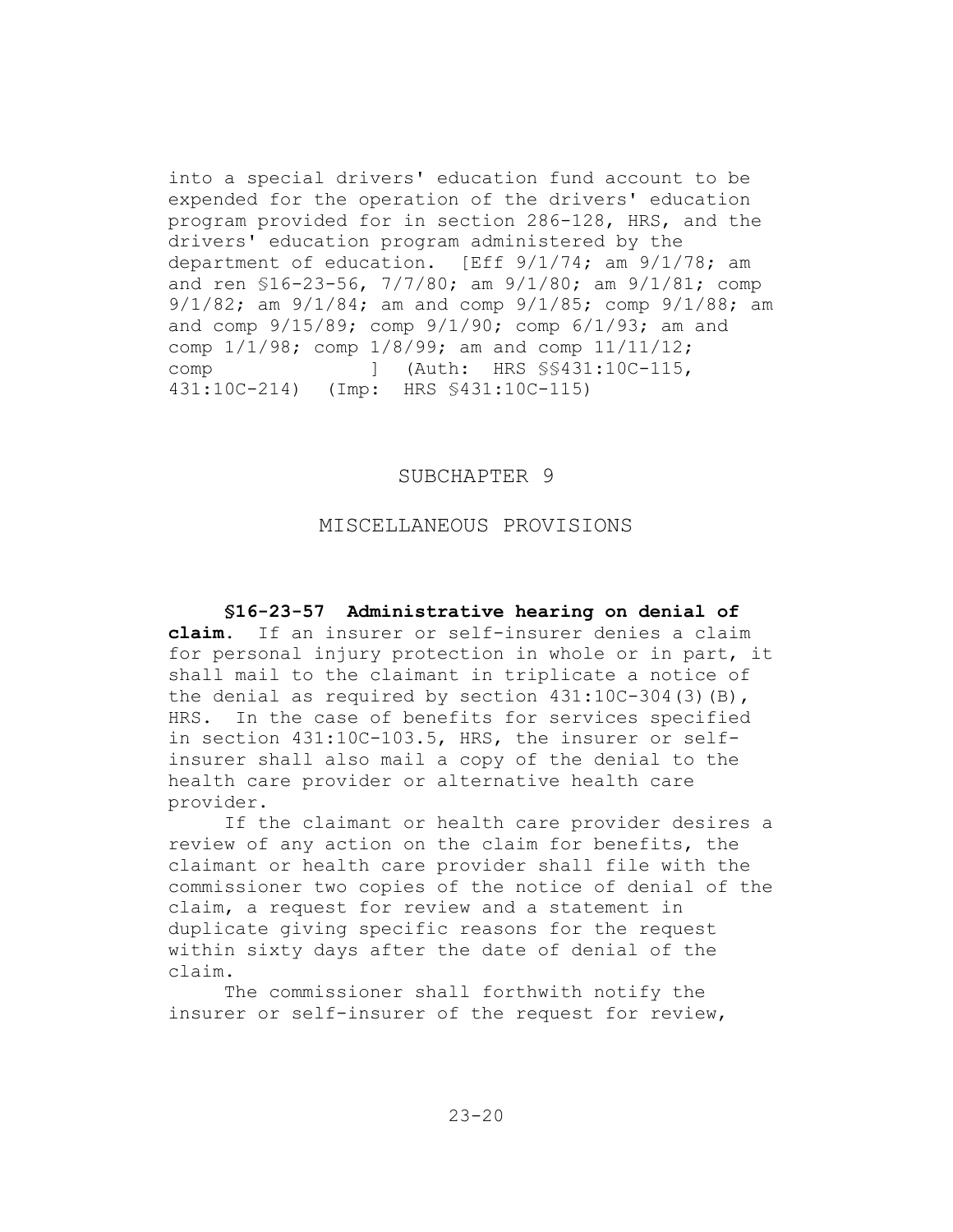into a special drivers' education fund account to be expended for the operation of the drivers' education program provided for in section 286-128, HRS, and the drivers' education program administered by the department of education. [Eff 9/1/74; am 9/1/78; am and ren §16-23-56, 7/7/80; am 9/1/80; am 9/1/81; comp 9/1/82; am 9/1/84; am and comp 9/1/85; comp 9/1/88; am and comp  $9/15/89$ ; comp  $9/1/90$ ; comp  $6/1/93$ ; am and comp 1/1/98; comp 1/8/99; am and comp 11/11/12; comp ] (Auth: HRS  $\S$ \$431:10C-115, 431:10C-214) (Imp: HRS §431:10C-115)

#### SUBCHAPTER 9

### MISCELLANEOUS PROVISIONS

**§16-23-57 Administrative hearing on denial of claim.** If an insurer or self-insurer denies a claim for personal injury protection in whole or in part, it shall mail to the claimant in triplicate a notice of the denial as required by section  $431:10C-304(3)(B)$ , HRS. In the case of benefits for services specified in section 431:10C-103.5, HRS, the insurer or selfinsurer shall also mail a copy of the denial to the health care provider or alternative health care provider.

If the claimant or health care provider desires a review of any action on the claim for benefits, the claimant or health care provider shall file with the commissioner two copies of the notice of denial of the claim, a request for review and a statement in duplicate giving specific reasons for the request within sixty days after the date of denial of the claim.

The commissioner shall forthwith notify the insurer or self-insurer of the request for review,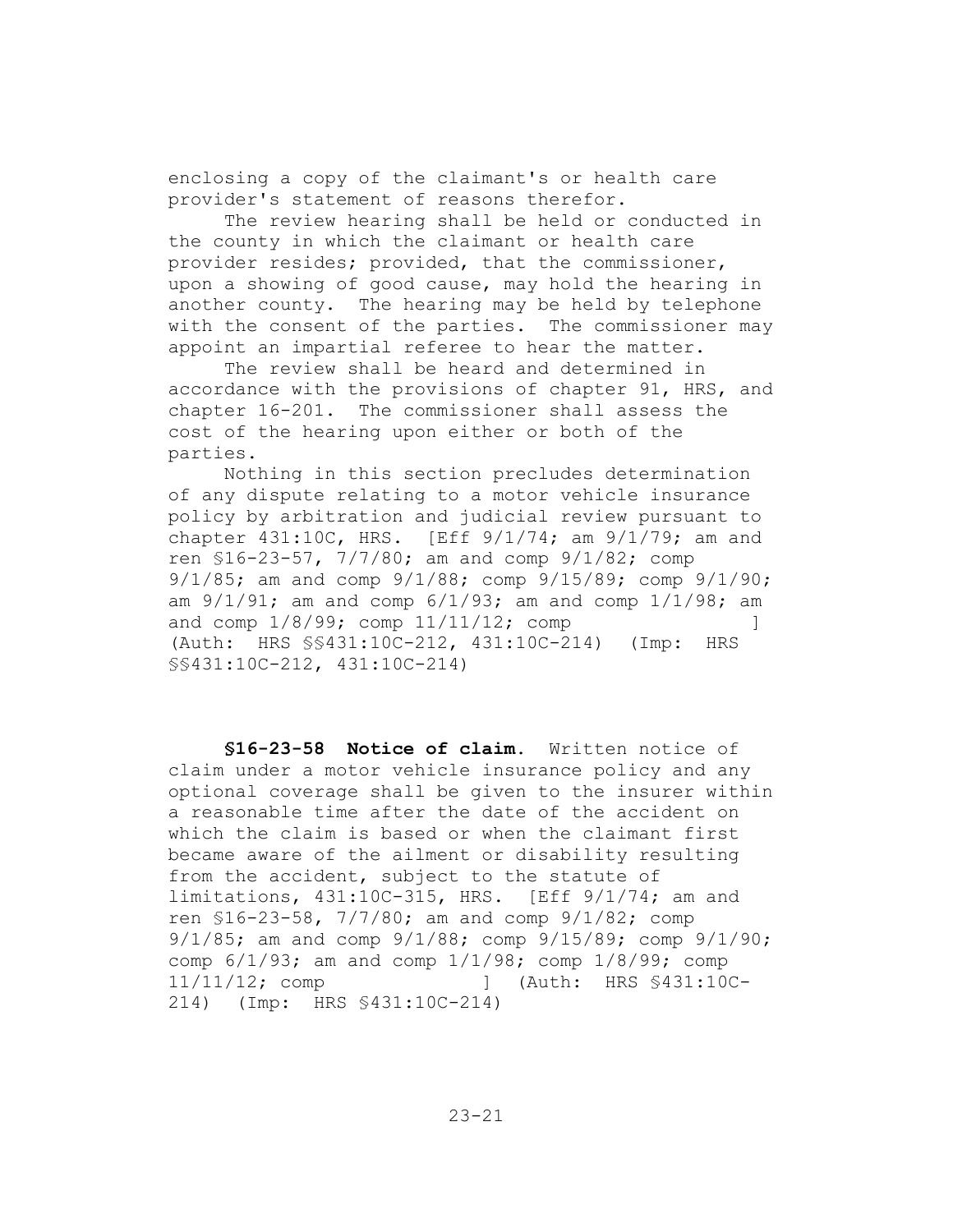enclosing a copy of the claimant's or health care provider's statement of reasons therefor.

The review hearing shall be held or conducted in the county in which the claimant or health care provider resides; provided, that the commissioner, upon a showing of good cause, may hold the hearing in another county. The hearing may be held by telephone with the consent of the parties. The commissioner may appoint an impartial referee to hear the matter.

The review shall be heard and determined in accordance with the provisions of chapter 91, HRS, and chapter 16-201. The commissioner shall assess the cost of the hearing upon either or both of the parties.

Nothing in this section precludes determination of any dispute relating to a motor vehicle insurance policy by arbitration and judicial review pursuant to chapter 431:10C, HRS. [Eff 9/1/74; am 9/1/79; am and ren §16-23-57, 7/7/80; am and comp 9/1/82; comp 9/1/85; am and comp 9/1/88; comp 9/15/89; comp 9/1/90; am  $9/1/91$ ; am and comp  $6/1/93$ ; am and comp  $1/1/98$ ; am and comp  $1/8/99$ ; comp  $11/11/12$ ; comp  $\qquad \qquad$  ] (Auth: HRS §§431:10C-212, 431:10C-214) (Imp: HRS §§431:10C-212, 431:10C-214)

**§16-23-58 Notice of claim.** Written notice of claim under a motor vehicle insurance policy and any optional coverage shall be given to the insurer within a reasonable time after the date of the accident on which the claim is based or when the claimant first became aware of the ailment or disability resulting from the accident, subject to the statute of limitations, 431:10C-315, HRS. [Eff 9/1/74; am and ren §16-23-58, 7/7/80; am and comp 9/1/82; comp 9/1/85; am and comp 9/1/88; comp 9/15/89; comp 9/1/90; comp 6/1/93; am and comp 1/1/98; comp 1/8/99; comp 11/11/12; comp ] (Auth: HRS §431:10C-214) (Imp: HRS §431:10C-214)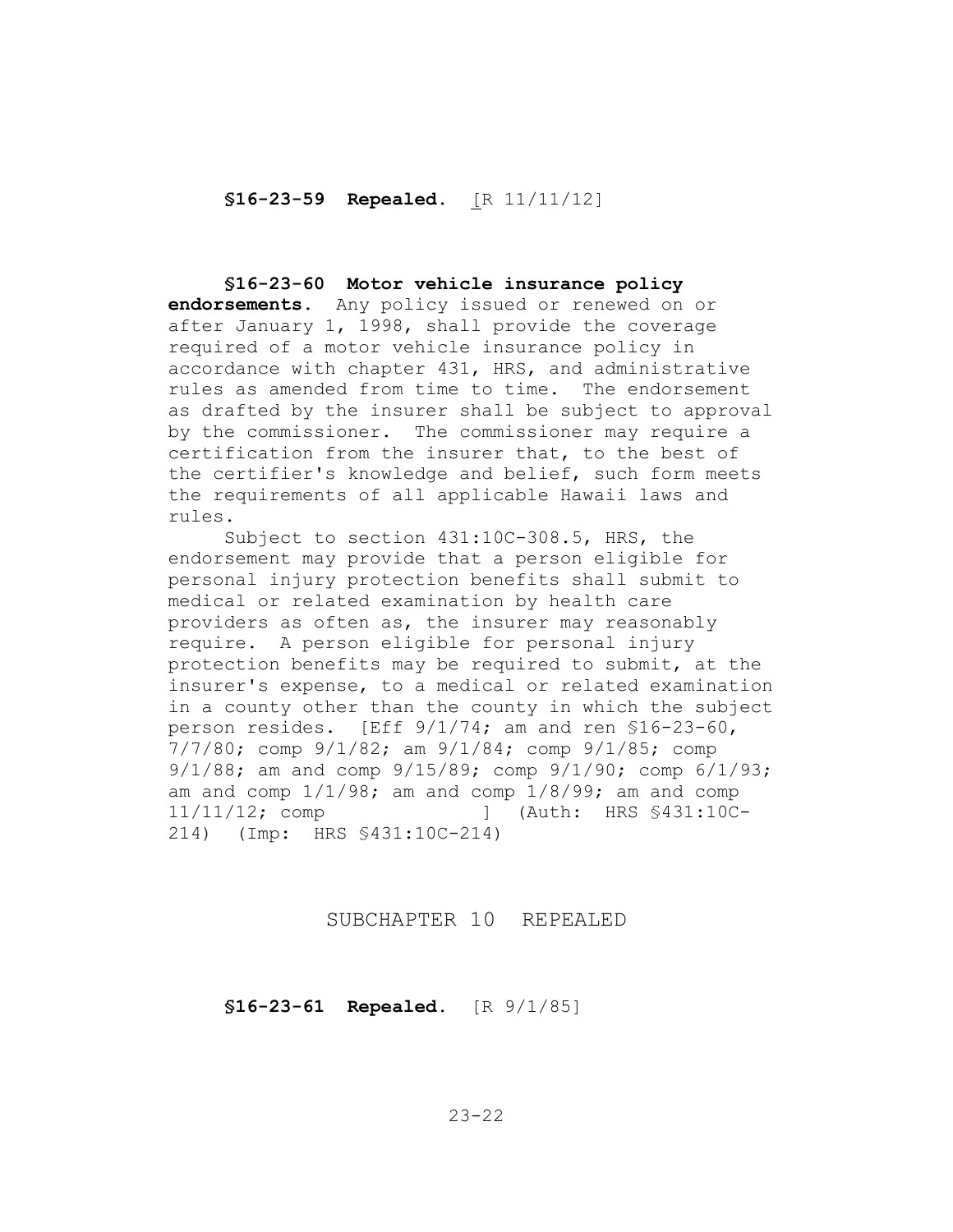**§16-23-59 Repealed.** [R 11/11/12]

**§16-23-60 Motor vehicle insurance policy endorsements.** Any policy issued or renewed on or after January 1, 1998, shall provide the coverage required of a motor vehicle insurance policy in accordance with chapter 431, HRS, and administrative rules as amended from time to time. The endorsement as drafted by the insurer shall be subject to approval by the commissioner. The commissioner may require a certification from the insurer that, to the best of the certifier's knowledge and belief, such form meets the requirements of all applicable Hawaii laws and rules.

Subject to section 431:10C-308.5, HRS, the endorsement may provide that a person eligible for personal injury protection benefits shall submit to medical or related examination by health care providers as often as, the insurer may reasonably require. A person eligible for personal injury protection benefits may be required to submit, at the insurer's expense, to a medical or related examination in a county other than the county in which the subject person resides. [Eff 9/1/74; am and ren §16-23-60, 7/7/80; comp 9/1/82; am 9/1/84; comp 9/1/85; comp 9/1/88; am and comp 9/15/89; comp 9/1/90; comp 6/1/93; am and comp  $1/1/98$ ; am and comp  $1/8/99$ ; am and comp 11/11/12; comp ] (Auth: HRS §431:10C-214) (Imp: HRS §431:10C-214)

SUBCHAPTER 10 REPEALED

**§16-23-61 Repealed.** [R 9/1/85]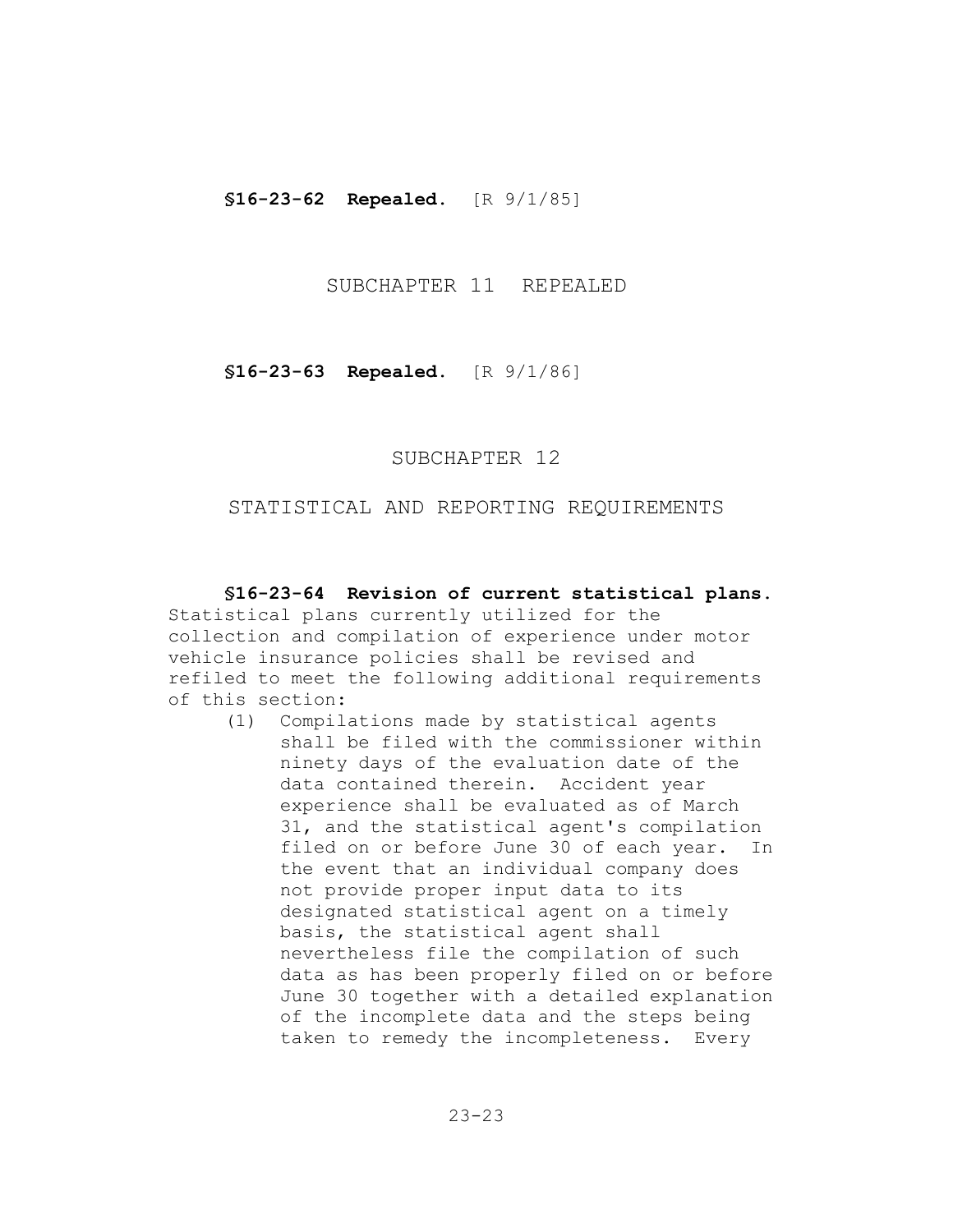**§16-23-62 Repealed.** [R 9/1/85]

## SUBCHAPTER 11 REPEALED

**§16-23-63 Repealed.** [R 9/1/86]

SUBCHAPTER 12

### STATISTICAL AND REPORTING REQUIREMENTS

**§16-23-64 Revision of current statistical plans.**  Statistical plans currently utilized for the collection and compilation of experience under motor vehicle insurance policies shall be revised and refiled to meet the following additional requirements of this section:

(1) Compilations made by statistical agents shall be filed with the commissioner within ninety days of the evaluation date of the data contained therein. Accident year experience shall be evaluated as of March 31, and the statistical agent's compilation filed on or before June 30 of each year. In the event that an individual company does not provide proper input data to its designated statistical agent on a timely basis, the statistical agent shall nevertheless file the compilation of such data as has been properly filed on or before June 30 together with a detailed explanation of the incomplete data and the steps being taken to remedy the incompleteness. Every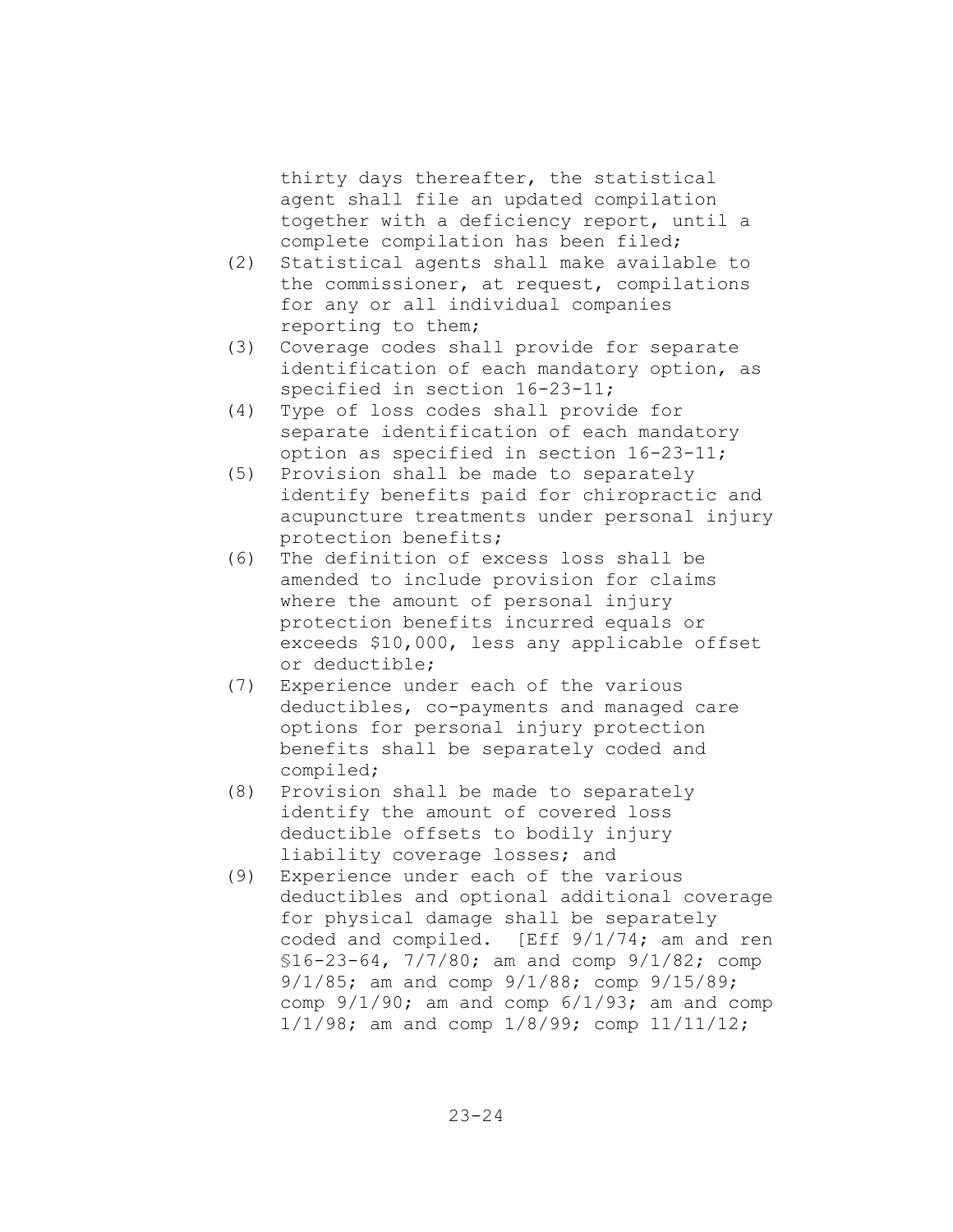thirty days thereafter, the statistical agent shall file an updated compilation together with a deficiency report, until a complete compilation has been filed;

- (2) Statistical agents shall make available to the commissioner, at request, compilations for any or all individual companies reporting to them;
- (3) Coverage codes shall provide for separate identification of each mandatory option, as specified in section 16-23-11;
- (4) Type of loss codes shall provide for separate identification of each mandatory option as specified in section 16-23-11;
- (5) Provision shall be made to separately identify benefits paid for chiropractic and acupuncture treatments under personal injury protection benefits;
- (6) The definition of excess loss shall be amended to include provision for claims where the amount of personal injury protection benefits incurred equals or exceeds \$10,000, less any applicable offset or deductible;
- (7) Experience under each of the various deductibles, co-payments and managed care options for personal injury protection benefits shall be separately coded and compiled;
- (8) Provision shall be made to separately identify the amount of covered loss deductible offsets to bodily injury liability coverage losses; and
- (9) Experience under each of the various deductibles and optional additional coverage for physical damage shall be separately coded and compiled. [Eff 9/1/74; am and ren §16-23-64, 7/7/80; am and comp 9/1/82; comp 9/1/85; am and comp 9/1/88; comp 9/15/89; comp  $9/1/90$ ; am and comp  $6/1/93$ ; am and comp 1/1/98; am and comp 1/8/99; comp 11/11/12;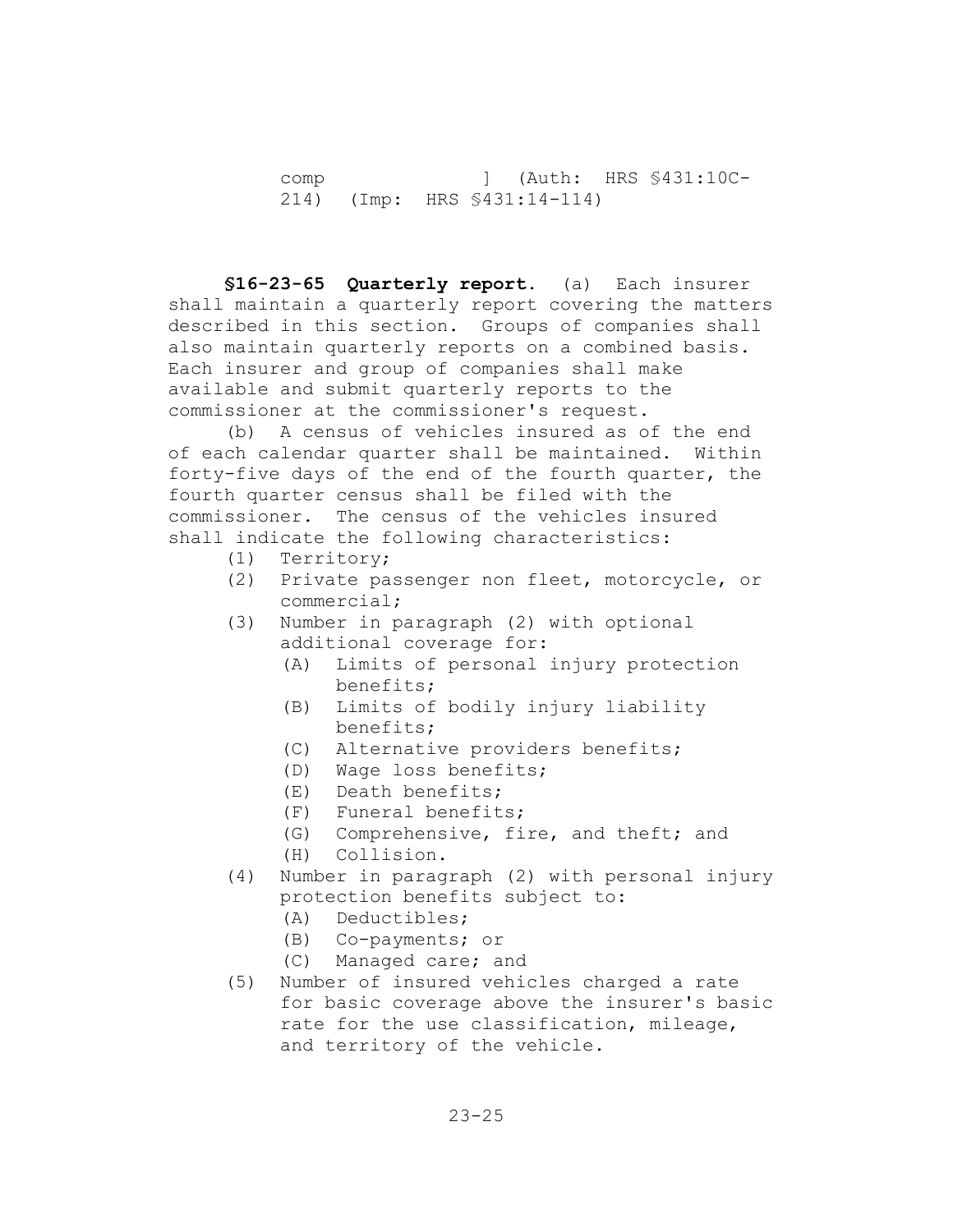comp ] (Auth: HRS §431:10C-214) (Imp: HRS §431:14-114)

**§16-23-65 Quarterly report.** (a) Each insurer shall maintain a quarterly report covering the matters described in this section. Groups of companies shall also maintain quarterly reports on a combined basis. Each insurer and group of companies shall make available and submit quarterly reports to the commissioner at the commissioner's request.

(b) A census of vehicles insured as of the end of each calendar quarter shall be maintained. Within forty-five days of the end of the fourth quarter, the fourth quarter census shall be filed with the commissioner. The census of the vehicles insured shall indicate the following characteristics:

- (1) Territory;
- (2) Private passenger non fleet, motorcycle, or commercial;
- (3) Number in paragraph (2) with optional additional coverage for:
	- (A) Limits of personal injury protection benefits;
	- (B) Limits of bodily injury liability benefits;
	- (C) Alternative providers benefits;
	- (D) Wage loss benefits;
	- (E) Death benefits;
	- (F) Funeral benefits;
	- (G) Comprehensive, fire, and theft; and
	- (H) Collision.
- (4) Number in paragraph (2) with personal injury protection benefits subject to:
	- (A) Deductibles;
	- (B) Co-payments; or
	- (C) Managed care; and
- (5) Number of insured vehicles charged a rate for basic coverage above the insurer's basic rate for the use classification, mileage, and territory of the vehicle.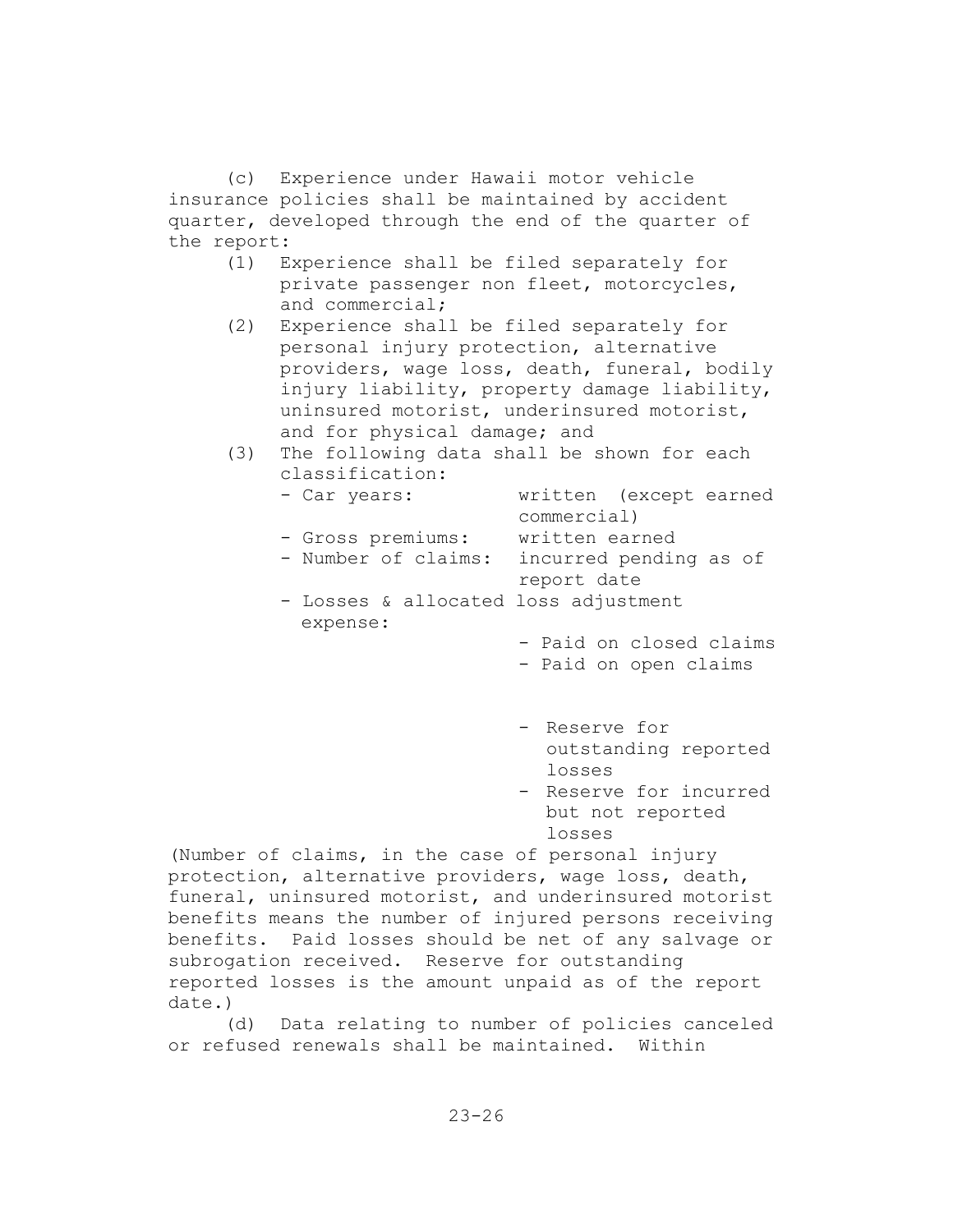(c) Experience under Hawaii motor vehicle insurance policies shall be maintained by accident quarter, developed through the end of the quarter of the report:

- (1) Experience shall be filed separately for private passenger non fleet, motorcycles, and commercial;
- (2) Experience shall be filed separately for personal injury protection, alternative providers, wage loss, death, funeral, bodily injury liability, property damage liability, uninsured motorist, underinsured motorist, and for physical damage; and
- (3) The following data shall be shown for each classification:

| - Car years:                         | written (except earned  |
|--------------------------------------|-------------------------|
|                                      | commercial)             |
| - Gross premiums:                    | written earned          |
| - Number of claims:                  | incurred pending as of  |
|                                      | report date             |
| - Losses & allocated loss adjustment |                         |
| expense:                             |                         |
|                                      | - Paid on closed claims |
|                                      | - Paid on open claims   |
|                                      |                         |

- Reserve for outstanding reported losses
- Reserve for incurred but not reported losses

(Number of claims, in the case of personal injury protection, alternative providers, wage loss, death, funeral, uninsured motorist, and underinsured motorist benefits means the number of injured persons receiving benefits. Paid losses should be net of any salvage or subrogation received. Reserve for outstanding reported losses is the amount unpaid as of the report date.)

(d) Data relating to number of policies canceled or refused renewals shall be maintained. Within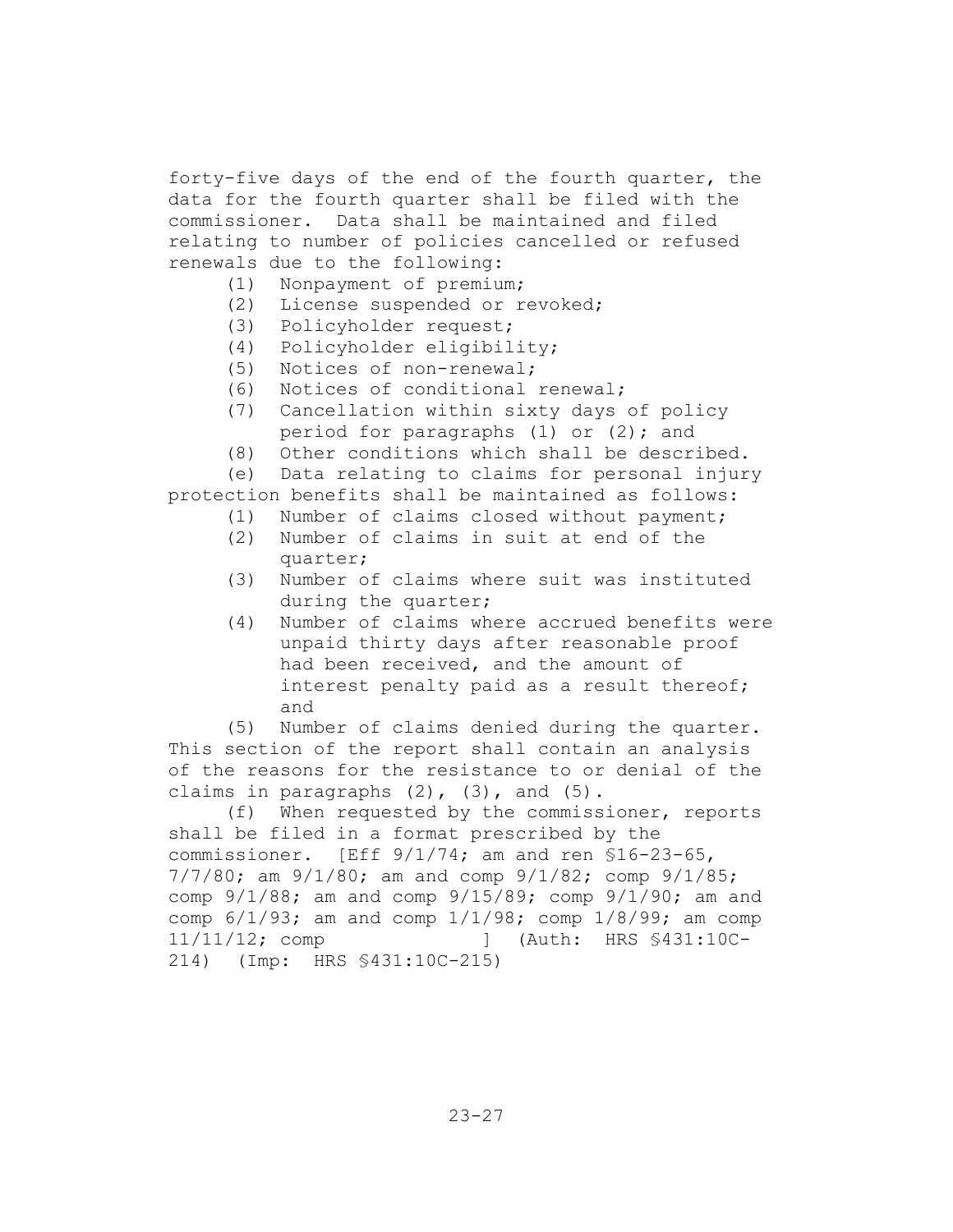forty-five days of the end of the fourth quarter, the data for the fourth quarter shall be filed with the commissioner. Data shall be maintained and filed relating to number of policies cancelled or refused renewals due to the following:

- (1) Nonpayment of premium;
- (2) License suspended or revoked;
- (3) Policyholder request;
- (4) Policyholder eligibility;
- (5) Notices of non-renewal;
- (6) Notices of conditional renewal;
- (7) Cancellation within sixty days of policy period for paragraphs (1) or (2); and
- (8) Other conditions which shall be described.

(e) Data relating to claims for personal injury

- protection benefits shall be maintained as follows:
	- (1) Number of claims closed without payment;
	- (2) Number of claims in suit at end of the quarter;
	- (3) Number of claims where suit was instituted during the quarter;
	- (4) Number of claims where accrued benefits were unpaid thirty days after reasonable proof had been received, and the amount of interest penalty paid as a result thereof; and

(5) Number of claims denied during the quarter. This section of the report shall contain an analysis of the reasons for the resistance to or denial of the claims in paragraphs  $(2)$ ,  $(3)$ , and  $(5)$ .

(f) When requested by the commissioner, reports shall be filed in a format prescribed by the commissioner. [Eff 9/1/74; am and ren §16-23-65, 7/7/80; am 9/1/80; am and comp 9/1/82; comp 9/1/85; comp 9/1/88; am and comp 9/15/89; comp 9/1/90; am and comp  $6/1/93$ ; am and comp  $1/1/98$ ; comp  $1/8/99$ ; am comp 11/11/12; comp ] (Auth: HRS §431:10C-214) (Imp: HRS §431:10C-215)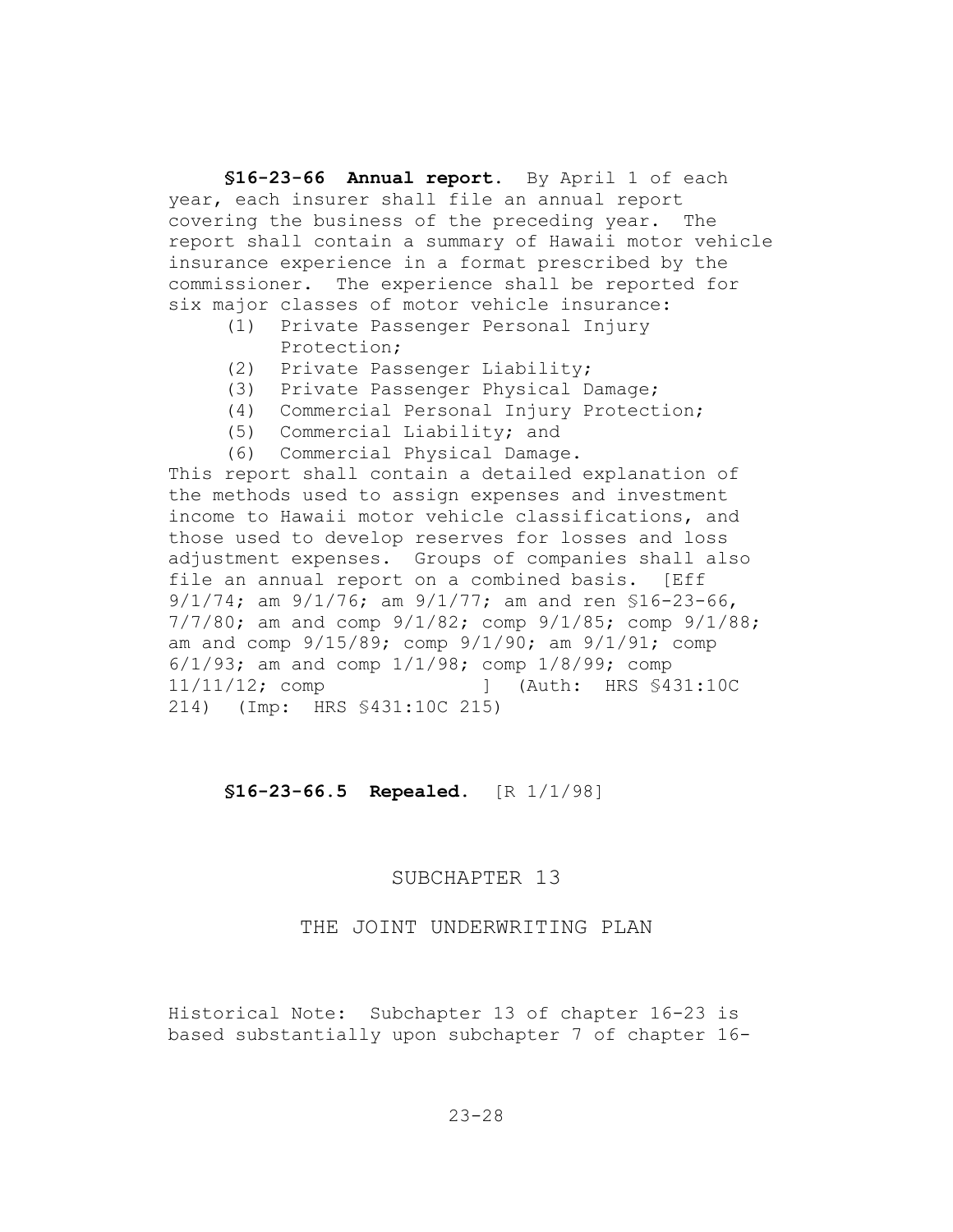**§16-23-66 Annual report.** By April 1 of each year, each insurer shall file an annual report covering the business of the preceding year. The report shall contain a summary of Hawaii motor vehicle insurance experience in a format prescribed by the commissioner. The experience shall be reported for six major classes of motor vehicle insurance:

- (1) Private Passenger Personal Injury Protection;
- (2) Private Passenger Liability;
- (3) Private Passenger Physical Damage;
- (4) Commercial Personal Injury Protection;
- (5) Commercial Liability; and
- (6) Commercial Physical Damage.

This report shall contain a detailed explanation of the methods used to assign expenses and investment income to Hawaii motor vehicle classifications, and those used to develop reserves for losses and loss adjustment expenses. Groups of companies shall also file an annual report on a combined basis. [Eff 9/1/74; am 9/1/76; am 9/1/77; am and ren §16-23-66, 7/7/80; am and comp 9/1/82; comp 9/1/85; comp 9/1/88; am and comp  $9/15/89$ ; comp  $9/1/90$ ; am  $9/1/91$ ; comp 6/1/93; am and comp 1/1/98; comp 1/8/99; comp 11/11/12; comp ] (Auth: HRS §431:10C 214) (Imp: HRS §431:10C 215)

**§16-23-66.5 Repealed.** [R 1/1/98]

#### SUBCHAPTER 13

# THE JOINT UNDERWRITING PLAN

Historical Note: Subchapter 13 of chapter 16-23 is based substantially upon subchapter 7 of chapter 16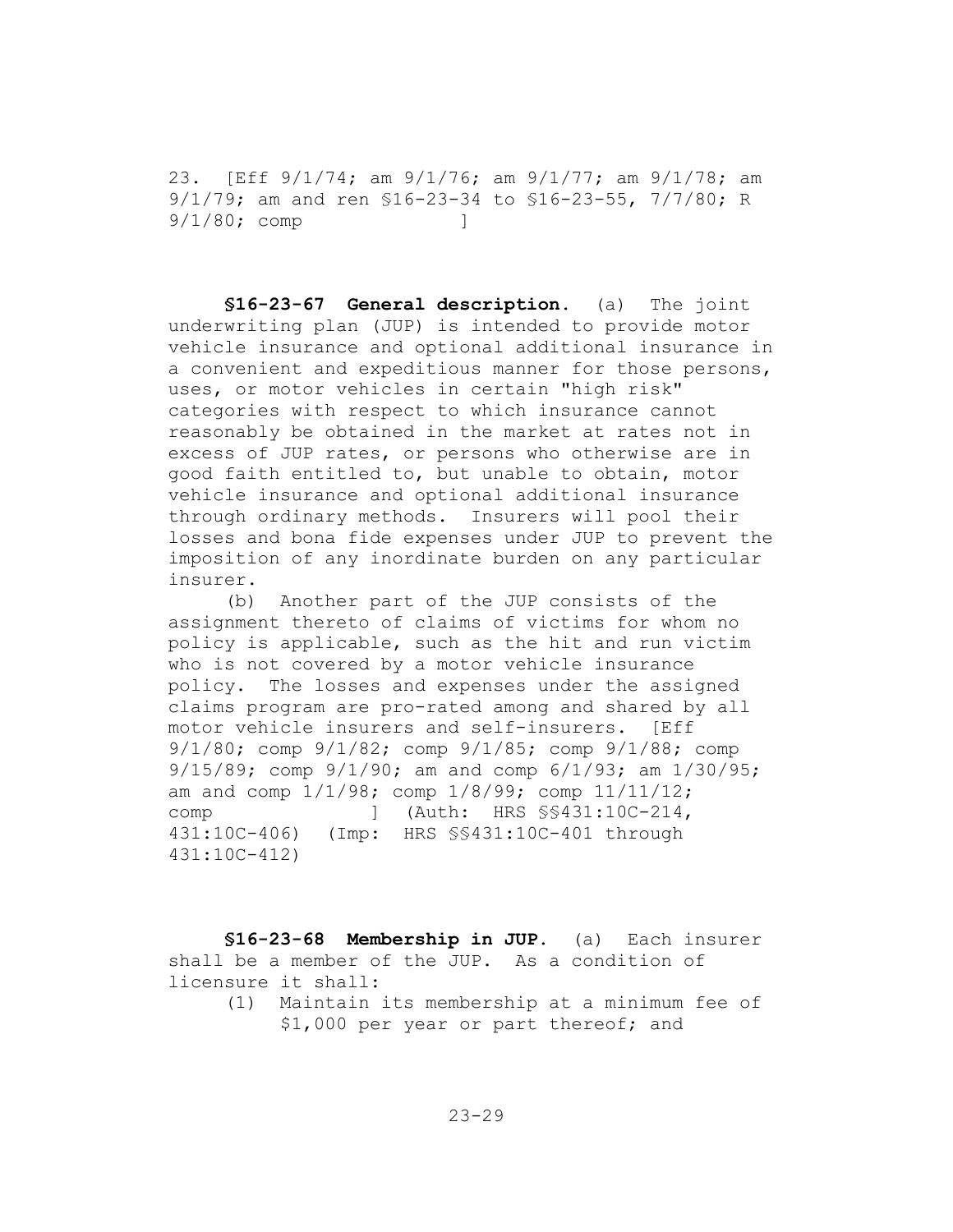23. [Eff 9/1/74; am 9/1/76; am 9/1/77; am 9/1/78; am 9/1/79; am and ren §16-23-34 to §16-23-55, 7/7/80; R 9/1/80; comp ]

**§16-23-67 General description.** (a) The joint underwriting plan (JUP) is intended to provide motor vehicle insurance and optional additional insurance in a convenient and expeditious manner for those persons, uses, or motor vehicles in certain "high risk" categories with respect to which insurance cannot reasonably be obtained in the market at rates not in excess of JUP rates, or persons who otherwise are in good faith entitled to, but unable to obtain, motor vehicle insurance and optional additional insurance through ordinary methods. Insurers will pool their losses and bona fide expenses under JUP to prevent the imposition of any inordinate burden on any particular insurer.

(b) Another part of the JUP consists of the assignment thereto of claims of victims for whom no policy is applicable, such as the hit and run victim who is not covered by a motor vehicle insurance policy. The losses and expenses under the assigned claims program are pro-rated among and shared by all motor vehicle insurers and self-insurers. [Eff 9/1/80; comp 9/1/82; comp 9/1/85; comp 9/1/88; comp 9/15/89; comp 9/1/90; am and comp 6/1/93; am 1/30/95; am and comp 1/1/98; comp 1/8/99; comp 11/11/12; comp ] (Auth: HRS §§431:10C-214, 431:10C-406) (Imp: HRS §§431:10C-401 through 431:10C-412)

**§16-23-68 Membership in JUP.** (a) Each insurer shall be a member of the JUP. As a condition of licensure it shall:

(1) Maintain its membership at a minimum fee of \$1,000 per year or part thereof; and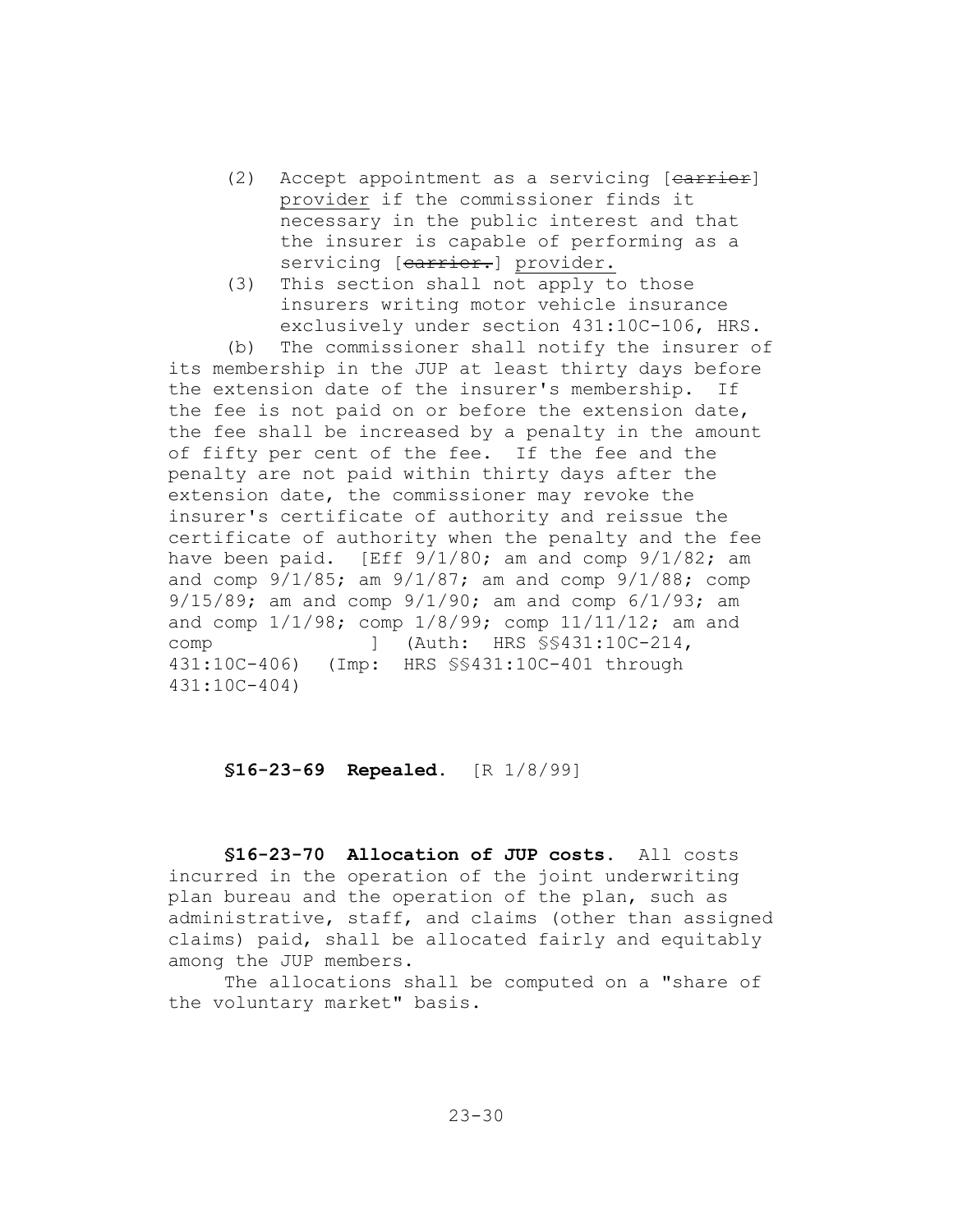- $(2)$  Accept appointment as a servicing  $[earrier]$ provider if the commissioner finds it necessary in the public interest and that the insurer is capable of performing as a servicing [carrier.] provider.
- (3) This section shall not apply to those insurers writing motor vehicle insurance exclusively under section 431:10C-106, HRS.

(b) The commissioner shall notify the insurer of its membership in the JUP at least thirty days before the extension date of the insurer's membership. If the fee is not paid on or before the extension date, the fee shall be increased by a penalty in the amount of fifty per cent of the fee. If the fee and the penalty are not paid within thirty days after the extension date, the commissioner may revoke the insurer's certificate of authority and reissue the certificate of authority when the penalty and the fee have been paid. [Eff  $9/1/80$ ; am and comp  $9/1/82$ ; am and comp 9/1/85; am 9/1/87; am and comp 9/1/88; comp 9/15/89; am and comp 9/1/90; am and comp 6/1/93; am and comp 1/1/98; comp 1/8/99; comp 11/11/12; am and comp ] (Auth: HRS  $\S$ \$431:10C-214, 431:10C-406) (Imp: HRS §§431:10C-401 through 431:10C-404)

# **§16-23-69 Repealed.** [R 1/8/99]

**§16-23-70 Allocation of JUP costs.** All costs incurred in the operation of the joint underwriting plan bureau and the operation of the plan, such as administrative, staff, and claims (other than assigned claims) paid, shall be allocated fairly and equitably among the JUP members.

The allocations shall be computed on a "share of the voluntary market" basis.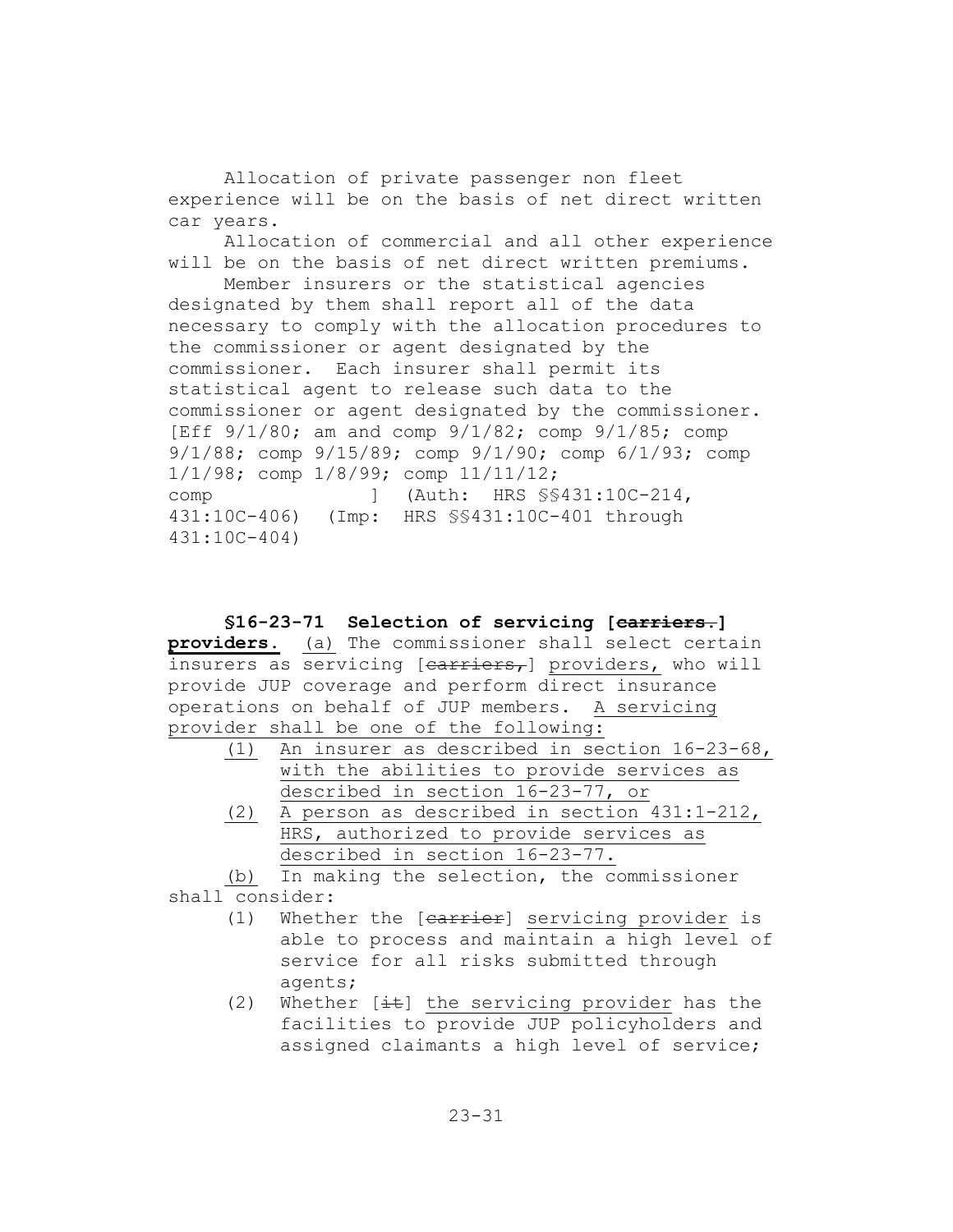Allocation of private passenger non fleet experience will be on the basis of net direct written car years.

Allocation of commercial and all other experience will be on the basis of net direct written premiums.

Member insurers or the statistical agencies designated by them shall report all of the data necessary to comply with the allocation procedures to the commissioner or agent designated by the commissioner. Each insurer shall permit its statistical agent to release such data to the commissioner or agent designated by the commissioner. [Eff 9/1/80; am and comp 9/1/82; comp 9/1/85; comp 9/1/88; comp 9/15/89; comp 9/1/90; comp 6/1/93; comp 1/1/98; comp 1/8/99; comp 11/11/12; comp ] (Auth: HRS §§431:10C-214, 431:10C-406) (Imp: HRS §§431:10C-401 through 431:10C-404)

# **§16-23-71 Selection of servicing [carriers.]**

**providers.** (a) The commissioner shall select certain insurers as servicing [carriers,] providers, who will provide JUP coverage and perform direct insurance operations on behalf of JUP members. A servicing provider shall be one of the following:

- (1) An insurer as described in section 16-23-68, with the abilities to provide services as described in section 16-23-77, or
- (2) A person as described in section 431:1-212, HRS, authorized to provide services as described in section 16-23-77.

(b) In making the selection, the commissioner shall consider:

- (1) Whether the [carrier] servicing provider is able to process and maintain a high level of service for all risks submitted through agents;
- (2) Whether  $[\pm \frac{1}{2}]$  the servicing provider has the facilities to provide JUP policyholders and assigned claimants a high level of service;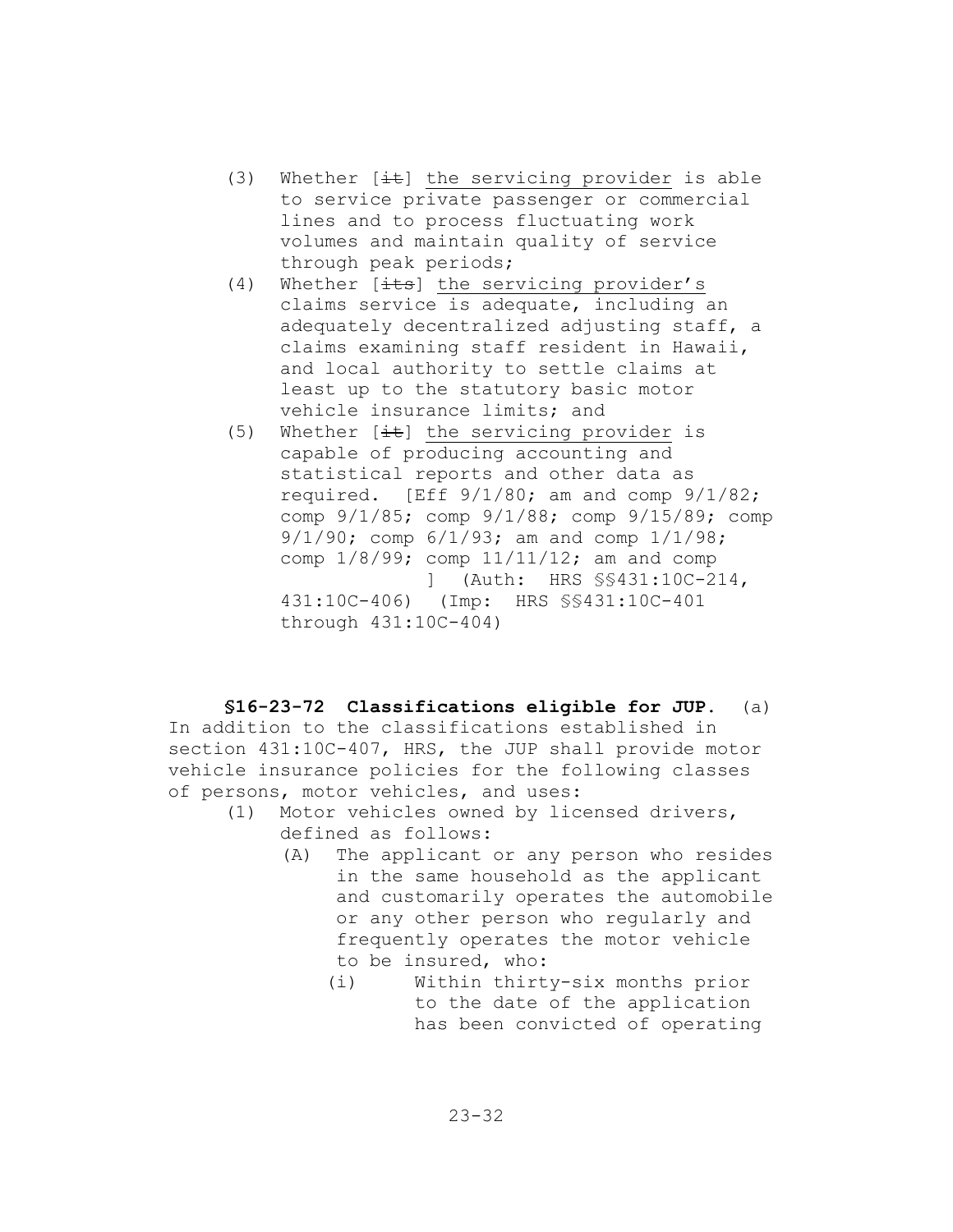- (3) Whether  $[\pm \pm]$  the servicing provider is able to service private passenger or commercial lines and to process fluctuating work volumes and maintain quality of service through peak periods;
- (4) Whether  $[\frac{1}{1+s}]$  the servicing provider's claims service is adequate, including an adequately decentralized adjusting staff, a claims examining staff resident in Hawaii, and local authority to settle claims at least up to the statutory basic motor vehicle insurance limits; and
- (5) Whether  $[\frac{it}{t}]$  the servicing provider is capable of producing accounting and statistical reports and other data as required.  $[Eff 9/1/80; am and comp 9/1/82;$ comp 9/1/85; comp 9/1/88; comp 9/15/89; comp 9/1/90; comp 6/1/93; am and comp 1/1/98; comp 1/8/99; comp 11/11/12; am and comp ] (Auth: HRS §§431:10C-214, 431:10C-406) (Imp: HRS §§431:10C-401 through 431:10C-404)

#### **§16-23-72 Classifications eligible for JUP.** (a)

In addition to the classifications established in section 431:10C-407, HRS, the JUP shall provide motor vehicle insurance policies for the following classes of persons, motor vehicles, and uses:

- (1) Motor vehicles owned by licensed drivers, defined as follows:
	- (A) The applicant or any person who resides in the same household as the applicant and customarily operates the automobile or any other person who regularly and frequently operates the motor vehicle to be insured, who:
		- (i) Within thirty-six months prior to the date of the application has been convicted of operating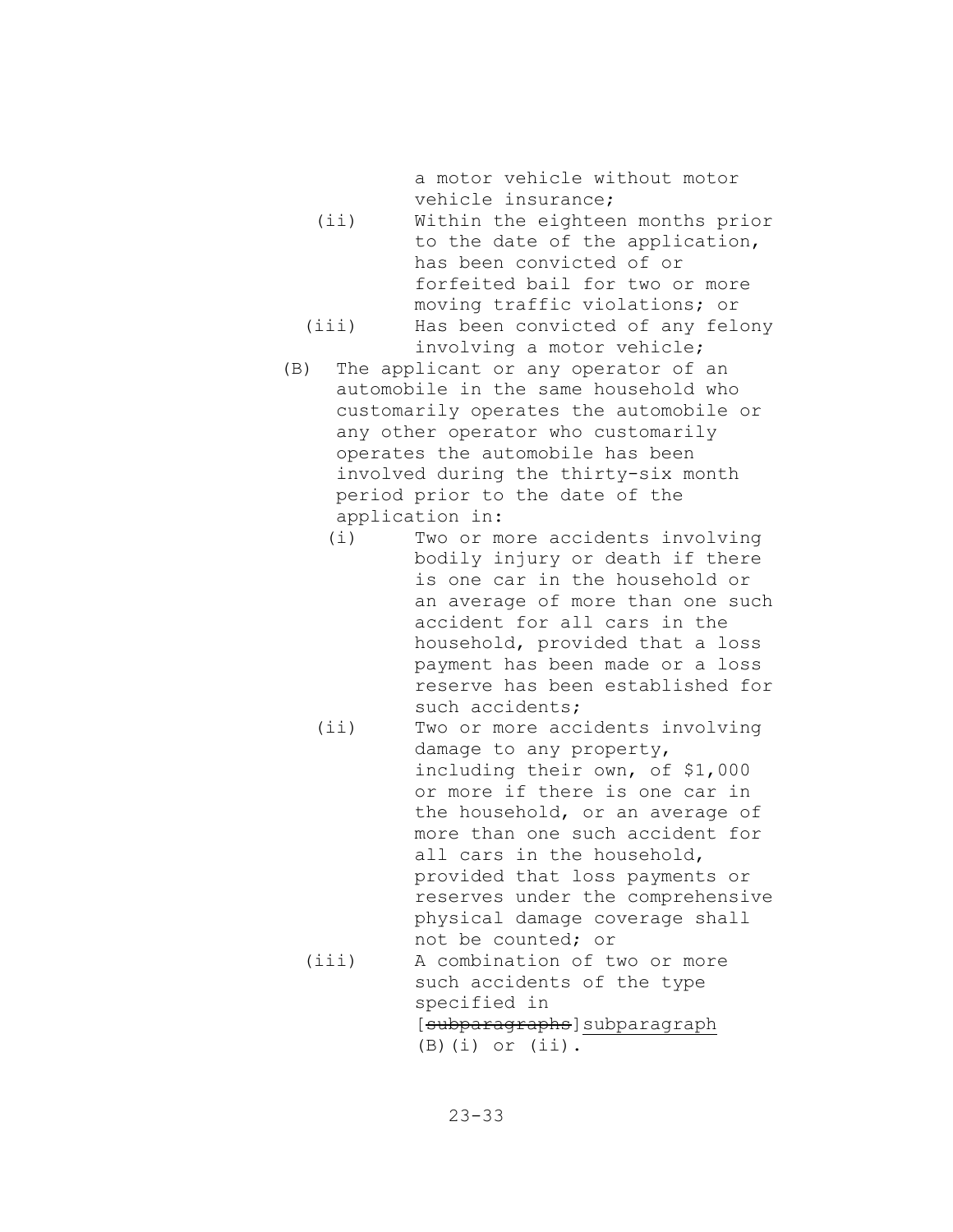a motor vehicle without motor vehicle insurance;

- (ii) Within the eighteen months prior to the date of the application, has been convicted of or forfeited bail for two or more moving traffic violations; or (iii) Has been convicted of any felony
- involving a motor vehicle; (B) The applicant or any operator of an
- automobile in the same household who customarily operates the automobile or any other operator who customarily operates the automobile has been involved during the thirty-six month period prior to the date of the application in:
	- (i) Two or more accidents involving bodily injury or death if there is one car in the household or an average of more than one such accident for all cars in the household, provided that a loss payment has been made or a loss reserve has been established for such accidents;
	- (ii) Two or more accidents involving damage to any property, including their own, of \$1,000 or more if there is one car in the household, or an average of more than one such accident for all cars in the household, provided that loss payments or reserves under the comprehensive physical damage coverage shall not be counted; or (iii) A combination of two or more
		- such accidents of the type specified in [subparagraphs]subparagraph  $(B)(i)$  or  $(ii)$ .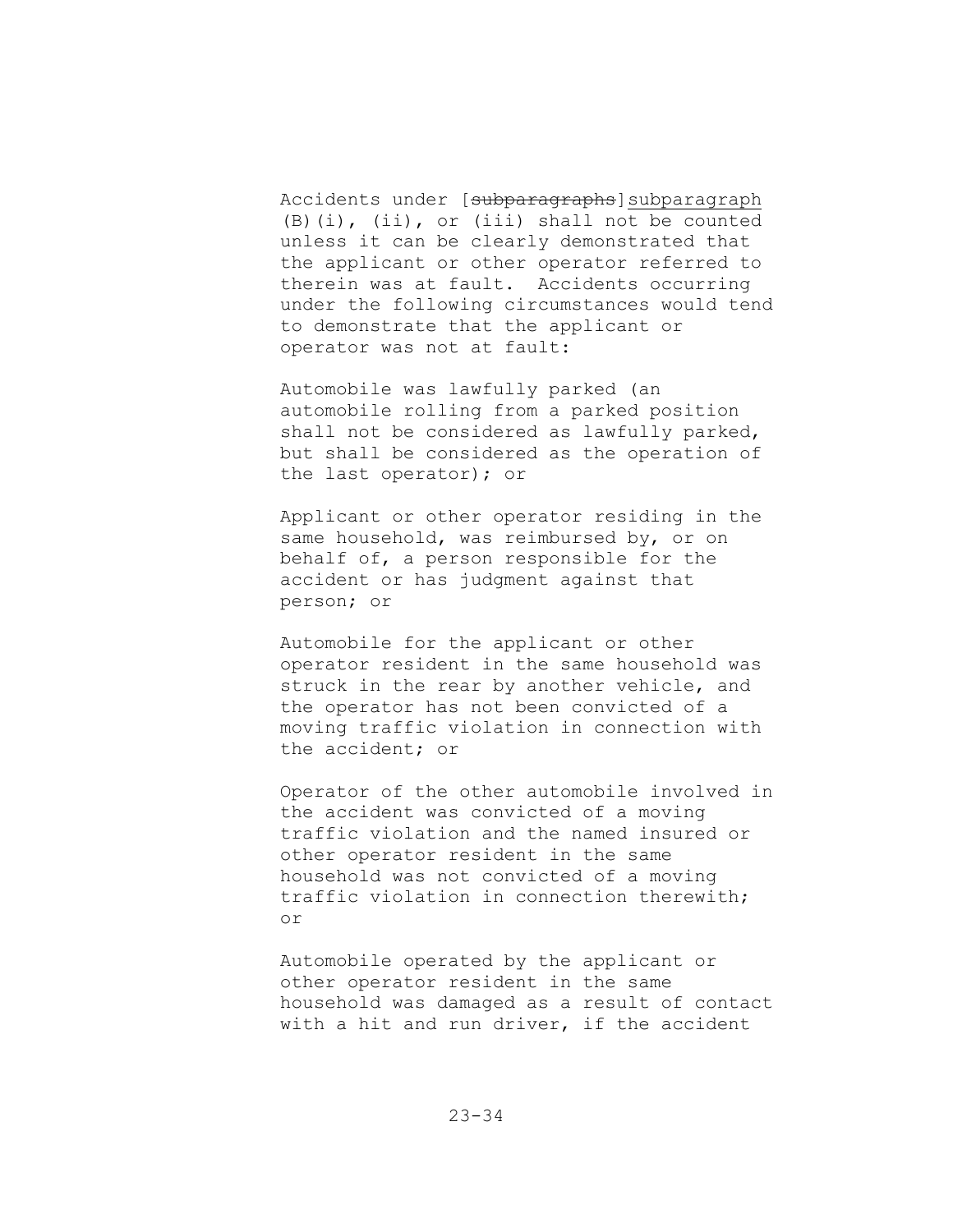Accidents under [subparagraphs]subparagraph (B)(i), (ii), or (iii) shall not be counted unless it can be clearly demonstrated that the applicant or other operator referred to therein was at fault. Accidents occurring under the following circumstances would tend to demonstrate that the applicant or operator was not at fault:

Automobile was lawfully parked (an automobile rolling from a parked position shall not be considered as lawfully parked, but shall be considered as the operation of the last operator); or

Applicant or other operator residing in the same household, was reimbursed by, or on behalf of, a person responsible for the accident or has judgment against that person; or

Automobile for the applicant or other operator resident in the same household was struck in the rear by another vehicle, and the operator has not been convicted of a moving traffic violation in connection with the accident; or

Operator of the other automobile involved in the accident was convicted of a moving traffic violation and the named insured or other operator resident in the same household was not convicted of a moving traffic violation in connection therewith; or

Automobile operated by the applicant or other operator resident in the same household was damaged as a result of contact with a hit and run driver, if the accident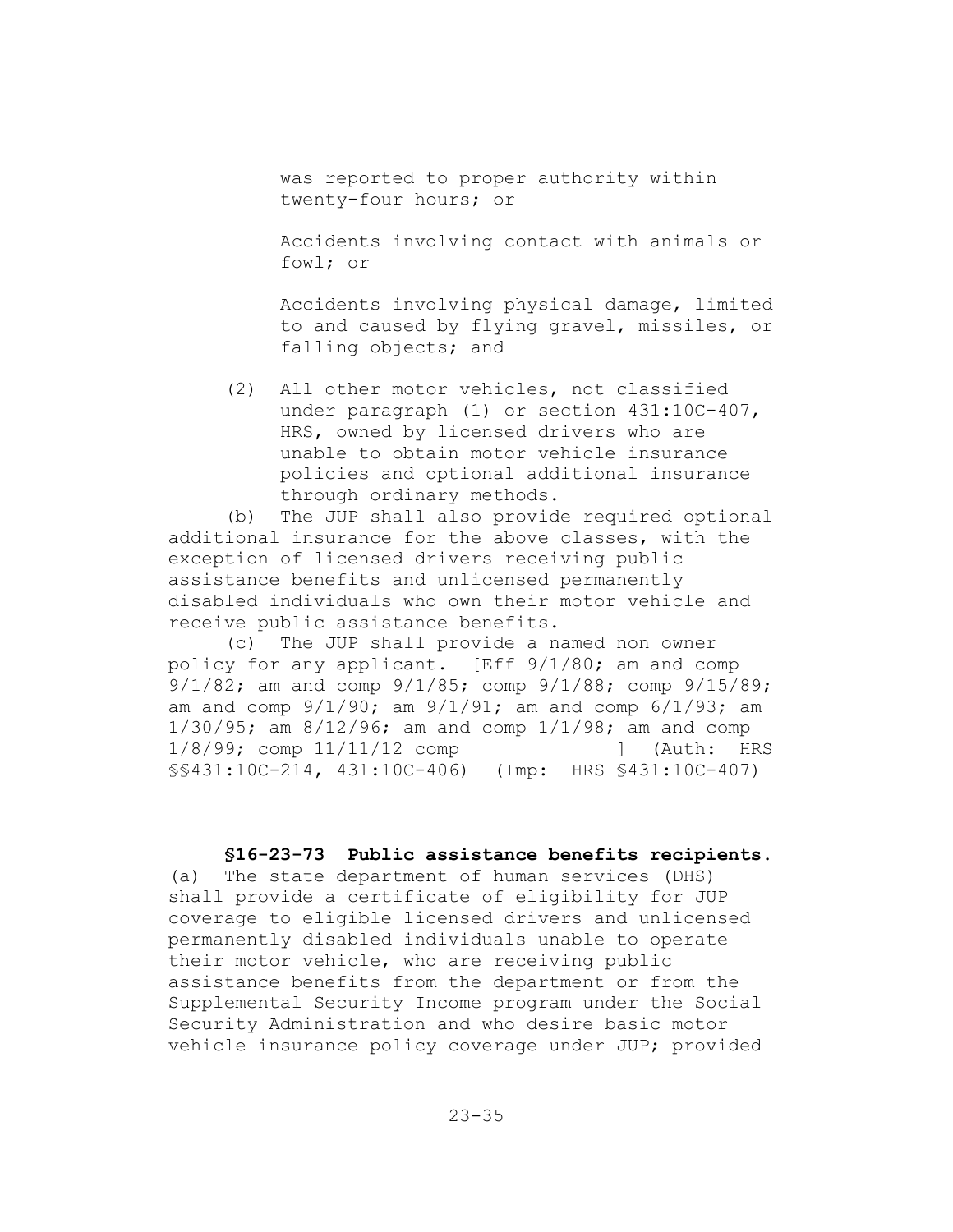was reported to proper authority within twenty-four hours; or

Accidents involving contact with animals or fowl; or

Accidents involving physical damage, limited to and caused by flying gravel, missiles, or falling objects; and

(2) All other motor vehicles, not classified under paragraph (1) or section 431:10C-407, HRS, owned by licensed drivers who are unable to obtain motor vehicle insurance policies and optional additional insurance through ordinary methods.

(b) The JUP shall also provide required optional additional insurance for the above classes, with the exception of licensed drivers receiving public assistance benefits and unlicensed permanently disabled individuals who own their motor vehicle and receive public assistance benefits.

(c) The JUP shall provide a named non owner policy for any applicant. [Eff 9/1/80; am and comp 9/1/82; am and comp 9/1/85; comp 9/1/88; comp 9/15/89; am and comp  $9/1/90$ ; am  $9/1/91$ ; am and comp  $6/1/93$ ; am 1/30/95; am 8/12/96; am and comp 1/1/98; am and comp 1/8/99; comp 11/11/12 comp [1] (Auth: HRS §§431:10C-214, 431:10C-406) (Imp: HRS §431:10C-407)

### **§16-23-73 Public assistance benefits recipients.**

(a) The state department of human services (DHS) shall provide a certificate of eligibility for JUP coverage to eligible licensed drivers and unlicensed permanently disabled individuals unable to operate their motor vehicle, who are receiving public assistance benefits from the department or from the Supplemental Security Income program under the Social Security Administration and who desire basic motor vehicle insurance policy coverage under JUP; provided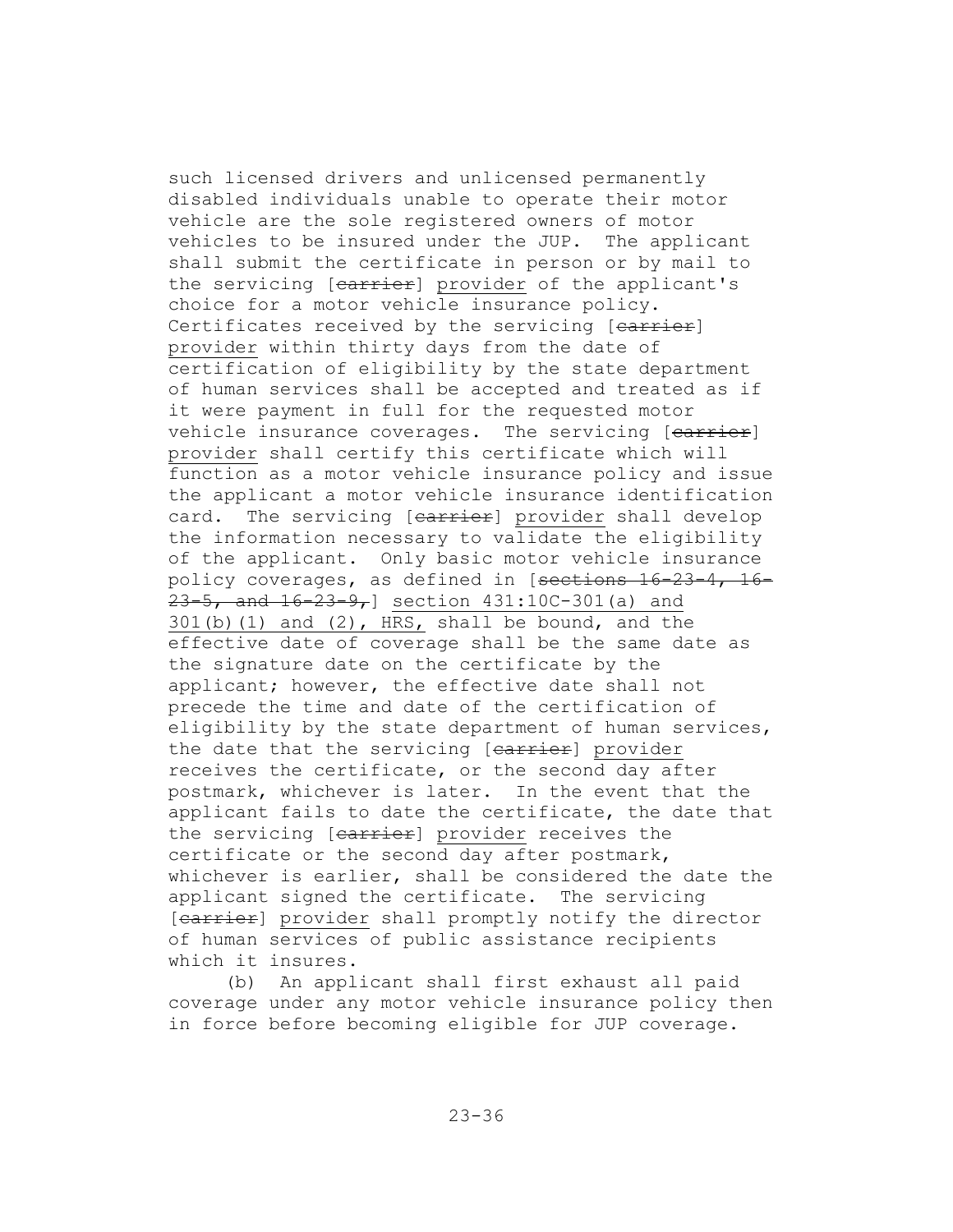such licensed drivers and unlicensed permanently disabled individuals unable to operate their motor vehicle are the sole registered owners of motor vehicles to be insured under the JUP. The applicant shall submit the certificate in person or by mail to the servicing [earrier] provider of the applicant's choice for a motor vehicle insurance policy. Certificates received by the servicing [carrier] provider within thirty days from the date of certification of eligibility by the state department of human services shall be accepted and treated as if it were payment in full for the requested motor vehicle insurance coverages. The servicing [earrier] provider shall certify this certificate which will function as a motor vehicle insurance policy and issue the applicant a motor vehicle insurance identification card. The servicing [carrier] provider shall develop the information necessary to validate the eligibility of the applicant. Only basic motor vehicle insurance policy coverages, as defined in [sections 16-23-4, 16-  $23-5$ , and  $16-23-9$ , section  $431:10C-301$  (a) and  $301(b)(1)$  and  $(2)$ , HRS, shall be bound, and the effective date of coverage shall be the same date as the signature date on the certificate by the applicant; however, the effective date shall not precede the time and date of the certification of eligibility by the state department of human services, the date that the servicing [earrier] provider receives the certificate, or the second day after postmark, whichever is later. In the event that the applicant fails to date the certificate, the date that the servicing [carrier] provider receives the certificate or the second day after postmark, whichever is earlier, shall be considered the date the applicant signed the certificate. The servicing [carrier] provider shall promptly notify the director of human services of public assistance recipients which it insures.

(b) An applicant shall first exhaust all paid coverage under any motor vehicle insurance policy then in force before becoming eligible for JUP coverage.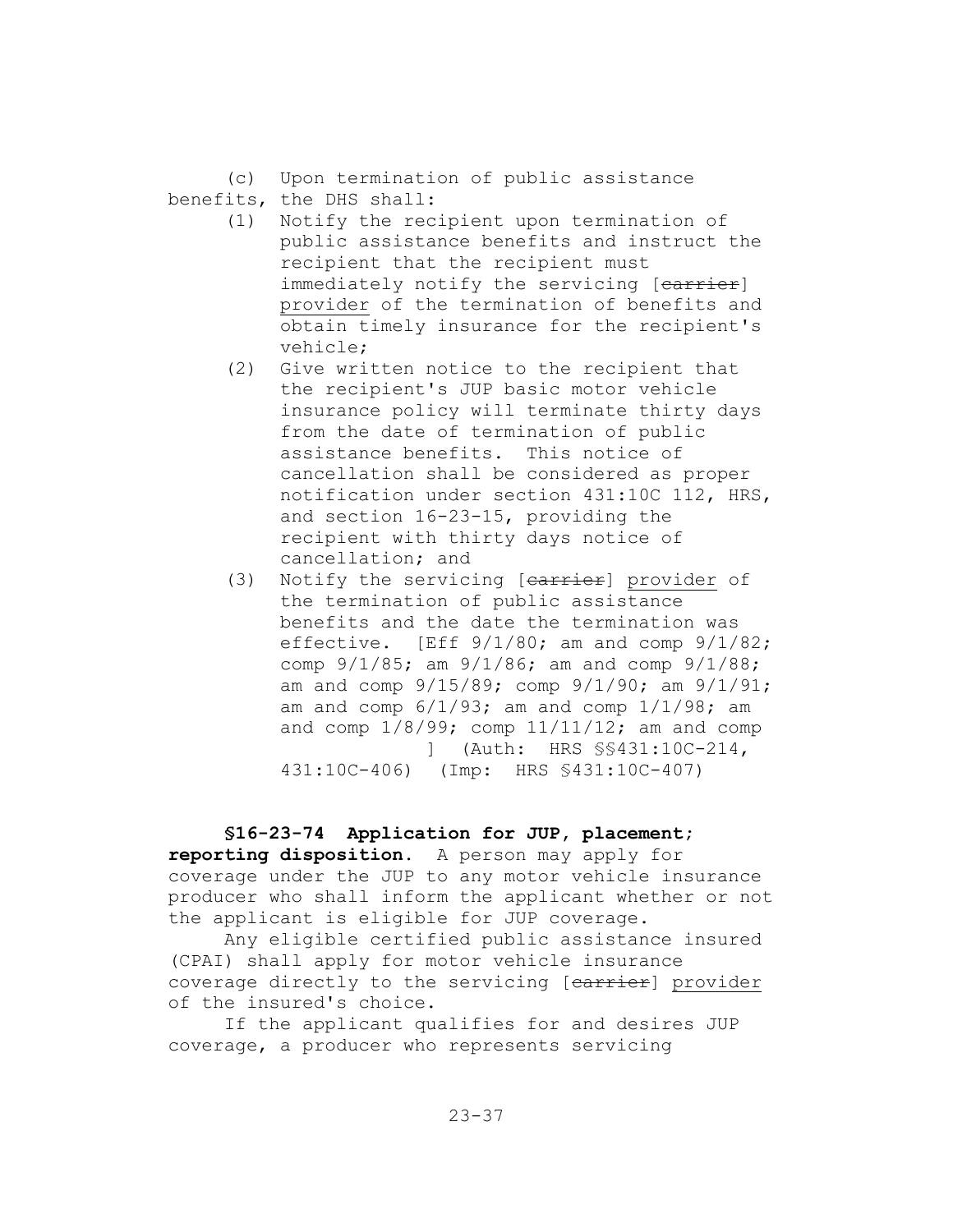(c) Upon termination of public assistance benefits, the DHS shall:

- (1) Notify the recipient upon termination of public assistance benefits and instruct the recipient that the recipient must immediately notify the servicing [carrier] provider of the termination of benefits and obtain timely insurance for the recipient's vehicle;
- (2) Give written notice to the recipient that the recipient's JUP basic motor vehicle insurance policy will terminate thirty days from the date of termination of public assistance benefits. This notice of cancellation shall be considered as proper notification under section 431:10C 112, HRS, and section 16-23-15, providing the recipient with thirty days notice of cancellation; and
- (3) Notify the servicing [carrier] provider of the termination of public assistance benefits and the date the termination was effective.  $[Eff 9/1/80; am and comp 9/1/82;$ comp 9/1/85; am 9/1/86; am and comp 9/1/88; am and comp 9/15/89; comp 9/1/90; am 9/1/91; am and comp  $6/1/93$ ; am and comp  $1/1/98$ ; am and comp  $1/8/99$ ; comp  $11/11/12$ ; am and comp ] (Auth: HRS §§431:10C-214, 431:10C-406) (Imp: HRS §431:10C-407)

**§16-23-74 Application for JUP, placement; reporting disposition.** A person may apply for coverage under the JUP to any motor vehicle insurance producer who shall inform the applicant whether or not the applicant is eligible for JUP coverage.

Any eligible certified public assistance insured (CPAI) shall apply for motor vehicle insurance coverage directly to the servicing [earrier] provider of the insured's choice.

If the applicant qualifies for and desires JUP coverage, a producer who represents servicing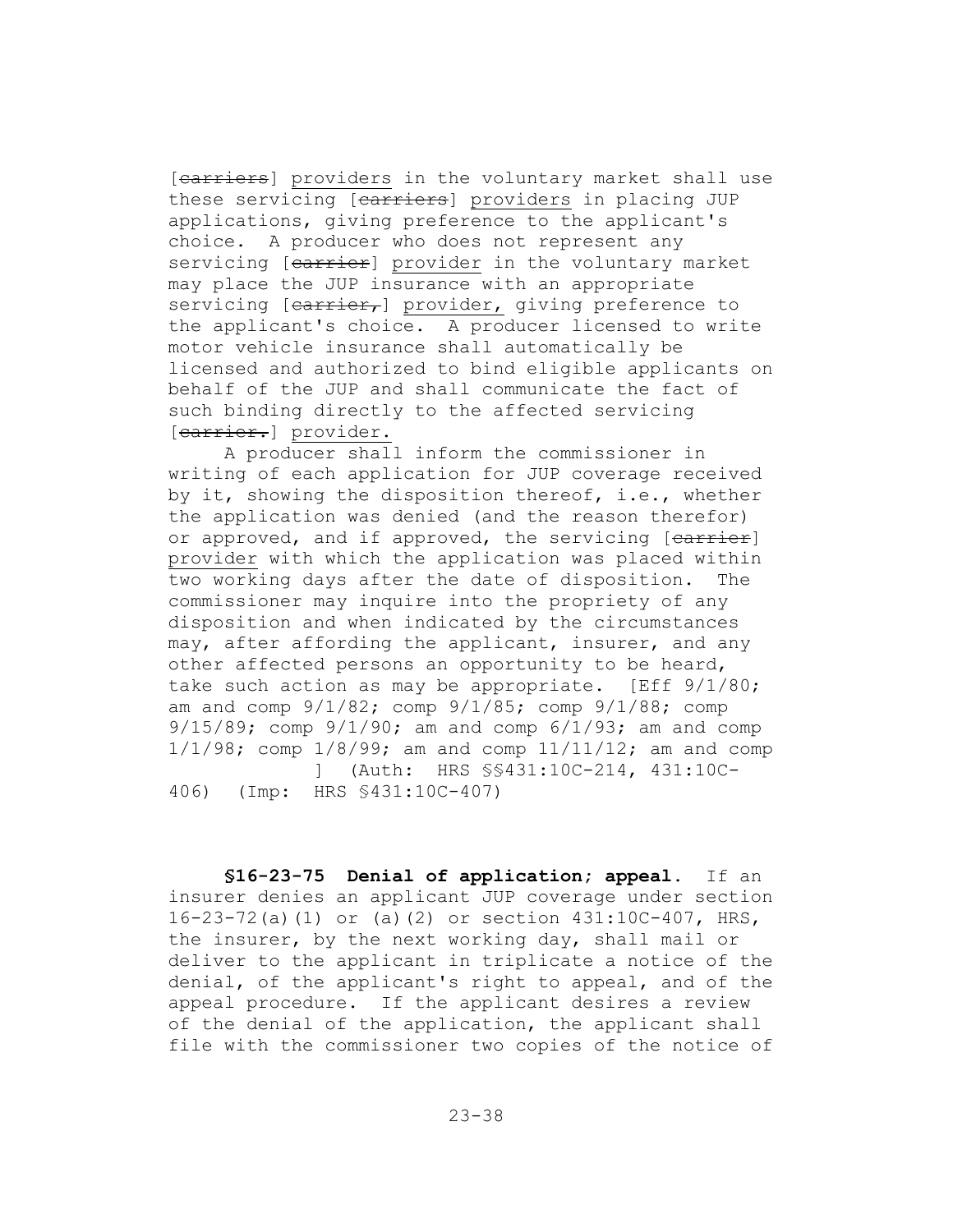[carriers] providers in the voluntary market shall use these servicing [carriers] providers in placing JUP applications, giving preference to the applicant's choice. A producer who does not represent any servicing [earrier] provider in the voluntary market may place the JUP insurance with an appropriate servicing [carrier,] provider, giving preference to the applicant's choice. A producer licensed to write motor vehicle insurance shall automatically be licensed and authorized to bind eligible applicants on behalf of the JUP and shall communicate the fact of such binding directly to the affected servicing [carrier.] provider.

A producer shall inform the commissioner in writing of each application for JUP coverage received by it, showing the disposition thereof, i.e., whether the application was denied (and the reason therefor) or approved, and if approved, the servicing [earrier] provider with which the application was placed within two working days after the date of disposition. The commissioner may inquire into the propriety of any disposition and when indicated by the circumstances may, after affording the applicant, insurer, and any other affected persons an opportunity to be heard, take such action as may be appropriate. [Eff  $9/1/80$ ; am and comp 9/1/82; comp 9/1/85; comp 9/1/88; comp  $9/15/89$ ; comp  $9/1/90$ ; am and comp  $6/1/93$ ; am and comp 1/1/98; comp 1/8/99; am and comp 11/11/12; am and comp ] (Auth: HRS §§431:10C-214, 431:10C-406) (Imp: HRS §431:10C-407)

**§16-23-75 Denial of application; appeal.** If an insurer denies an applicant JUP coverage under section 16-23-72(a)(1) or (a)(2) or section 431:10C-407, HRS, the insurer, by the next working day, shall mail or deliver to the applicant in triplicate a notice of the denial, of the applicant's right to appeal, and of the appeal procedure. If the applicant desires a review of the denial of the application, the applicant shall file with the commissioner two copies of the notice of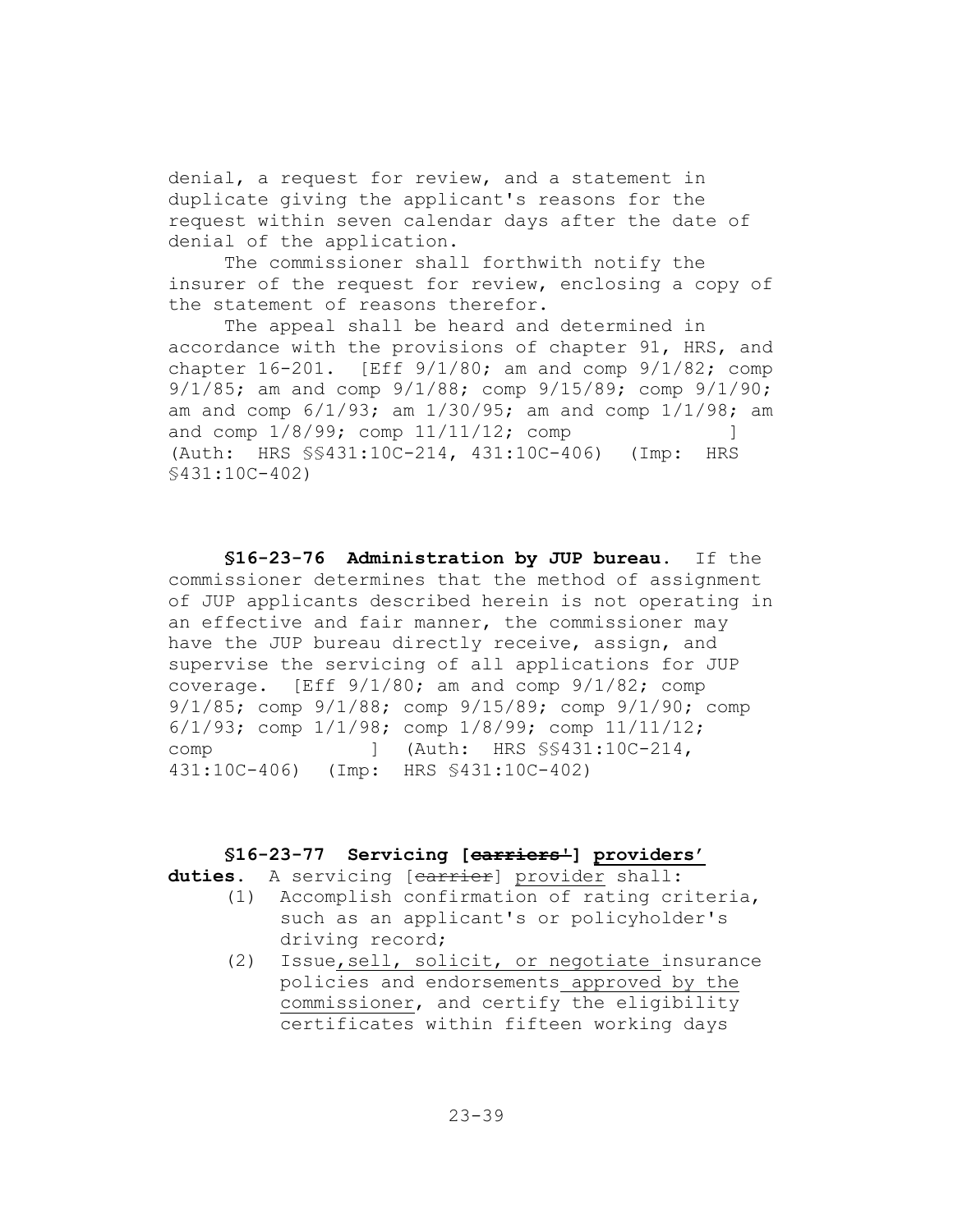denial, a request for review, and a statement in duplicate giving the applicant's reasons for the request within seven calendar days after the date of denial of the application.

The commissioner shall forthwith notify the insurer of the request for review, enclosing a copy of the statement of reasons therefor.

The appeal shall be heard and determined in accordance with the provisions of chapter 91, HRS, and chapter  $16-201$ . [Eff  $9/1/80$ ; am and comp  $9/1/82$ ; comp 9/1/85; am and comp 9/1/88; comp 9/15/89; comp 9/1/90; am and comp 6/1/93; am 1/30/95; am and comp 1/1/98; am and comp  $1/8/99$ ; comp  $11/11/12$ ; comp ] (Auth: HRS §§431:10C-214, 431:10C-406) (Imp: HRS §431:10C-402)

**§16-23-76 Administration by JUP bureau.** If the commissioner determines that the method of assignment of JUP applicants described herein is not operating in an effective and fair manner, the commissioner may have the JUP bureau directly receive, assign, and supervise the servicing of all applications for JUP coverage. [Eff 9/1/80; am and comp 9/1/82; comp 9/1/85; comp 9/1/88; comp 9/15/89; comp 9/1/90; comp 6/1/93; comp 1/1/98; comp 1/8/99; comp 11/11/12; comp ] (Auth: HRS §§431:10C-214, 431:10C-406) (Imp: HRS §431:10C-402)

#### **§16-23-77 Servicing [carriers'] providers'**

duties. A servicing [carrier] provider shall:

- (1) Accomplish confirmation of rating criteria, such as an applicant's or policyholder's driving record;
- (2) Issue,sell, solicit, or negotiate insurance policies and endorsements approved by the commissioner, and certify the eligibility certificates within fifteen working days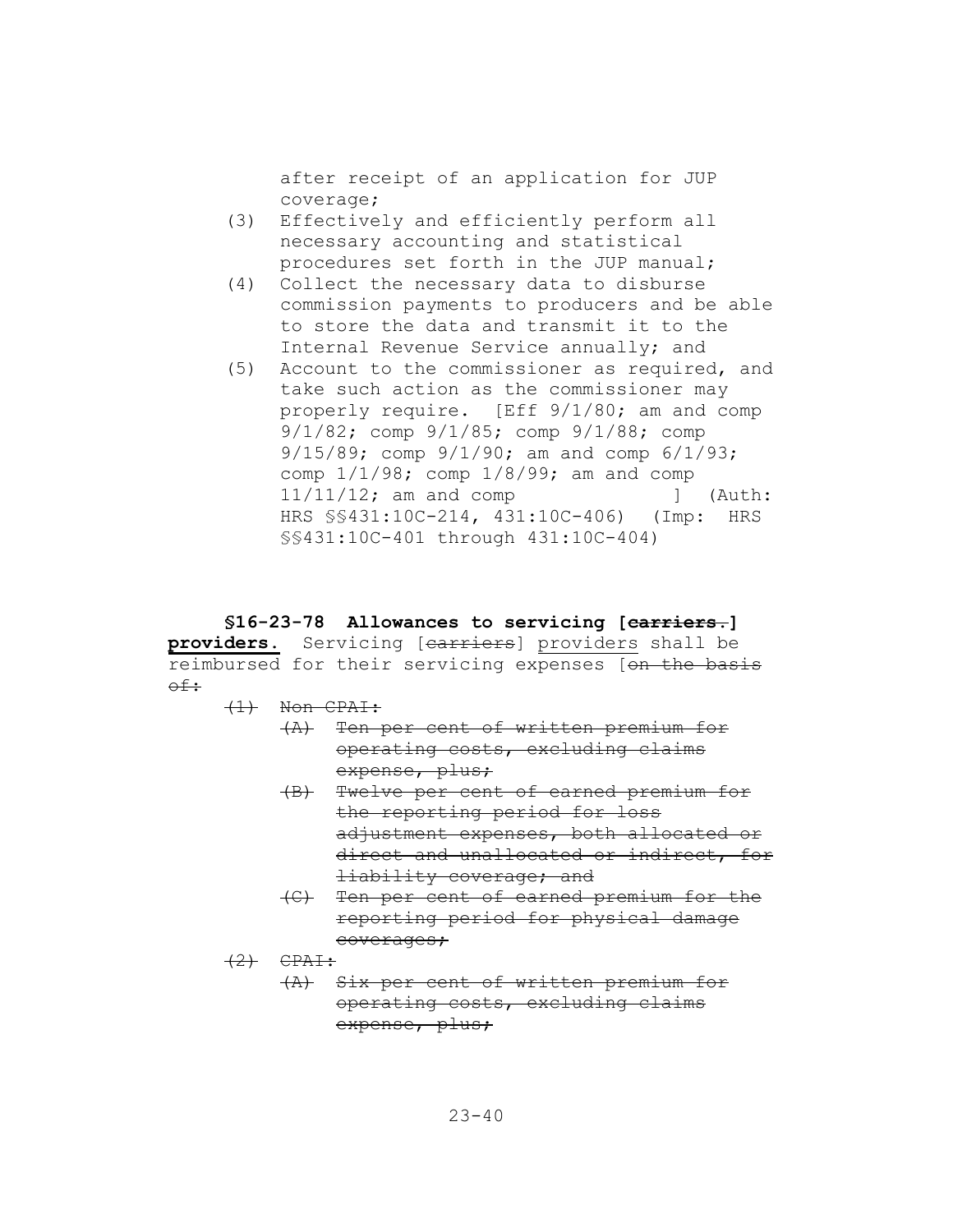after receipt of an application for JUP coverage;

- (3) Effectively and efficiently perform all necessary accounting and statistical procedures set forth in the JUP manual;
- (4) Collect the necessary data to disburse commission payments to producers and be able to store the data and transmit it to the Internal Revenue Service annually; and
- (5) Account to the commissioner as required, and take such action as the commissioner may properly require. [Eff 9/1/80; am and comp 9/1/82; comp 9/1/85; comp 9/1/88; comp 9/15/89; comp 9/1/90; am and comp 6/1/93; comp 1/1/98; comp 1/8/99; am and comp 11/11/12; am and comp ] (Auth: HRS §§431:10C-214, 431:10C-406) (Imp: HRS §§431:10C-401 through 431:10C-404)

#### **§16-23-78 Allowances to servicing [carriers.]**

**providers.** Servicing [carriers] providers shall be reimbursed for their servicing expenses [on the basis of:

- (1) Non CPAI:
	- (A) Ten per cent of written premium for operating costs, excluding claims expense, plus;
	- (B) Twelve per cent of earned premium for the reporting period for loss adjustment expenses, both allocated or direct and unallocated or indirect, for liability coverage; and
	- (C) Ten per cent of earned premium for the reporting period for physical damage coverages;
- $(2)$  CPAI:
	- (A) Six per cent of written premium for operating costs, excluding claims expense, plus;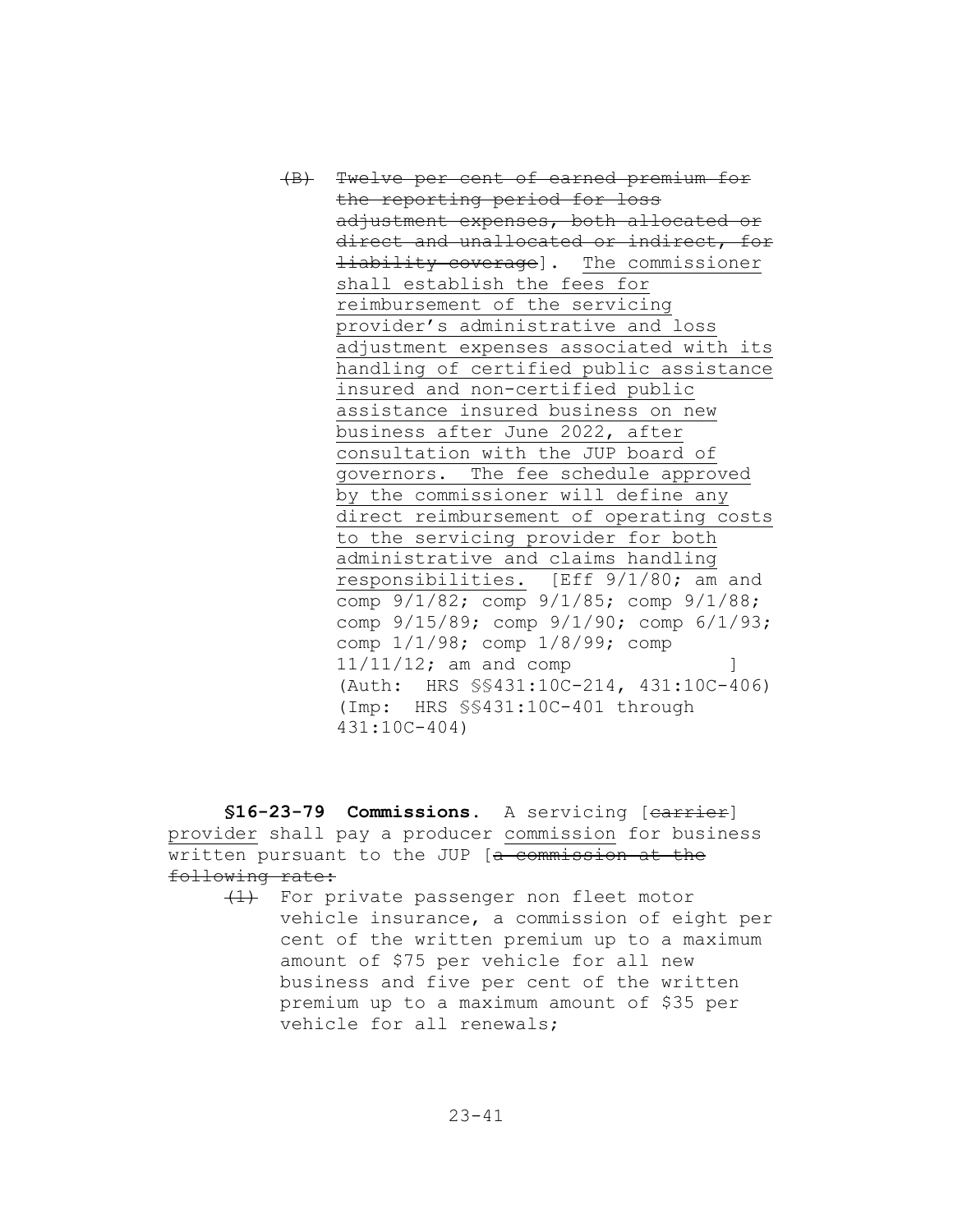(B) Twelve per cent of earned premium for the reporting period for loss adjustment expenses, both allocated or direct and unallocated or indirect, for **liability coverage].** The commissioner shall establish the fees for reimbursement of the servicing provider's administrative and loss adjustment expenses associated with its handling of certified public assistance insured and non-certified public assistance insured business on new business after June 2022, after consultation with the JUP board of governors. The fee schedule approved by the commissioner will define any direct reimbursement of operating costs to the servicing provider for both administrative and claims handling responsibilities. [Eff 9/1/80; am and comp 9/1/82; comp 9/1/85; comp 9/1/88; comp 9/15/89; comp 9/1/90; comp 6/1/93; comp 1/1/98; comp 1/8/99; comp  $11/11/12$ ; am and comp  $\qquad \qquad$  ] (Auth: HRS §§431:10C-214, 431:10C-406) (Imp: HRS §§431:10C-401 through 431:10C-404)

§16-23-79 Commissions. A servicing [earrier] provider shall pay a producer commission for business written pursuant to the JUP [a commission at the following rate:

(1) For private passenger non fleet motor vehicle insurance, a commission of eight per cent of the written premium up to a maximum amount of \$75 per vehicle for all new business and five per cent of the written premium up to a maximum amount of \$35 per vehicle for all renewals;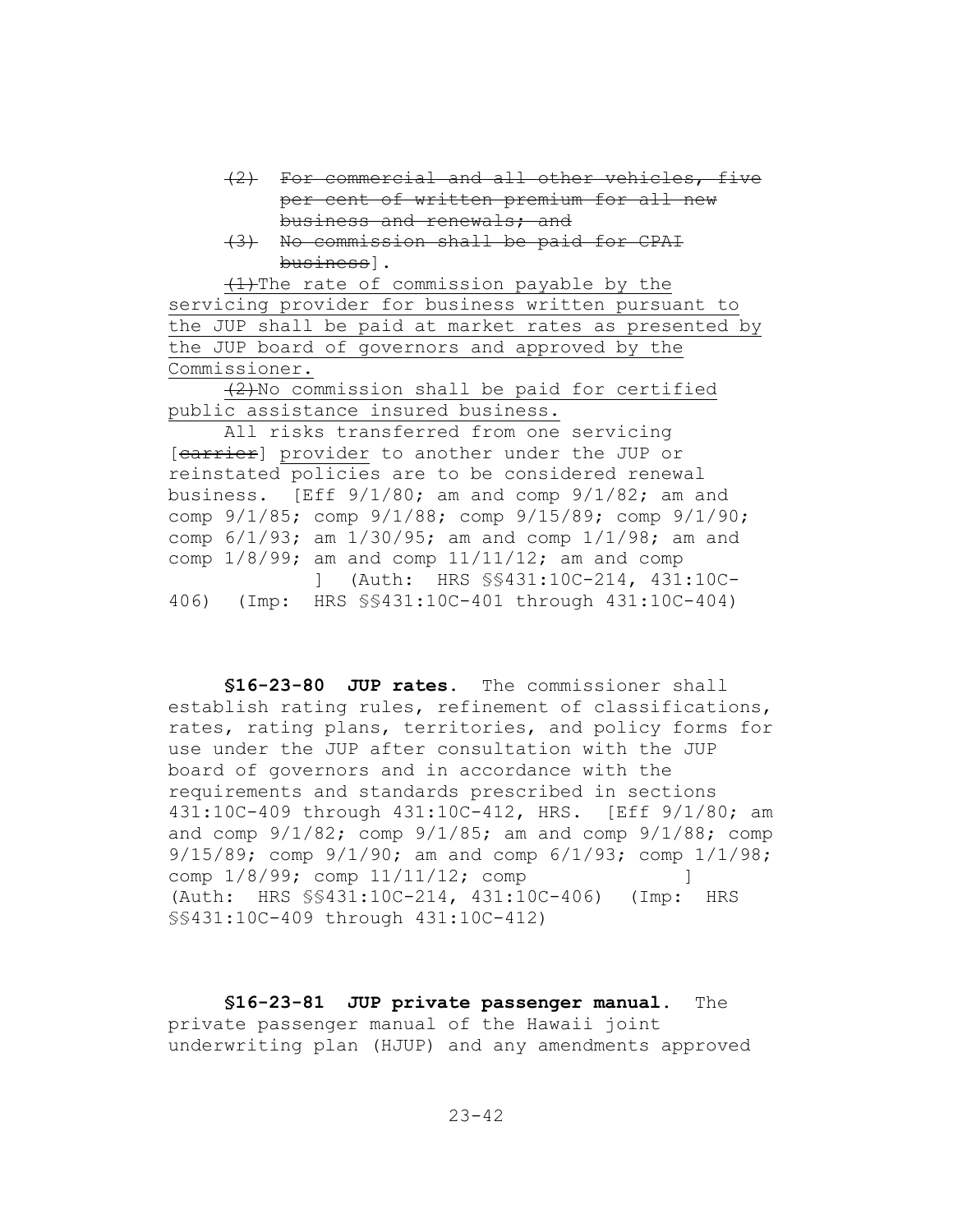- (2) For commercial and all other vehicles, five per cent of written premium for all new business and renewals; and
- (3) No commission shall be paid for CPAI business].

 $(1)$ The rate of commission payable by the servicing provider for business written pursuant to the JUP shall be paid at market rates as presented by the JUP board of governors and approved by the Commissioner.

(2)No commission shall be paid for certified public assistance insured business.

All risks transferred from one servicing [carrier] provider to another under the JUP or reinstated policies are to be considered renewal business. [Eff  $9/1/80$ ; am and comp  $9/1/82$ ; am and comp 9/1/85; comp 9/1/88; comp 9/15/89; comp 9/1/90; comp 6/1/93; am 1/30/95; am and comp 1/1/98; am and comp  $1/8/99$ ; am and comp  $11/11/12$ ; am and comp ] (Auth: HRS §§431:10C-214, 431:10C-406) (Imp: HRS §§431:10C-401 through 431:10C-404)

**§16-23-80 JUP rates.** The commissioner shall establish rating rules, refinement of classifications, rates, rating plans, territories, and policy forms for use under the JUP after consultation with the JUP board of governors and in accordance with the requirements and standards prescribed in sections 431:10C-409 through 431:10C-412, HRS. [Eff 9/1/80; am and comp  $9/1/82$ ; comp  $9/1/85$ ; am and comp  $9/1/88$ ; comp 9/15/89; comp 9/1/90; am and comp 6/1/93; comp 1/1/98; comp  $1/8/99$ ; comp  $11/11/12$ ; comp ] (Auth: HRS §§431:10C-214, 431:10C-406) (Imp: HRS §§431:10C-409 through 431:10C-412)

**§16-23-81 JUP private passenger manual.** The private passenger manual of the Hawaii joint underwriting plan (HJUP) and any amendments approved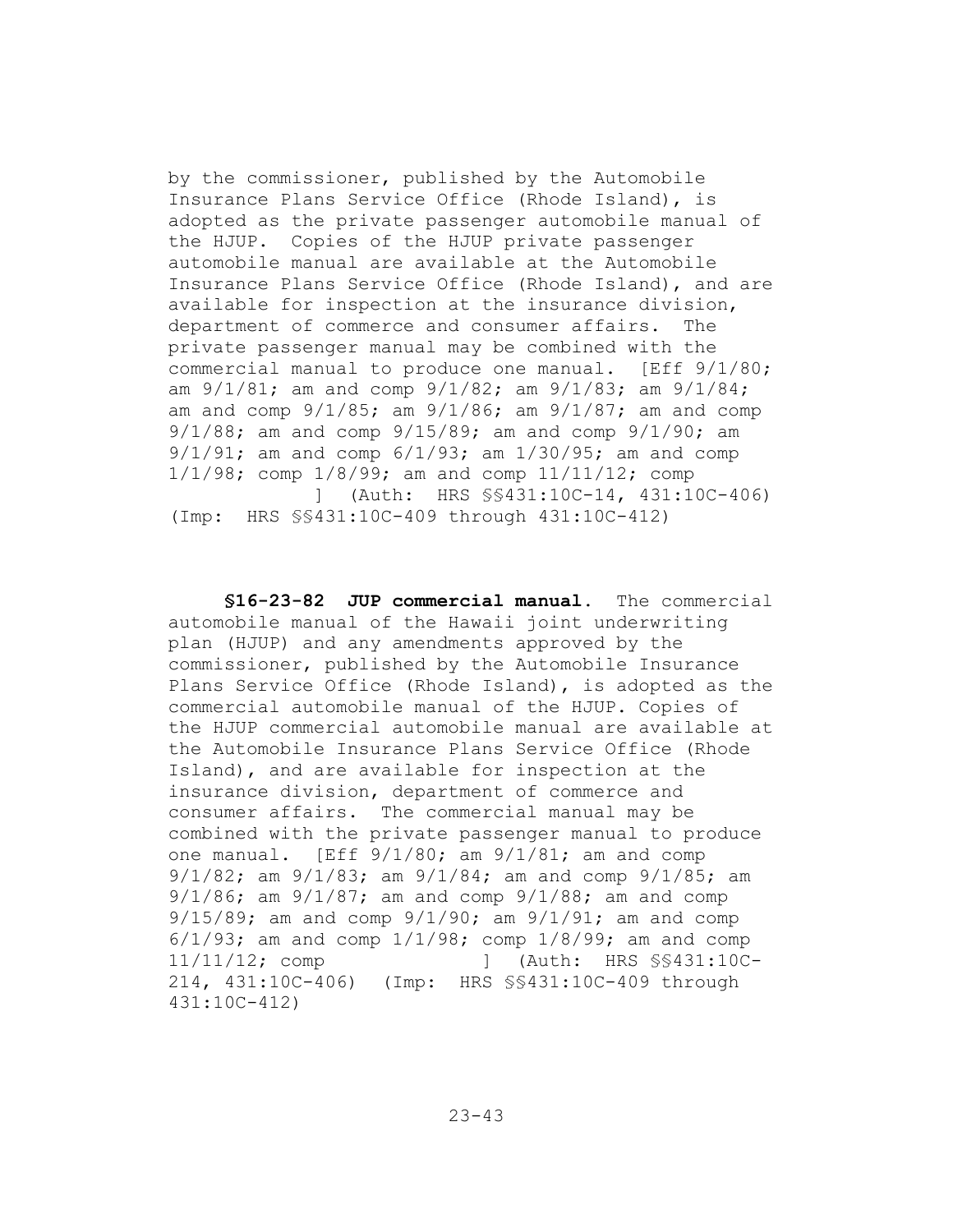by the commissioner, published by the Automobile Insurance Plans Service Office (Rhode Island), is adopted as the private passenger automobile manual of the HJUP. Copies of the HJUP private passenger automobile manual are available at the Automobile Insurance Plans Service Office (Rhode Island), and are available for inspection at the insurance division, department of commerce and consumer affairs. The private passenger manual may be combined with the commercial manual to produce one manual. [Eff 9/1/80; am 9/1/81; am and comp 9/1/82; am 9/1/83; am 9/1/84; am and comp 9/1/85; am 9/1/86; am 9/1/87; am and comp 9/1/88; am and comp 9/15/89; am and comp 9/1/90; am 9/1/91; am and comp 6/1/93; am 1/30/95; am and comp 1/1/98; comp 1/8/99; am and comp 11/11/12; comp ] (Auth: HRS §§431:10C-14, 431:10C-406) (Imp: HRS §§431:10C-409 through 431:10C-412)

**§16-23-82 JUP commercial manual.** The commercial automobile manual of the Hawaii joint underwriting plan (HJUP) and any amendments approved by the commissioner, published by the Automobile Insurance Plans Service Office (Rhode Island), is adopted as the commercial automobile manual of the HJUP. Copies of the HJUP commercial automobile manual are available at the Automobile Insurance Plans Service Office (Rhode Island), and are available for inspection at the insurance division, department of commerce and consumer affairs. The commercial manual may be combined with the private passenger manual to produce one manual. [Eff 9/1/80; am 9/1/81; am and comp 9/1/82; am 9/1/83; am 9/1/84; am and comp 9/1/85; am 9/1/86; am 9/1/87; am and comp 9/1/88; am and comp 9/15/89; am and comp 9/1/90; am 9/1/91; am and comp  $6/1/93$ ; am and comp  $1/1/98$ ; comp  $1/8/99$ ; am and comp 11/11/12; comp ] (Auth: HRS §§431:10C-214, 431:10C-406) (Imp: HRS §§431:10C-409 through 431:10C-412)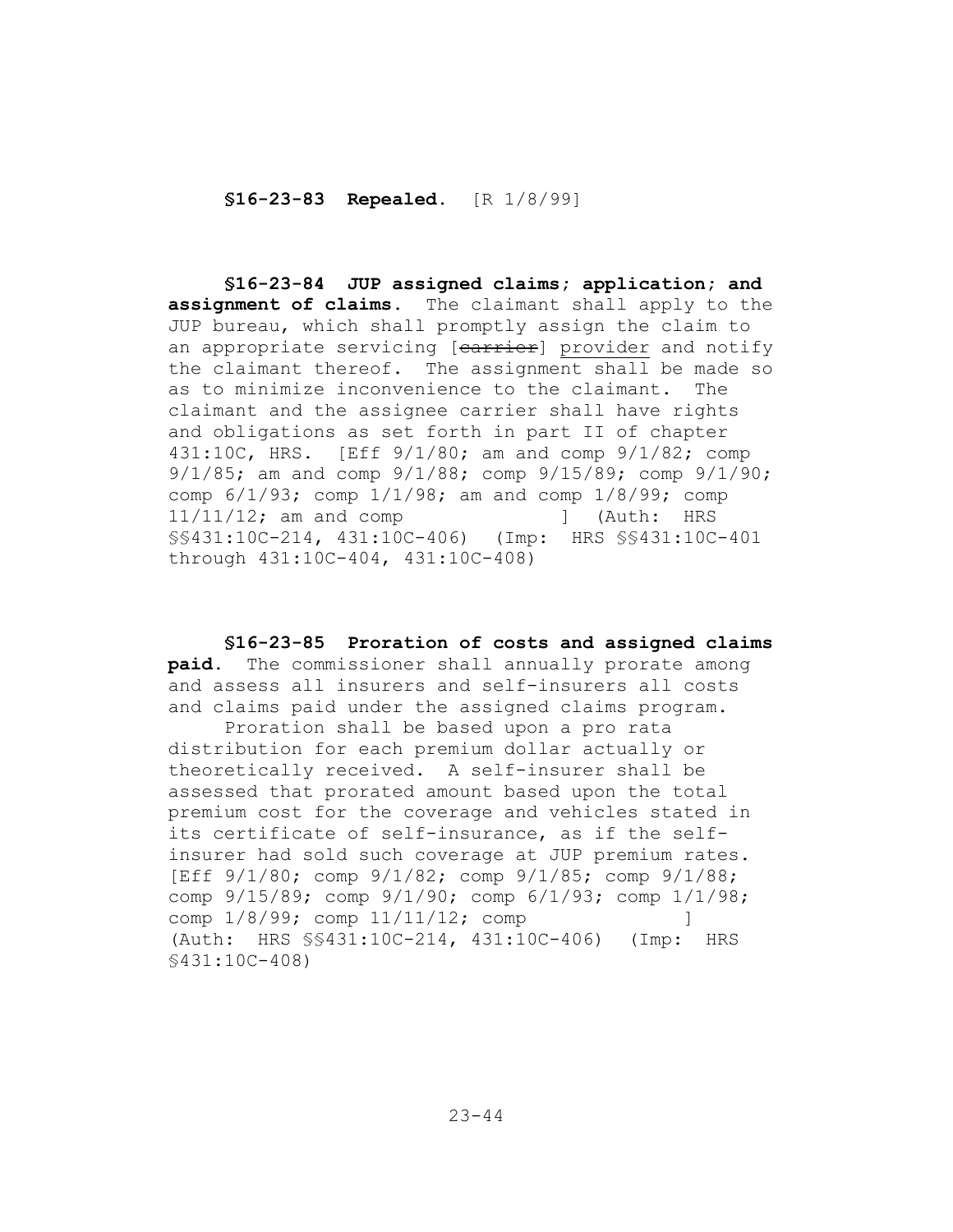**§16-23-83 Repealed.** [R 1/8/99]

**§16-23-84 JUP assigned claims; application; and assignment of claims.** The claimant shall apply to the JUP bureau, which shall promptly assign the claim to an appropriate servicing [carrier] provider and notify the claimant thereof. The assignment shall be made so as to minimize inconvenience to the claimant. The claimant and the assignee carrier shall have rights and obligations as set forth in part II of chapter 431:10C, HRS. [Eff 9/1/80; am and comp 9/1/82; comp 9/1/85; am and comp 9/1/88; comp 9/15/89; comp 9/1/90; comp 6/1/93; comp 1/1/98; am and comp 1/8/99; comp 11/11/12; am and comp ] (Auth: HRS §§431:10C-214, 431:10C-406) (Imp: HRS §§431:10C-401 through 431:10C-404, 431:10C-408)

**§16-23-85 Proration of costs and assigned claims paid.** The commissioner shall annually prorate among and assess all insurers and self-insurers all costs and claims paid under the assigned claims program.

Proration shall be based upon a pro rata distribution for each premium dollar actually or theoretically received. A self-insurer shall be assessed that prorated amount based upon the total premium cost for the coverage and vehicles stated in its certificate of self-insurance, as if the selfinsurer had sold such coverage at JUP premium rates. [Eff 9/1/80; comp 9/1/82; comp 9/1/85; comp 9/1/88; comp 9/15/89; comp 9/1/90; comp 6/1/93; comp 1/1/98; comp  $1/8/99$ ; comp  $11/11/12$ ; comp ] (Auth: HRS §§431:10C-214, 431:10C-406) (Imp: HRS §431:10C-408)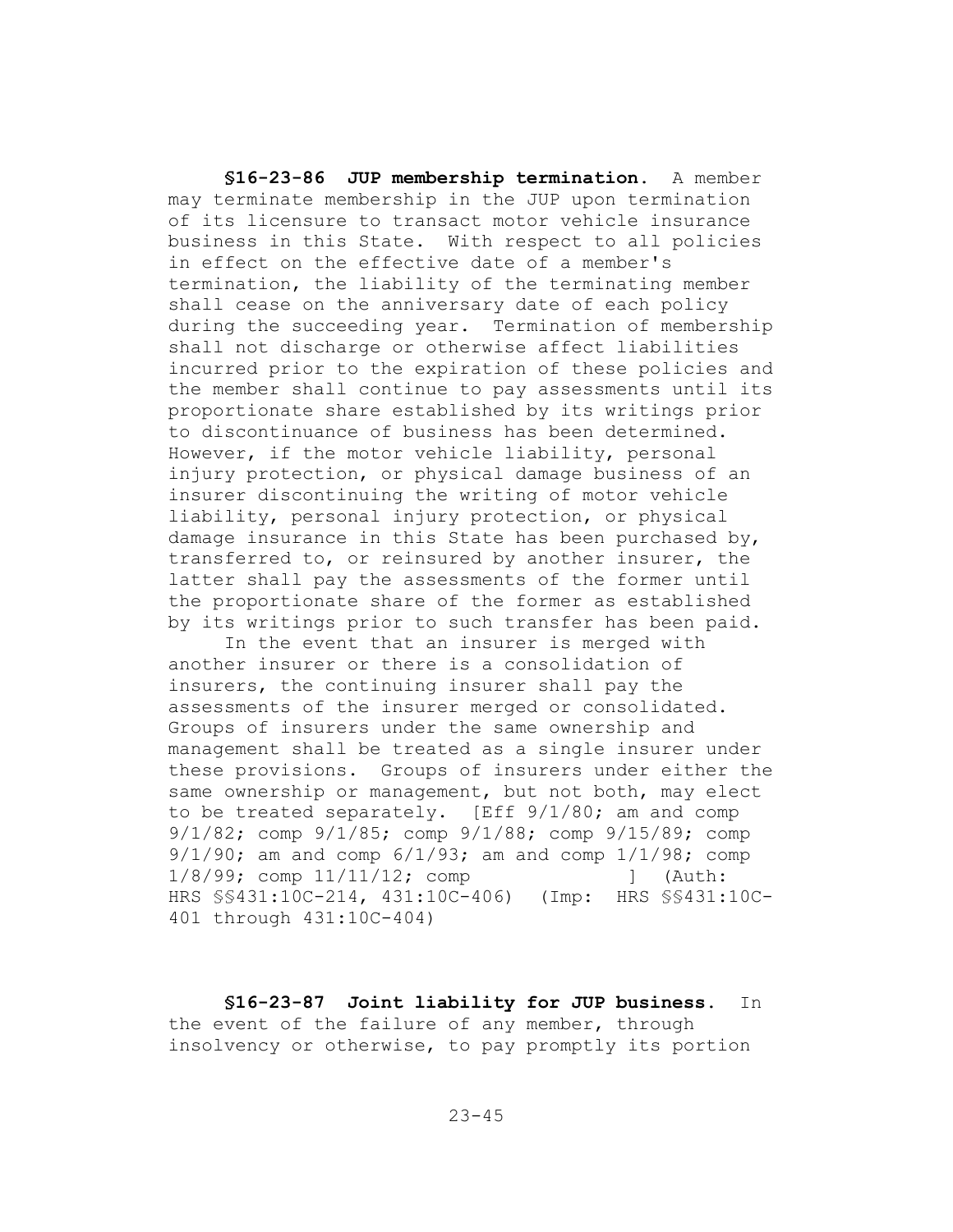**§16-23-86 JUP membership termination.** A member may terminate membership in the JUP upon termination of its licensure to transact motor vehicle insurance business in this State. With respect to all policies in effect on the effective date of a member's termination, the liability of the terminating member shall cease on the anniversary date of each policy during the succeeding year. Termination of membership shall not discharge or otherwise affect liabilities incurred prior to the expiration of these policies and the member shall continue to pay assessments until its proportionate share established by its writings prior to discontinuance of business has been determined. However, if the motor vehicle liability, personal injury protection, or physical damage business of an insurer discontinuing the writing of motor vehicle liability, personal injury protection, or physical damage insurance in this State has been purchased by, transferred to, or reinsured by another insurer, the latter shall pay the assessments of the former until the proportionate share of the former as established by its writings prior to such transfer has been paid.

In the event that an insurer is merged with another insurer or there is a consolidation of insurers, the continuing insurer shall pay the assessments of the insurer merged or consolidated. Groups of insurers under the same ownership and management shall be treated as a single insurer under these provisions. Groups of insurers under either the same ownership or management, but not both, may elect to be treated separately. [Eff 9/1/80; am and comp 9/1/82; comp 9/1/85; comp 9/1/88; comp 9/15/89; comp 9/1/90; am and comp 6/1/93; am and comp 1/1/98; comp 1/8/99; comp 11/11/12; comp [ (Auth: HRS §§431:10C-214, 431:10C-406) (Imp: HRS §§431:10C-401 through 431:10C-404)

**§16-23-87 Joint liability for JUP business.** In the event of the failure of any member, through insolvency or otherwise, to pay promptly its portion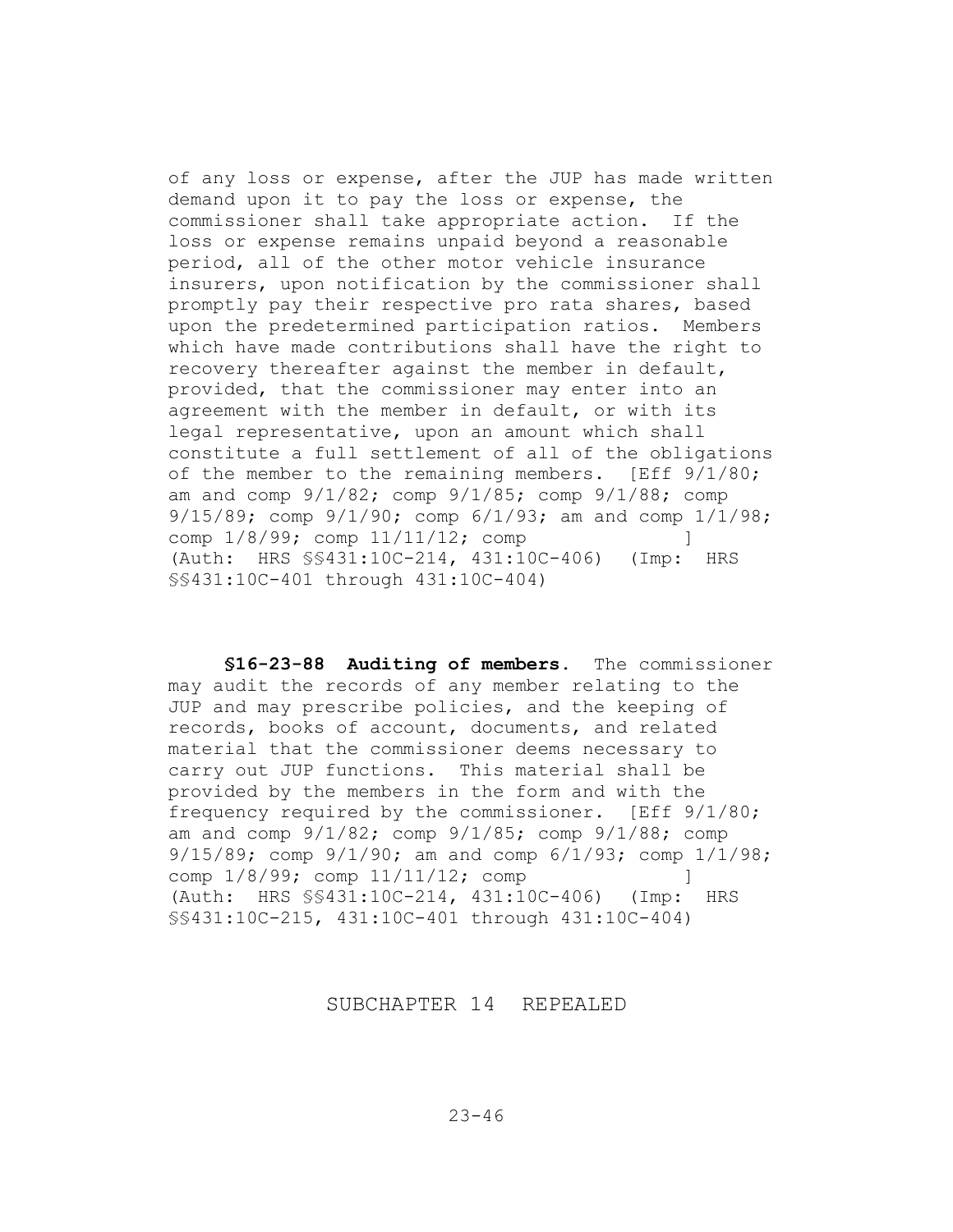of any loss or expense, after the JUP has made written demand upon it to pay the loss or expense, the commissioner shall take appropriate action. If the loss or expense remains unpaid beyond a reasonable period, all of the other motor vehicle insurance insurers, upon notification by the commissioner shall promptly pay their respective pro rata shares, based upon the predetermined participation ratios. Members which have made contributions shall have the right to recovery thereafter against the member in default, provided, that the commissioner may enter into an agreement with the member in default, or with its legal representative, upon an amount which shall constitute a full settlement of all of the obligations of the member to the remaining members. [Eff  $9/1/80$ ; am and comp 9/1/82; comp 9/1/85; comp 9/1/88; comp 9/15/89; comp 9/1/90; comp 6/1/93; am and comp 1/1/98; comp  $1/8/99$ ; comp  $11/11/12$ ; comp ] (Auth: HRS §§431:10C-214, 431:10C-406) (Imp: HRS §§431:10C-401 through 431:10C-404)

**§16-23-88 Auditing of members.** The commissioner may audit the records of any member relating to the JUP and may prescribe policies, and the keeping of records, books of account, documents, and related material that the commissioner deems necessary to carry out JUP functions. This material shall be provided by the members in the form and with the frequency required by the commissioner. [Eff 9/1/80; am and comp  $9/1/82$ ; comp  $9/1/85$ ; comp  $9/1/88$ ; comp 9/15/89; comp 9/1/90; am and comp 6/1/93; comp 1/1/98; comp  $1/8/99$ ; comp  $11/11/12$ ; comp ] (Auth: HRS §§431:10C-214, 431:10C-406) (Imp: HRS §§431:10C-215, 431:10C-401 through 431:10C-404)

SUBCHAPTER 14 REPEALED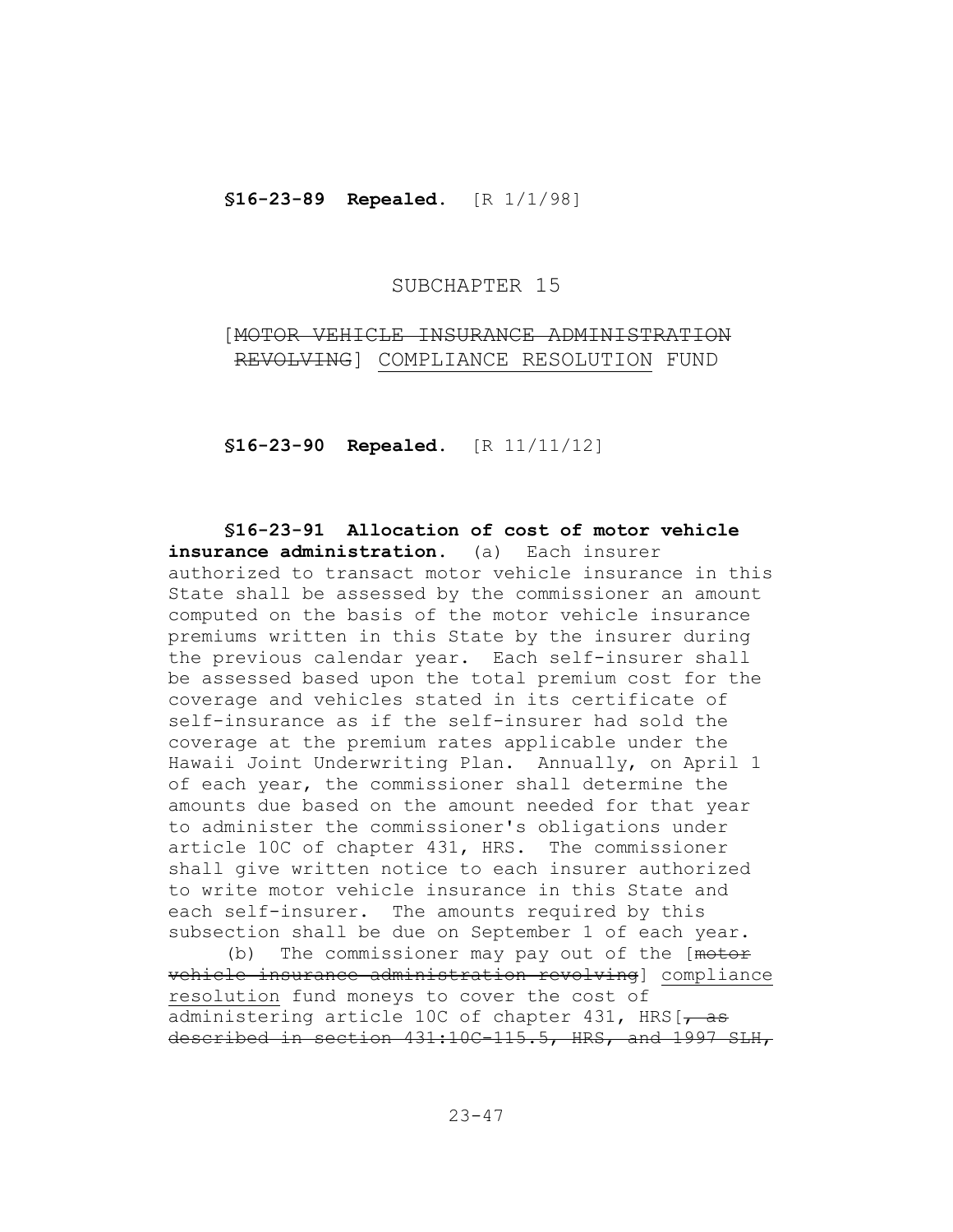**§16-23-89 Repealed.** [R 1/1/98]

### SUBCHAPTER 15

[MOTOR VEHICLE INSURANCE ADMINISTRATION REVOLVING] COMPLIANCE RESOLUTION FUND

**§16-23-90 Repealed.** [R 11/11/12]

**§16-23-91 Allocation of cost of motor vehicle insurance administration.** (a) Each insurer authorized to transact motor vehicle insurance in this State shall be assessed by the commissioner an amount computed on the basis of the motor vehicle insurance premiums written in this State by the insurer during the previous calendar year. Each self-insurer shall be assessed based upon the total premium cost for the coverage and vehicles stated in its certificate of self-insurance as if the self-insurer had sold the coverage at the premium rates applicable under the Hawaii Joint Underwriting Plan. Annually, on April 1 of each year, the commissioner shall determine the amounts due based on the amount needed for that year to administer the commissioner's obligations under article 10C of chapter 431, HRS. The commissioner shall give written notice to each insurer authorized to write motor vehicle insurance in this State and each self-insurer. The amounts required by this subsection shall be due on September 1 of each year.

(b) The commissioner may pay out of the [motor vehicle insurance administration revolving] compliance resolution fund moneys to cover the cost of administering article 10C of chapter 431, HRS $\frac{1}{1}$ described in section 431:10C-115.5, HRS, and 1997 SLH,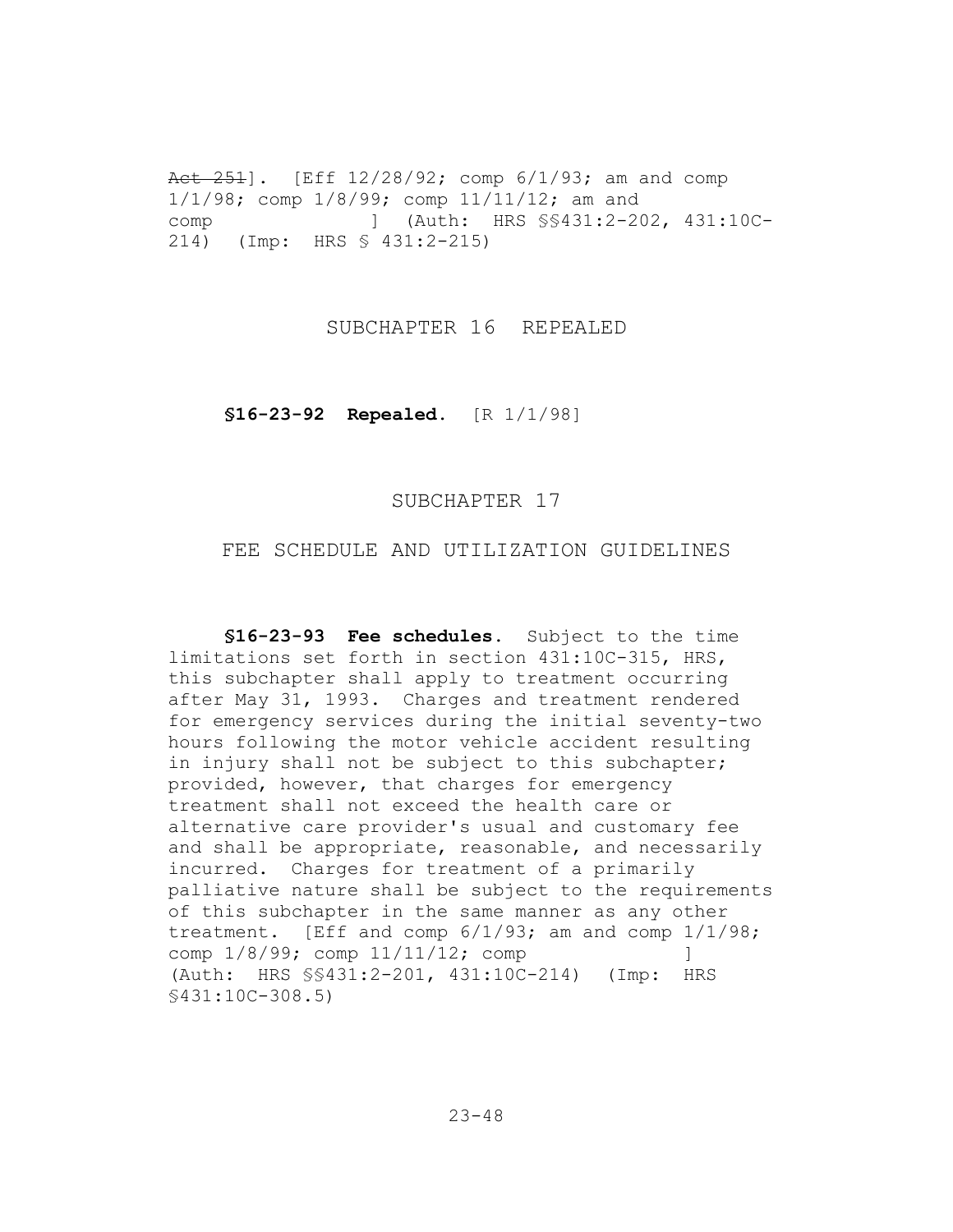Act  $251$ . [Eff  $12/28/92$ ; comp  $6/1/93$ ; am and comp 1/1/98; comp 1/8/99; comp 11/11/12; am and comp ] (Auth: HRS §§431:2-202, 431:10C-214) (Imp: HRS § 431:2-215)

SUBCHAPTER 16 REPEALED

**§16-23-92 Repealed.** [R 1/1/98]

### SUBCHAPTER 17

# FEE SCHEDULE AND UTILIZATION GUIDELINES

**§16-23-93 Fee schedules.** Subject to the time limitations set forth in section 431:10C-315, HRS, this subchapter shall apply to treatment occurring after May 31, 1993. Charges and treatment rendered for emergency services during the initial seventy-two hours following the motor vehicle accident resulting in injury shall not be subject to this subchapter; provided, however, that charges for emergency treatment shall not exceed the health care or alternative care provider's usual and customary fee and shall be appropriate, reasonable, and necessarily incurred. Charges for treatment of a primarily palliative nature shall be subject to the requirements of this subchapter in the same manner as any other treatment. [Eff and comp 6/1/93; am and comp 1/1/98; comp  $1/8/99$ ; comp  $11/11/12$ ; comp ] (Auth: HRS §§431:2-201, 431:10C-214) (Imp: HRS §431:10C-308.5)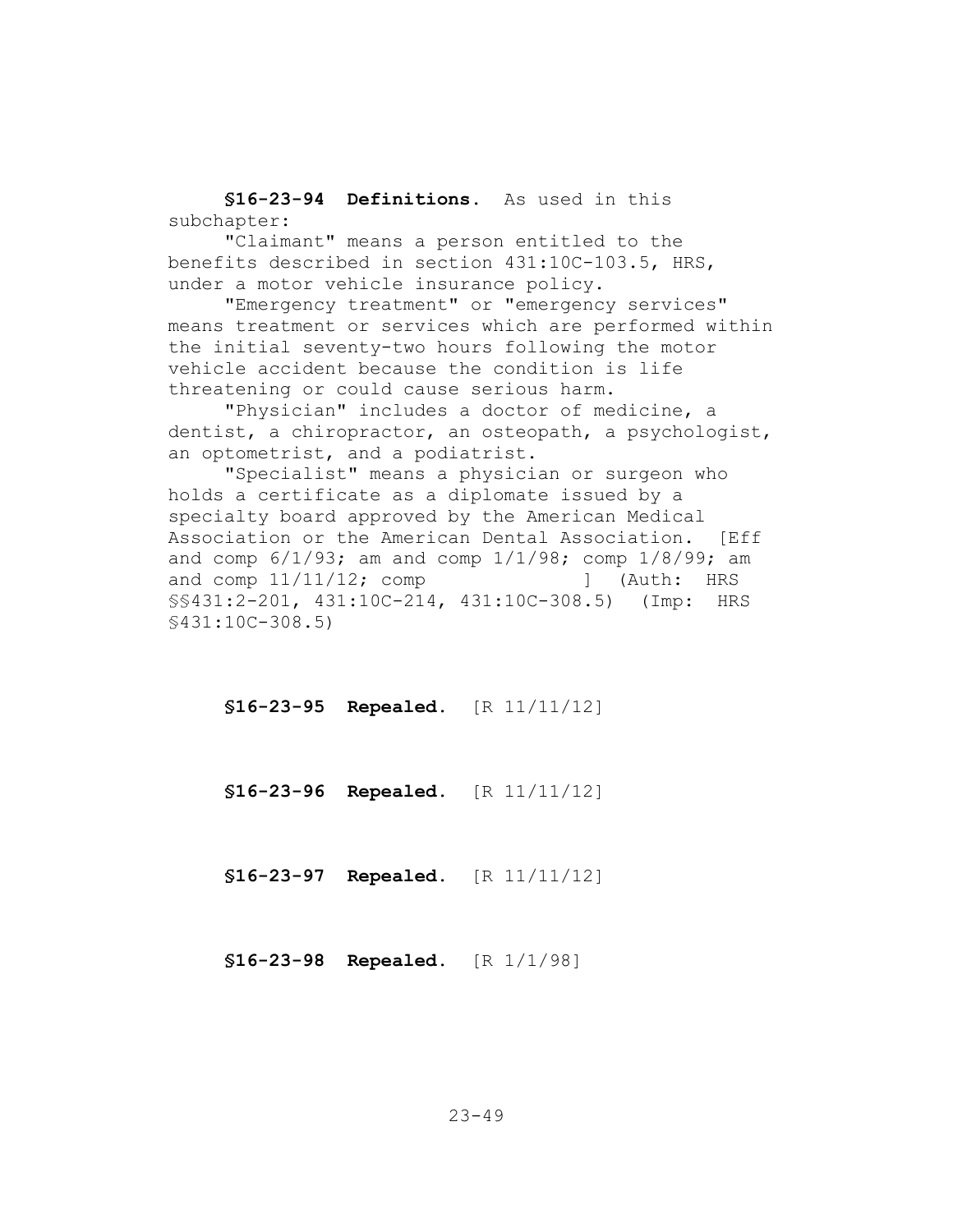**§16-23-94 Definitions.** As used in this subchapter:

"Claimant" means a person entitled to the benefits described in section 431:10C-103.5, HRS, under a motor vehicle insurance policy.

"Emergency treatment" or "emergency services" means treatment or services which are performed within the initial seventy-two hours following the motor vehicle accident because the condition is life threatening or could cause serious harm.

"Physician" includes a doctor of medicine, a dentist, a chiropractor, an osteopath, a psychologist, an optometrist, and a podiatrist.

"Specialist" means a physician or surgeon who holds a certificate as a diplomate issued by a specialty board approved by the American Medical Association or the American Dental Association. [Eff and comp  $6/1/93$ ; am and comp  $1/1/98$ ; comp  $1/8/99$ ; am and comp  $11/11/12$ ; comp  $\qquad$  [Auth: HRS §§431:2-201, 431:10C-214, 431:10C-308.5) (Imp: HRS §431:10C-308.5)

**§16-23-95 Repealed.** [R 11/11/12]

**§16-23-96 Repealed.** [R 11/11/12]

**§16-23-97 Repealed.** [R 11/11/12]

**§16-23-98 Repealed.** [R 1/1/98]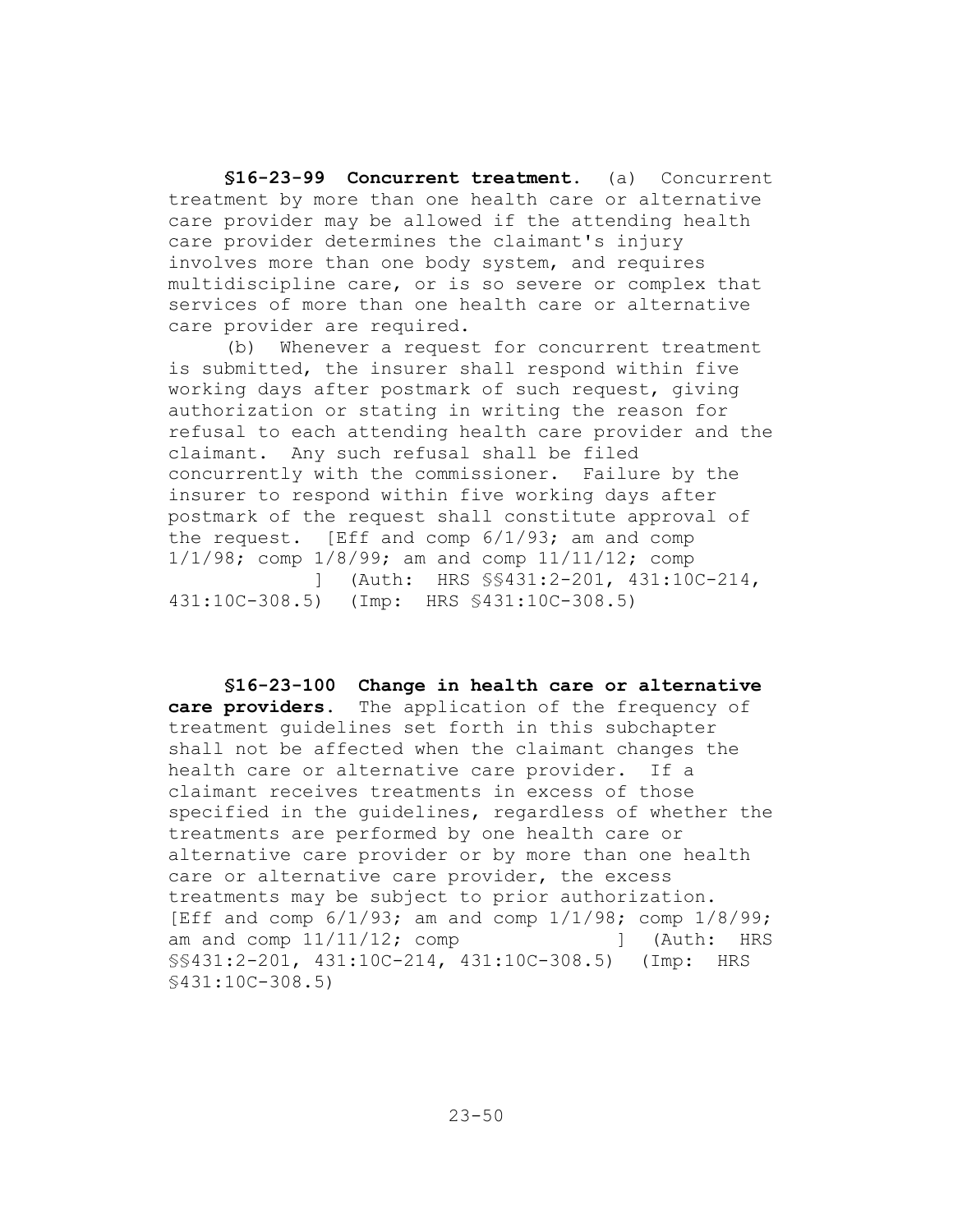**§16-23-99 Concurrent treatment.** (a) Concurrent treatment by more than one health care or alternative care provider may be allowed if the attending health care provider determines the claimant's injury involves more than one body system, and requires multidiscipline care, or is so severe or complex that services of more than one health care or alternative care provider are required.

(b) Whenever a request for concurrent treatment is submitted, the insurer shall respond within five working days after postmark of such request, giving authorization or stating in writing the reason for refusal to each attending health care provider and the claimant. Any such refusal shall be filed concurrently with the commissioner. Failure by the insurer to respond within five working days after postmark of the request shall constitute approval of the request. [Eff and comp 6/1/93; am and comp 1/1/98; comp 1/8/99; am and comp 11/11/12; comp ] (Auth: HRS §§431:2-201, 431:10C-214, 431:10C-308.5) (Imp: HRS §431:10C-308.5)

**§16-23-100 Change in health care or alternative care providers.** The application of the frequency of treatment guidelines set forth in this subchapter shall not be affected when the claimant changes the health care or alternative care provider. If a claimant receives treatments in excess of those specified in the guidelines, regardless of whether the treatments are performed by one health care or alternative care provider or by more than one health care or alternative care provider, the excess treatments may be subject to prior authorization. [Eff and comp  $6/1/93$ ; am and comp  $1/1/98$ ; comp  $1/8/99$ ; am and comp  $11/11/12$ ; comp  $\qquad$  [Auth: HRS] §§431:2-201, 431:10C-214, 431:10C-308.5) (Imp: HRS §431:10C-308.5)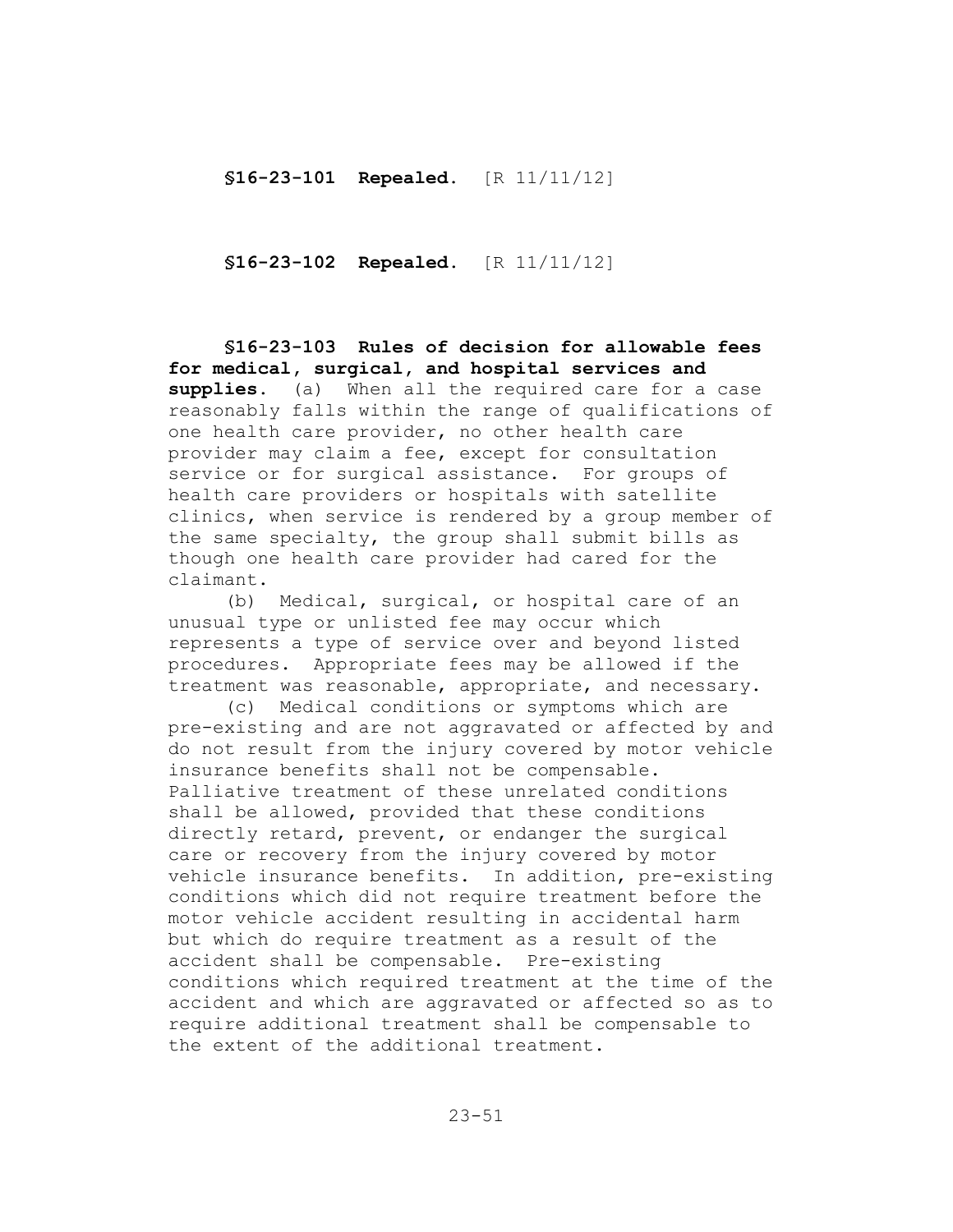**§16-23-102 Repealed.** [R 11/11/12]

**§16-23-103 Rules of decision for allowable fees for medical, surgical, and hospital services and supplies.** (a) When all the required care for a case reasonably falls within the range of qualifications of one health care provider, no other health care provider may claim a fee, except for consultation service or for surgical assistance. For groups of health care providers or hospitals with satellite clinics, when service is rendered by a group member of the same specialty, the group shall submit bills as though one health care provider had cared for the claimant.

(b) Medical, surgical, or hospital care of an unusual type or unlisted fee may occur which represents a type of service over and beyond listed procedures. Appropriate fees may be allowed if the treatment was reasonable, appropriate, and necessary.

(c) Medical conditions or symptoms which are pre-existing and are not aggravated or affected by and do not result from the injury covered by motor vehicle insurance benefits shall not be compensable. Palliative treatment of these unrelated conditions shall be allowed, provided that these conditions directly retard, prevent, or endanger the surgical care or recovery from the injury covered by motor vehicle insurance benefits. In addition, pre-existing conditions which did not require treatment before the motor vehicle accident resulting in accidental harm but which do require treatment as a result of the accident shall be compensable. Pre-existing conditions which required treatment at the time of the accident and which are aggravated or affected so as to require additional treatment shall be compensable to the extent of the additional treatment.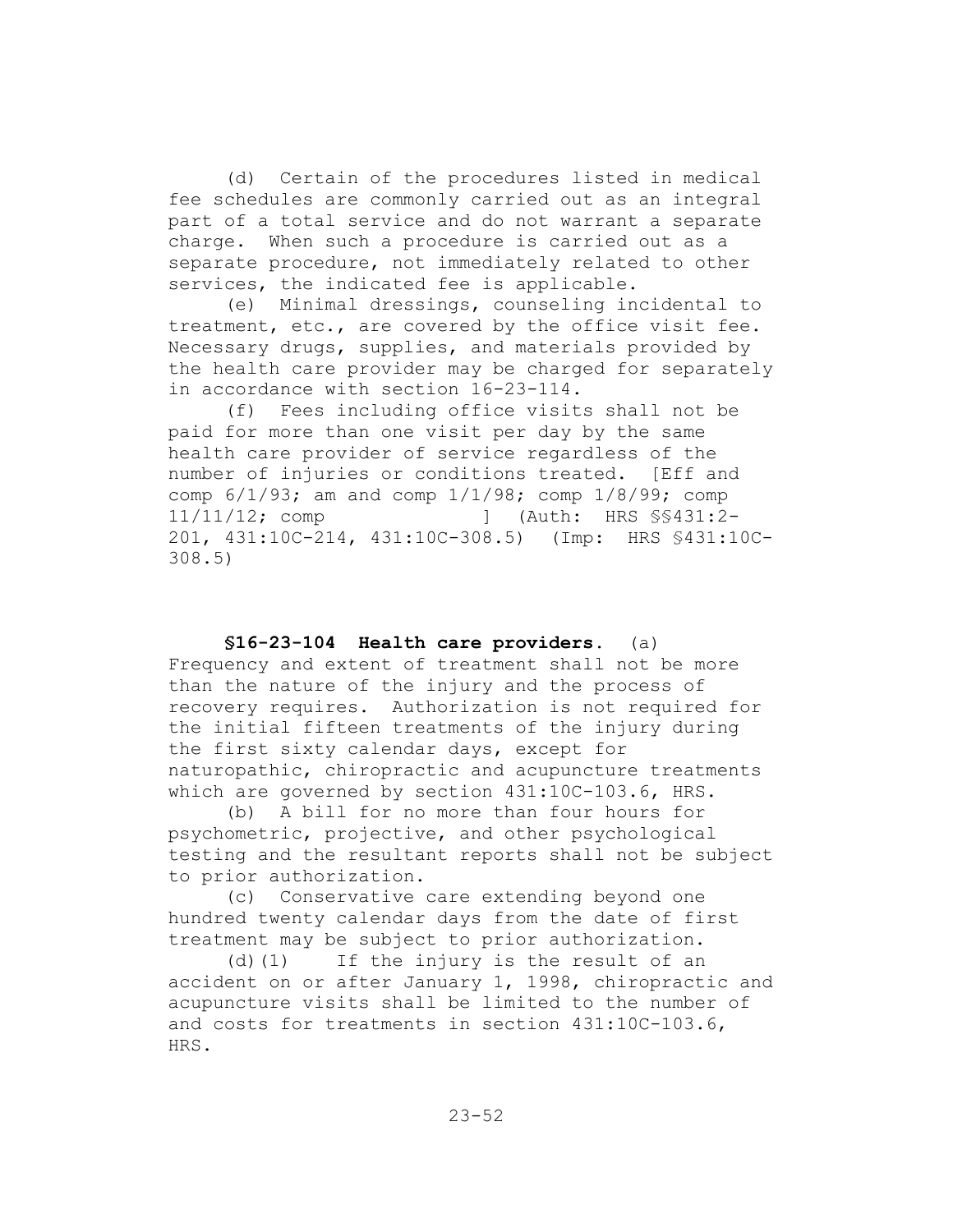(d) Certain of the procedures listed in medical fee schedules are commonly carried out as an integral part of a total service and do not warrant a separate charge. When such a procedure is carried out as a separate procedure, not immediately related to other services, the indicated fee is applicable.

(e) Minimal dressings, counseling incidental to treatment, etc., are covered by the office visit fee. Necessary drugs, supplies, and materials provided by the health care provider may be charged for separately in accordance with section 16-23-114.

(f) Fees including office visits shall not be paid for more than one visit per day by the same health care provider of service regardless of the number of injuries or conditions treated. [Eff and comp 6/1/93; am and comp 1/1/98; comp 1/8/99; comp 11/11/12; comp ] (Auth: HRS §§431:2- 201, 431:10C-214, 431:10C-308.5) (Imp: HRS §431:10C-308.5)

**§16-23-104 Health care providers.** (a) Frequency and extent of treatment shall not be more than the nature of the injury and the process of recovery requires. Authorization is not required for the initial fifteen treatments of the injury during the first sixty calendar days, except for naturopathic, chiropractic and acupuncture treatments which are governed by section 431:10C-103.6, HRS.

(b) A bill for no more than four hours for psychometric, projective, and other psychological testing and the resultant reports shall not be subject to prior authorization.

(c) Conservative care extending beyond one hundred twenty calendar days from the date of first treatment may be subject to prior authorization.

(d)(1) If the injury is the result of an accident on or after January 1, 1998, chiropractic and acupuncture visits shall be limited to the number of and costs for treatments in section 431:10C-103.6, HRS.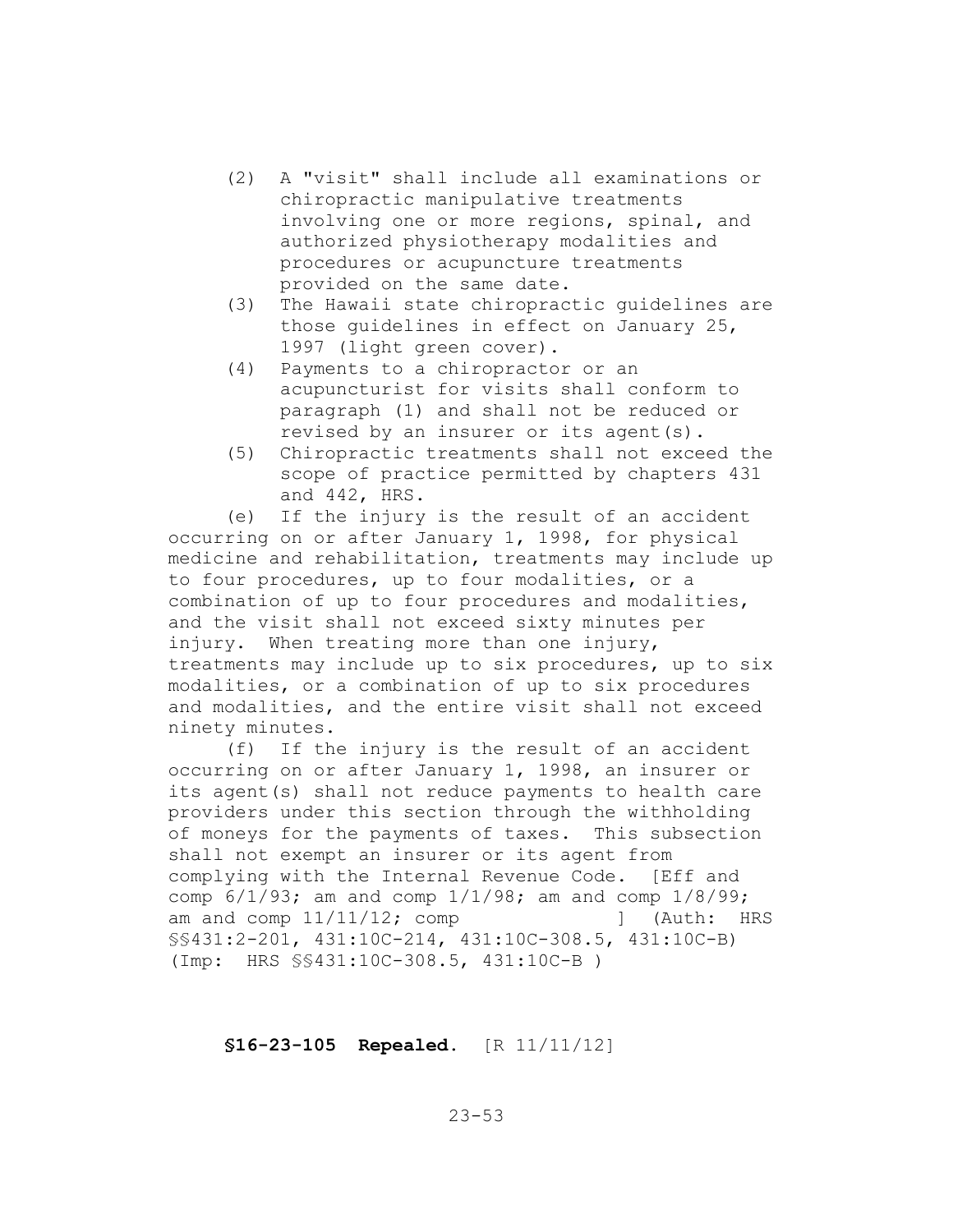- (2) A "visit" shall include all examinations or chiropractic manipulative treatments involving one or more regions, spinal, and authorized physiotherapy modalities and procedures or acupuncture treatments provided on the same date.
- (3) The Hawaii state chiropractic guidelines are those guidelines in effect on January 25, 1997 (light green cover).
- (4) Payments to a chiropractor or an acupuncturist for visits shall conform to paragraph (1) and shall not be reduced or revised by an insurer or its agent(s).
- (5) Chiropractic treatments shall not exceed the scope of practice permitted by chapters 431 and 442, HRS.

(e) If the injury is the result of an accident occurring on or after January 1, 1998, for physical medicine and rehabilitation, treatments may include up to four procedures, up to four modalities, or a combination of up to four procedures and modalities, and the visit shall not exceed sixty minutes per injury. When treating more than one injury, treatments may include up to six procedures, up to six modalities, or a combination of up to six procedures and modalities, and the entire visit shall not exceed ninety minutes.

(f) If the injury is the result of an accident occurring on or after January 1, 1998, an insurer or its agent(s) shall not reduce payments to health care providers under this section through the withholding of moneys for the payments of taxes. This subsection shall not exempt an insurer or its agent from complying with the Internal Revenue Code. [Eff and comp 6/1/93; am and comp 1/1/98; am and comp 1/8/99; am and comp  $11/11/12$ ; comp  $\qquad$  [Auth: HRS §§431:2-201, 431:10C-214, 431:10C-308.5, 431:10C-B) (Imp: HRS §§431:10C-308.5, 431:10C-B )

#### **§16-23-105 Repealed.** [R 11/11/12]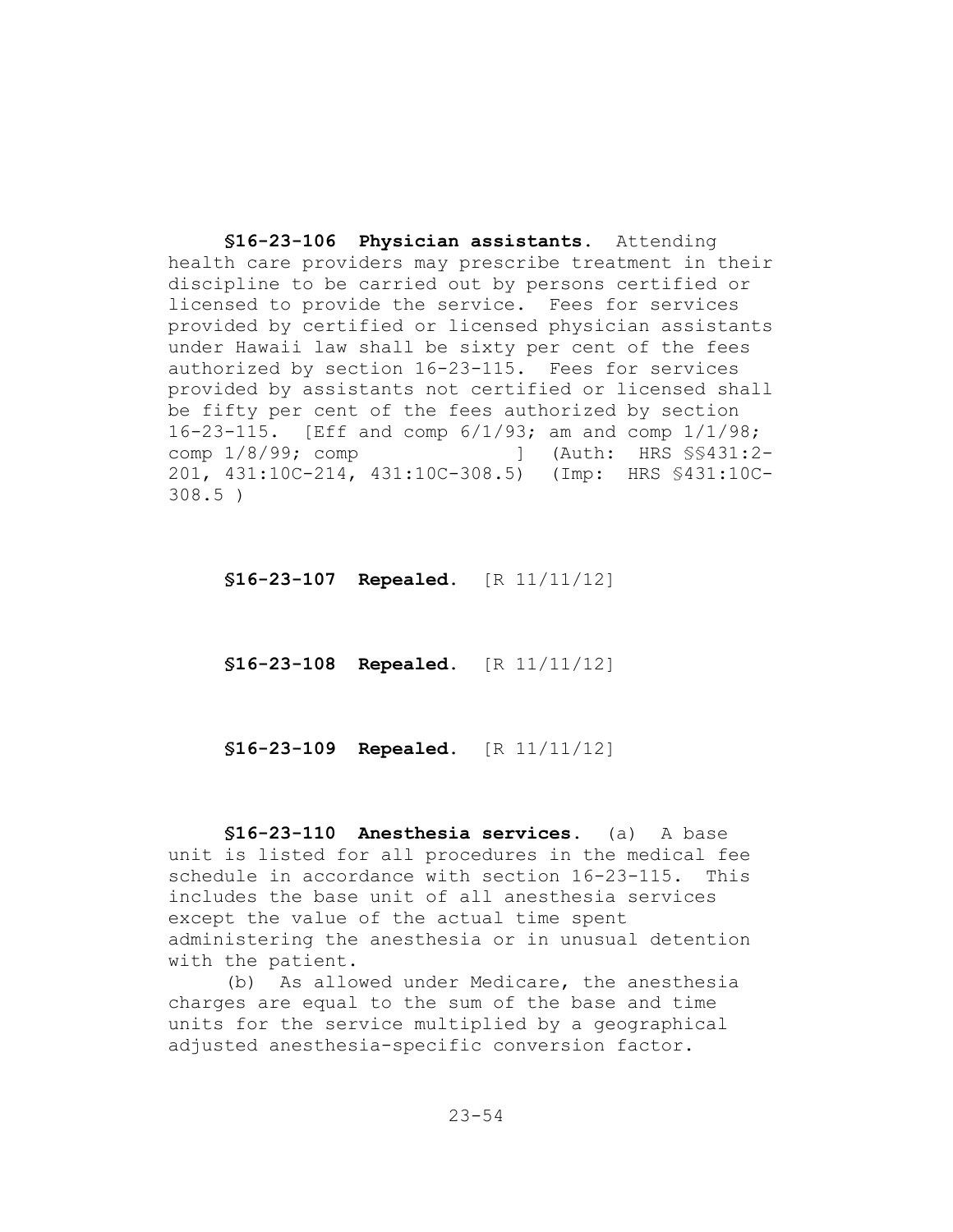**§16-23-106 Physician assistants.** Attending health care providers may prescribe treatment in their discipline to be carried out by persons certified or licensed to provide the service. Fees for services provided by certified or licensed physician assistants under Hawaii law shall be sixty per cent of the fees authorized by section 16-23-115. Fees for services provided by assistants not certified or licensed shall be fifty per cent of the fees authorized by section 16-23-115. [Eff and comp 6/1/93; am and comp 1/1/98; comp 1/8/99; comp [1] (Auth: HRS  $\S$ \$431:2-201, 431:10C-214, 431:10C-308.5) (Imp: HRS §431:10C-308.5 )

**§16-23-107 Repealed.** [R 11/11/12]

**§16-23-108 Repealed.** [R 11/11/12]

**§16-23-109 Repealed.** [R 11/11/12]

**§16-23-110 Anesthesia services.** (a) A base unit is listed for all procedures in the medical fee schedule in accordance with section 16-23-115. This includes the base unit of all anesthesia services except the value of the actual time spent administering the anesthesia or in unusual detention with the patient.

(b) As allowed under Medicare, the anesthesia charges are equal to the sum of the base and time units for the service multiplied by a geographical adjusted anesthesia-specific conversion factor.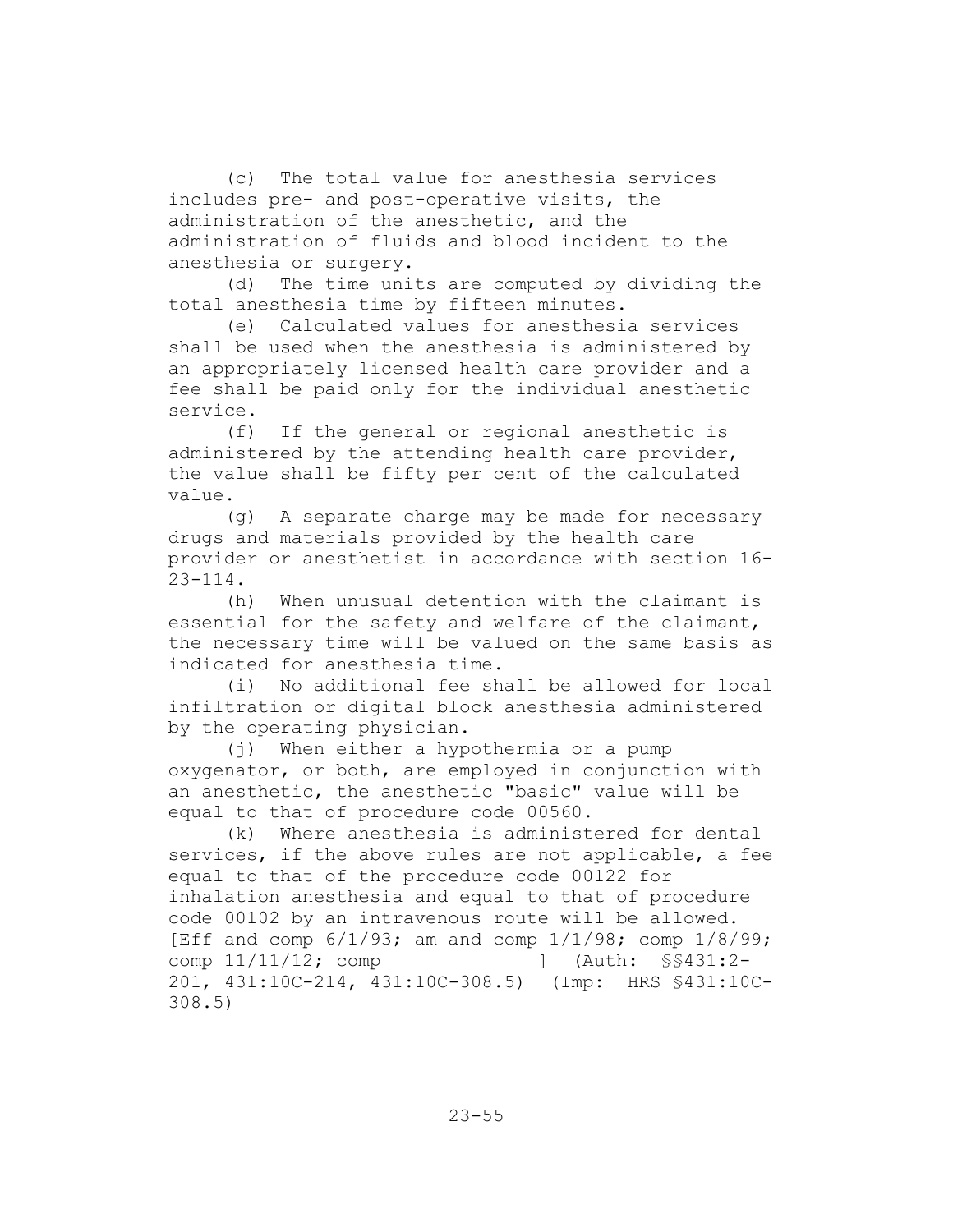(c) The total value for anesthesia services includes pre- and post-operative visits, the administration of the anesthetic, and the administration of fluids and blood incident to the anesthesia or surgery.

(d) The time units are computed by dividing the total anesthesia time by fifteen minutes.

(e) Calculated values for anesthesia services shall be used when the anesthesia is administered by an appropriately licensed health care provider and a fee shall be paid only for the individual anesthetic service.

(f) If the general or regional anesthetic is administered by the attending health care provider, the value shall be fifty per cent of the calculated value.

(g) A separate charge may be made for necessary drugs and materials provided by the health care provider or anesthetist in accordance with section 16-  $23 - 114$ .

(h) When unusual detention with the claimant is essential for the safety and welfare of the claimant, the necessary time will be valued on the same basis as indicated for anesthesia time.

(i) No additional fee shall be allowed for local infiltration or digital block anesthesia administered by the operating physician.

(j) When either a hypothermia or a pump oxygenator, or both, are employed in conjunction with an anesthetic, the anesthetic "basic" value will be equal to that of procedure code 00560.

(k) Where anesthesia is administered for dental services, if the above rules are not applicable, a fee equal to that of the procedure code 00122 for inhalation anesthesia and equal to that of procedure code 00102 by an intravenous route will be allowed. [Eff and comp 6/1/93; am and comp 1/1/98; comp 1/8/99; comp 11/11/12; comp [401] (Auth: \$\$431:2-201, 431:10C-214, 431:10C-308.5) (Imp: HRS §431:10C-308.5)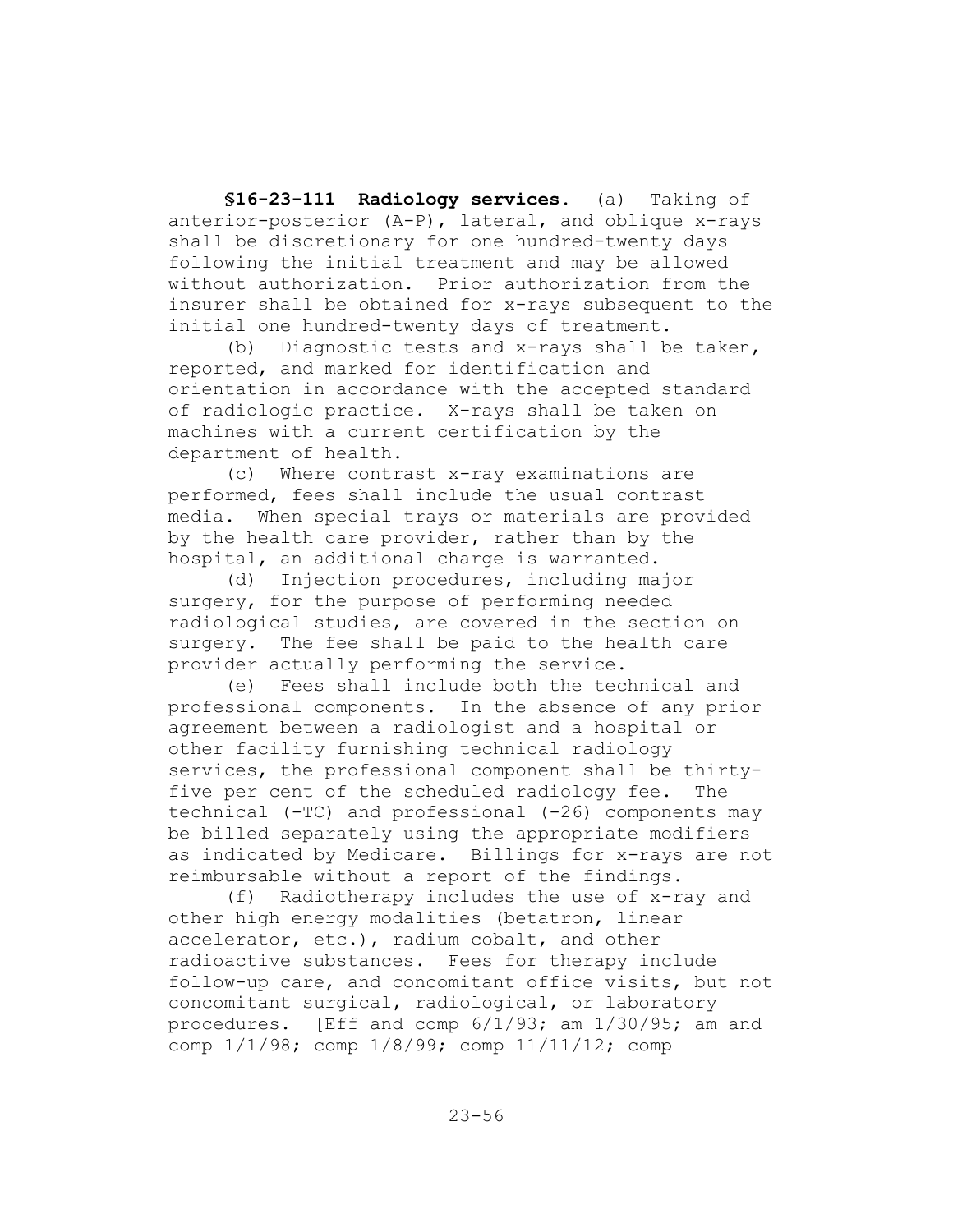**§16-23-111 Radiology services.** (a) Taking of anterior-posterior (A-P), lateral, and oblique x-rays shall be discretionary for one hundred-twenty days following the initial treatment and may be allowed without authorization. Prior authorization from the insurer shall be obtained for x-rays subsequent to the initial one hundred-twenty days of treatment.

(b) Diagnostic tests and x-rays shall be taken, reported, and marked for identification and orientation in accordance with the accepted standard of radiologic practice. X-rays shall be taken on machines with a current certification by the department of health.

(c) Where contrast x-ray examinations are performed, fees shall include the usual contrast media. When special trays or materials are provided by the health care provider, rather than by the hospital, an additional charge is warranted.

(d) Injection procedures, including major surgery, for the purpose of performing needed radiological studies, are covered in the section on surgery. The fee shall be paid to the health care provider actually performing the service.

(e) Fees shall include both the technical and professional components. In the absence of any prior agreement between a radiologist and a hospital or other facility furnishing technical radiology services, the professional component shall be thirtyfive per cent of the scheduled radiology fee. The technical (-TC) and professional (-26) components may be billed separately using the appropriate modifiers as indicated by Medicare. Billings for x-rays are not reimbursable without a report of the findings.

(f) Radiotherapy includes the use of x-ray and other high energy modalities (betatron, linear accelerator, etc.), radium cobalt, and other radioactive substances. Fees for therapy include follow-up care, and concomitant office visits, but not concomitant surgical, radiological, or laboratory procedures. [Eff and comp 6/1/93; am 1/30/95; am and comp 1/1/98; comp 1/8/99; comp 11/11/12; comp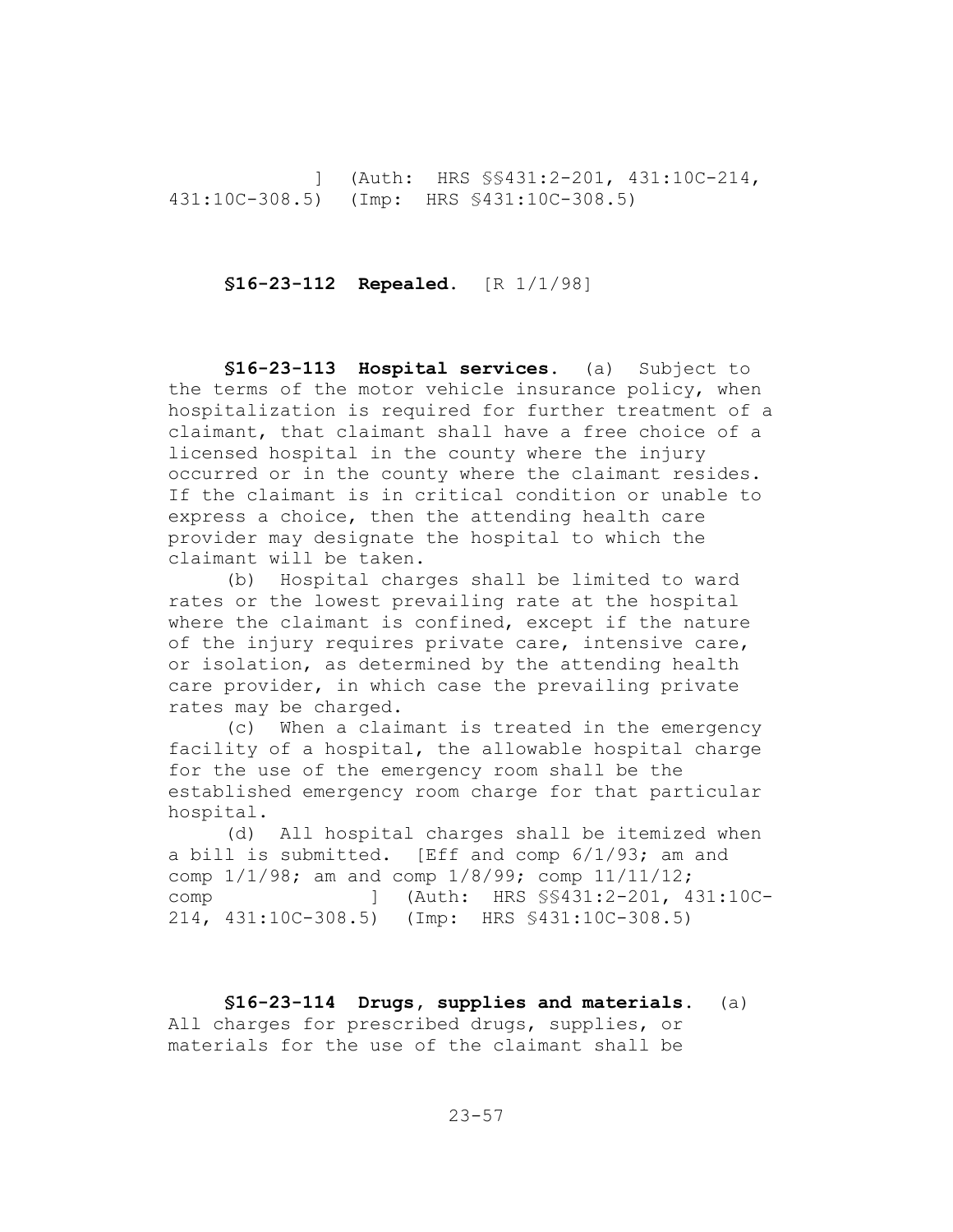] (Auth: HRS §§431:2-201, 431:10C-214, 431:10C-308.5) (Imp: HRS §431:10C-308.5)

#### **§16-23-112 Repealed.** [R 1/1/98]

**§16-23-113 Hospital services.** (a) Subject to the terms of the motor vehicle insurance policy, when hospitalization is required for further treatment of a claimant, that claimant shall have a free choice of a licensed hospital in the county where the injury occurred or in the county where the claimant resides. If the claimant is in critical condition or unable to express a choice, then the attending health care provider may designate the hospital to which the claimant will be taken.

(b) Hospital charges shall be limited to ward rates or the lowest prevailing rate at the hospital where the claimant is confined, except if the nature of the injury requires private care, intensive care, or isolation, as determined by the attending health care provider, in which case the prevailing private rates may be charged.

(c) When a claimant is treated in the emergency facility of a hospital, the allowable hospital charge for the use of the emergency room shall be the established emergency room charge for that particular hospital.

(d) All hospital charges shall be itemized when a bill is submitted. [Eff and comp 6/1/93; am and comp 1/1/98; am and comp 1/8/99; comp 11/11/12; comp ] (Auth: HRS §§431:2-201, 431:10C-214, 431:10C-308.5) (Imp: HRS §431:10C-308.5)

**§16-23-114 Drugs, supplies and materials.** (a) All charges for prescribed drugs, supplies, or materials for the use of the claimant shall be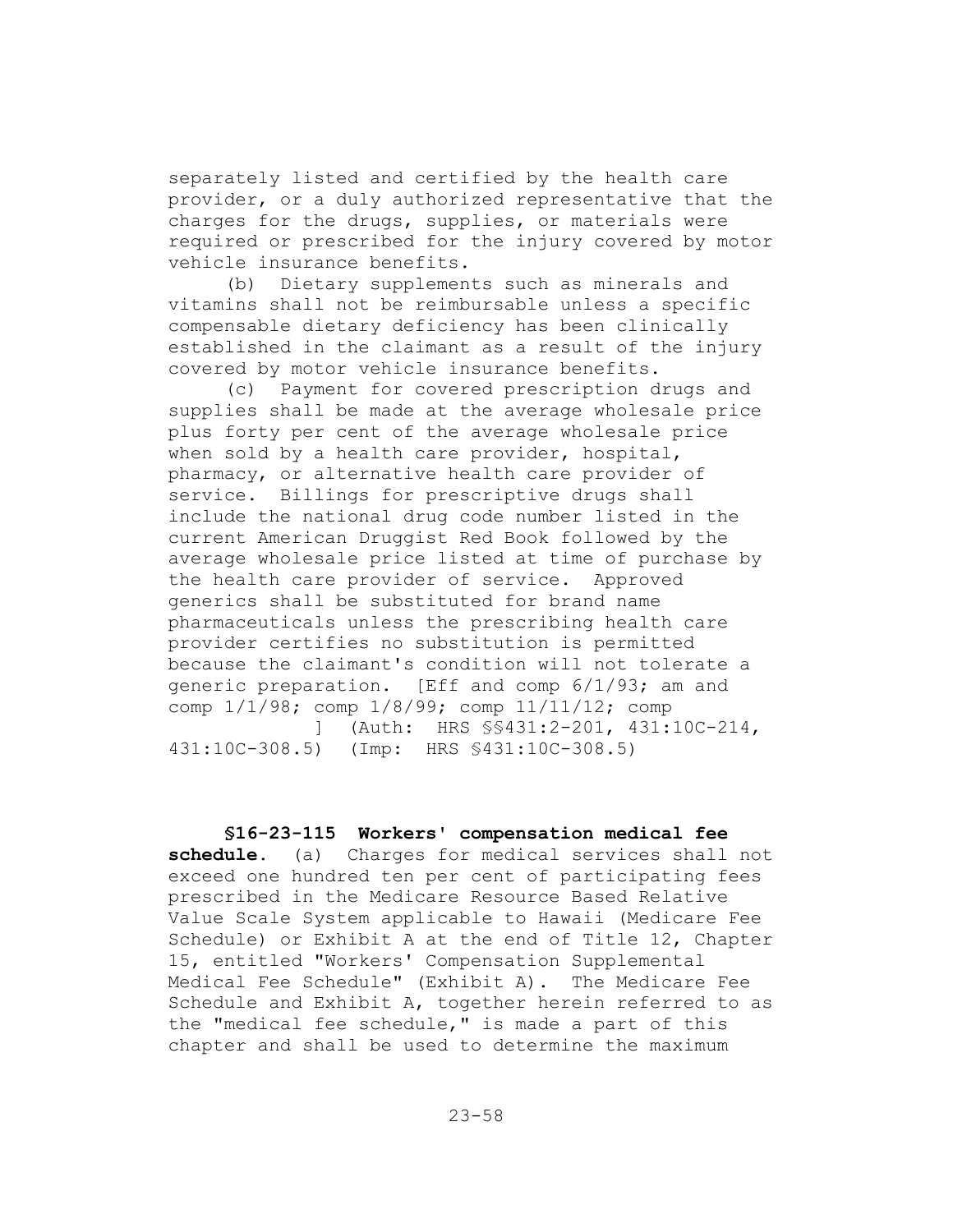separately listed and certified by the health care provider, or a duly authorized representative that the charges for the drugs, supplies, or materials were required or prescribed for the injury covered by motor vehicle insurance benefits.

(b) Dietary supplements such as minerals and vitamins shall not be reimbursable unless a specific compensable dietary deficiency has been clinically established in the claimant as a result of the injury covered by motor vehicle insurance benefits.

(c) Payment for covered prescription drugs and supplies shall be made at the average wholesale price plus forty per cent of the average wholesale price when sold by a health care provider, hospital, pharmacy, or alternative health care provider of service. Billings for prescriptive drugs shall include the national drug code number listed in the current American Druggist Red Book followed by the average wholesale price listed at time of purchase by the health care provider of service. Approved generics shall be substituted for brand name pharmaceuticals unless the prescribing health care provider certifies no substitution is permitted because the claimant's condition will not tolerate a generic preparation. [Eff and comp 6/1/93; am and comp 1/1/98; comp 1/8/99; comp 11/11/12; comp ] (Auth: HRS §§431:2-201, 431:10C-214,

431:10C-308.5) (Imp: HRS §431:10C-308.5)

#### **§16-23-115 Workers' compensation medical fee**

**schedule.** (a) Charges for medical services shall not exceed one hundred ten per cent of participating fees prescribed in the Medicare Resource Based Relative Value Scale System applicable to Hawaii (Medicare Fee Schedule) or Exhibit A at the end of Title 12, Chapter 15, entitled "Workers' Compensation Supplemental Medical Fee Schedule" (Exhibit A). The Medicare Fee Schedule and Exhibit A, together herein referred to as the "medical fee schedule," is made a part of this chapter and shall be used to determine the maximum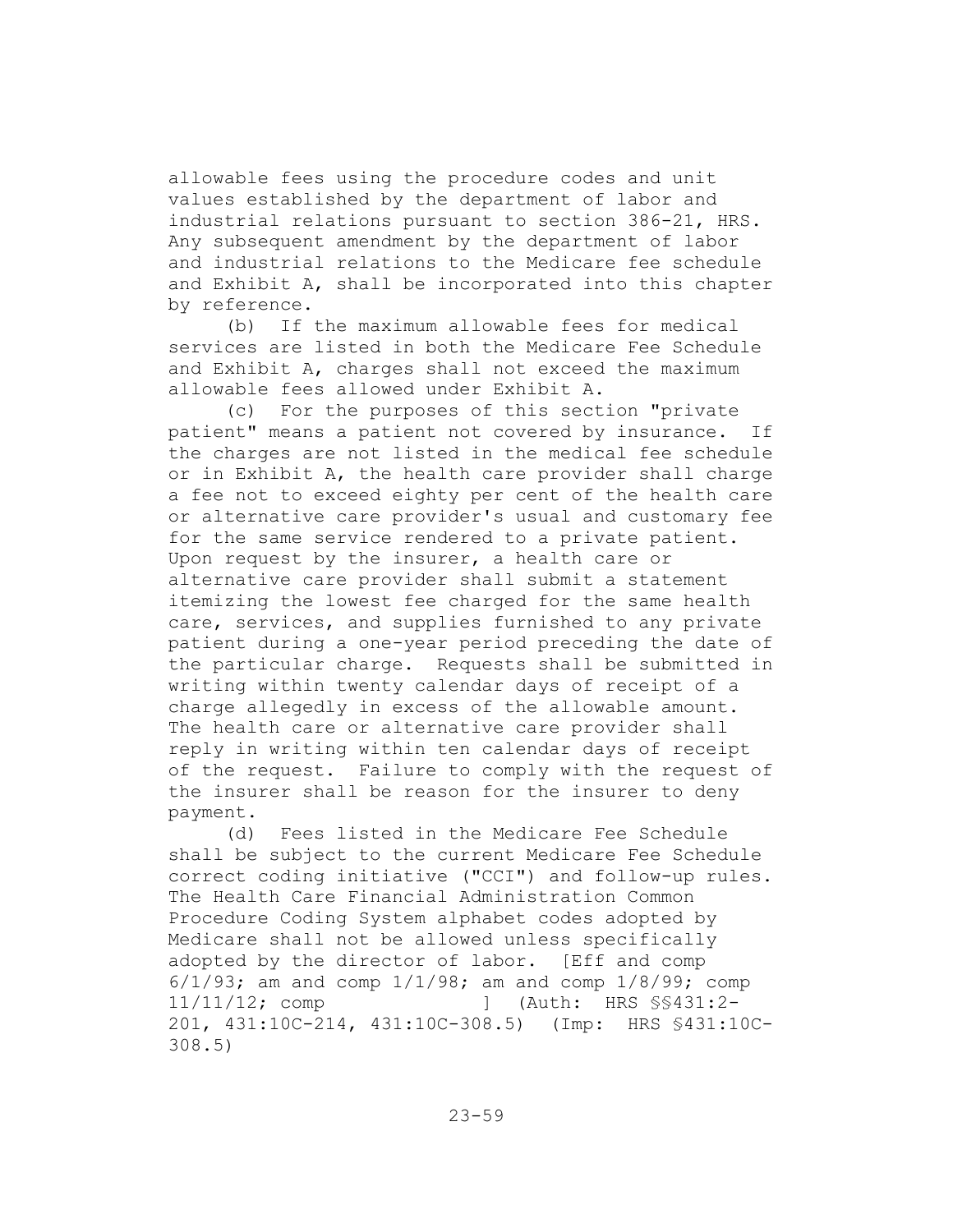allowable fees using the procedure codes and unit values established by the department of labor and industrial relations pursuant to section 386-21, HRS. Any subsequent amendment by the department of labor and industrial relations to the Medicare fee schedule and Exhibit A, shall be incorporated into this chapter by reference.

(b) If the maximum allowable fees for medical services are listed in both the Medicare Fee Schedule and Exhibit A, charges shall not exceed the maximum allowable fees allowed under Exhibit A.

(c) For the purposes of this section "private patient" means a patient not covered by insurance. If the charges are not listed in the medical fee schedule or in Exhibit A, the health care provider shall charge a fee not to exceed eighty per cent of the health care or alternative care provider's usual and customary fee for the same service rendered to a private patient. Upon request by the insurer, a health care or alternative care provider shall submit a statement itemizing the lowest fee charged for the same health care, services, and supplies furnished to any private patient during a one-year period preceding the date of the particular charge. Requests shall be submitted in writing within twenty calendar days of receipt of a charge allegedly in excess of the allowable amount. The health care or alternative care provider shall reply in writing within ten calendar days of receipt of the request. Failure to comply with the request of the insurer shall be reason for the insurer to deny payment.

(d) Fees listed in the Medicare Fee Schedule shall be subject to the current Medicare Fee Schedule correct coding initiative ("CCI") and follow-up rules. The Health Care Financial Administration Common Procedure Coding System alphabet codes adopted by Medicare shall not be allowed unless specifically adopted by the director of labor. [Eff and comp 6/1/93; am and comp 1/1/98; am and comp 1/8/99; comp 11/11/12; comp ] (Auth: HRS §§431:2- 201, 431:10C-214, 431:10C-308.5) (Imp: HRS §431:10C-308.5)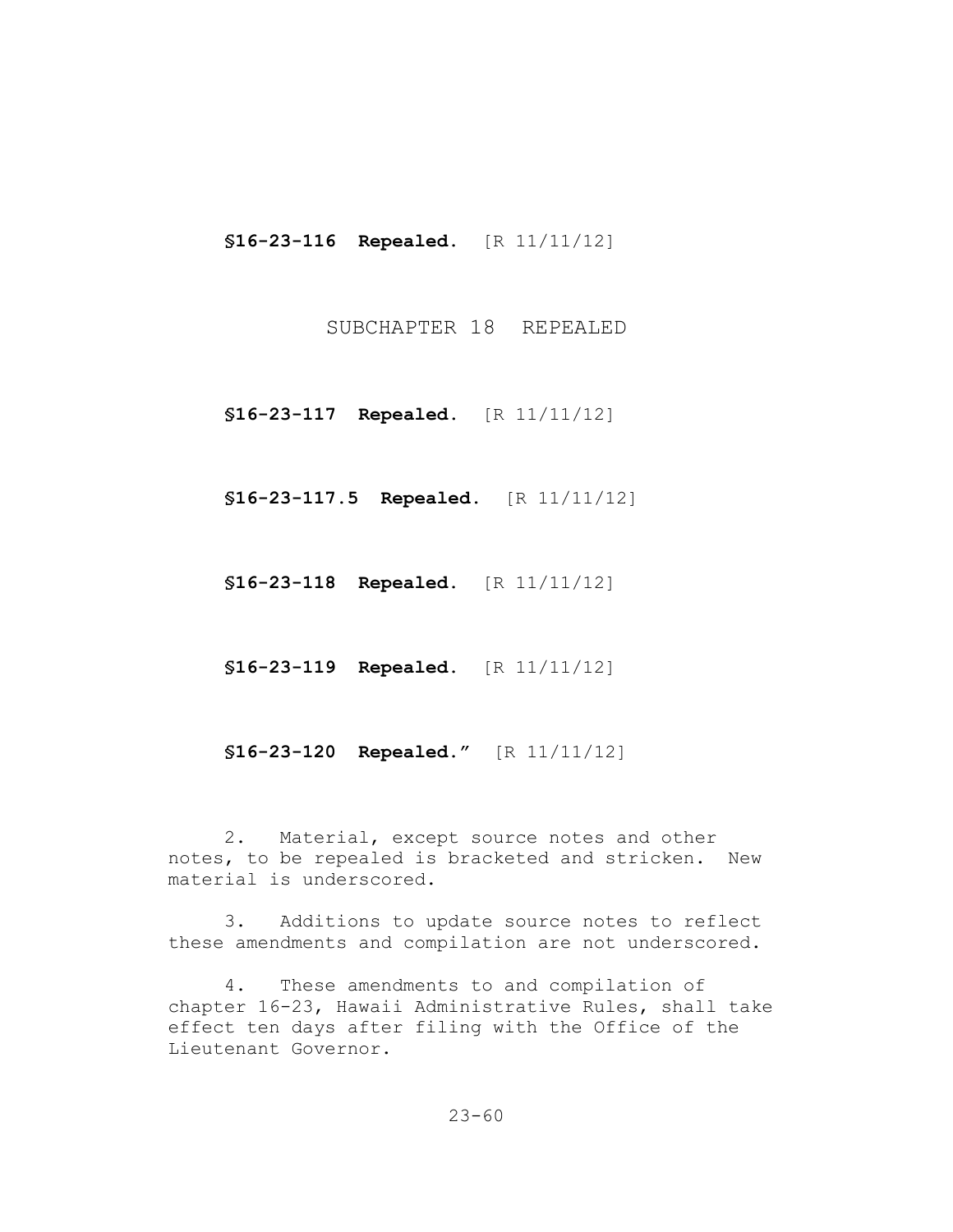**§16-23-116 Repealed.** [R 11/11/12]

SUBCHAPTER 18 REPEALED

**§16-23-117 Repealed.** [R 11/11/12]

**§16-23-117.5 Repealed.** [R 11/11/12]

**§16-23-118 Repealed.** [R 11/11/12]

**§16-23-119 Repealed.** [R 11/11/12]

**§16-23-120 Repealed."** [R 11/11/12]

2. Material, except source notes and other notes, to be repealed is bracketed and stricken. New material is underscored.

3. Additions to update source notes to reflect these amendments and compilation are not underscored.

4. These amendments to and compilation of chapter 16-23, Hawaii Administrative Rules, shall take effect ten days after filing with the Office of the Lieutenant Governor.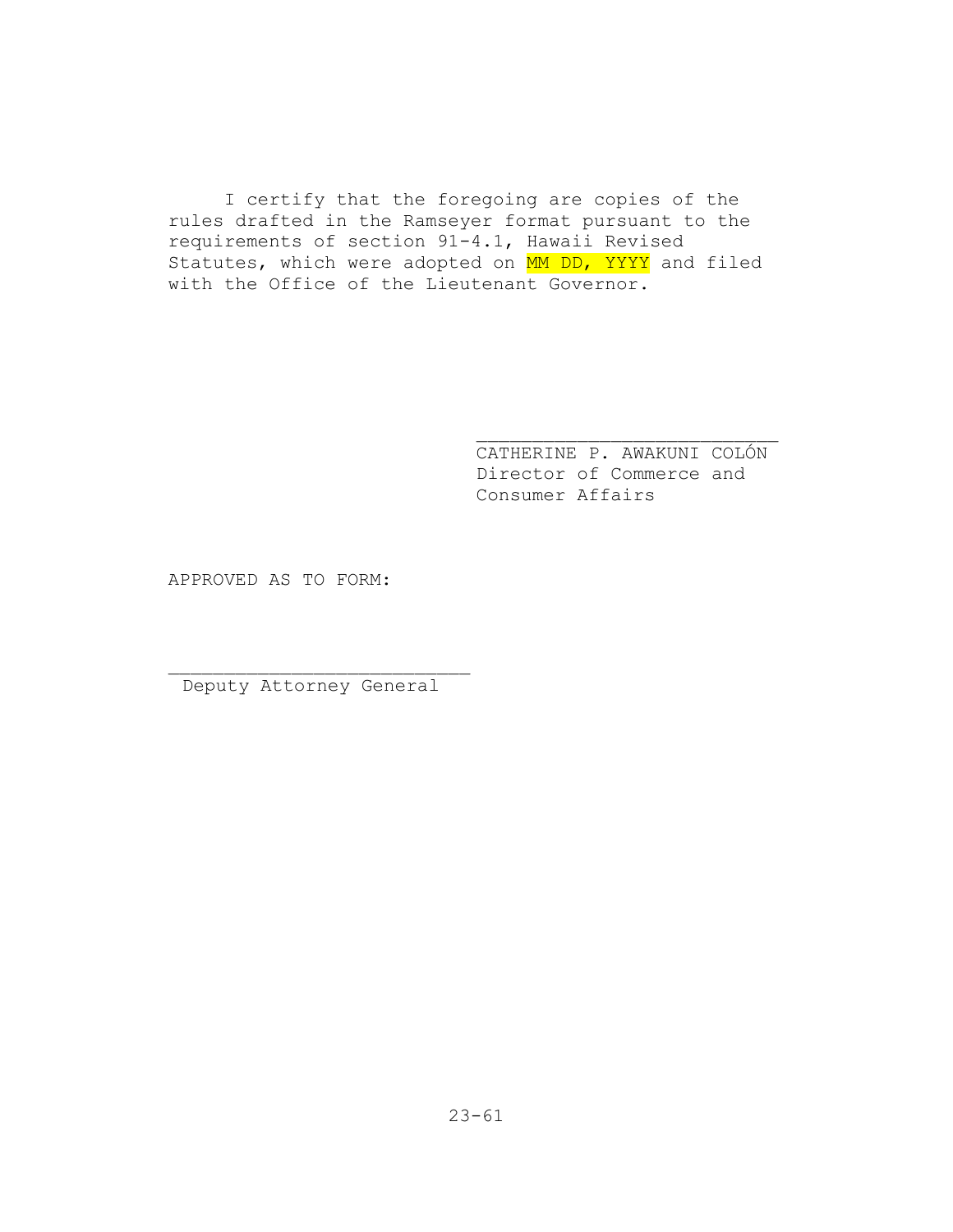I certify that the foregoing are copies of the rules drafted in the Ramseyer format pursuant to the requirements of section 91-4.1, Hawaii Revised Statutes, which were adopted on MM DD, YYYY and filed with the Office of the Lieutenant Governor.

> CATHERINE P. AWAKUNI COLÓN Director of Commerce and Consumer Affairs

APPROVED AS TO FORM:

Deputy Attorney General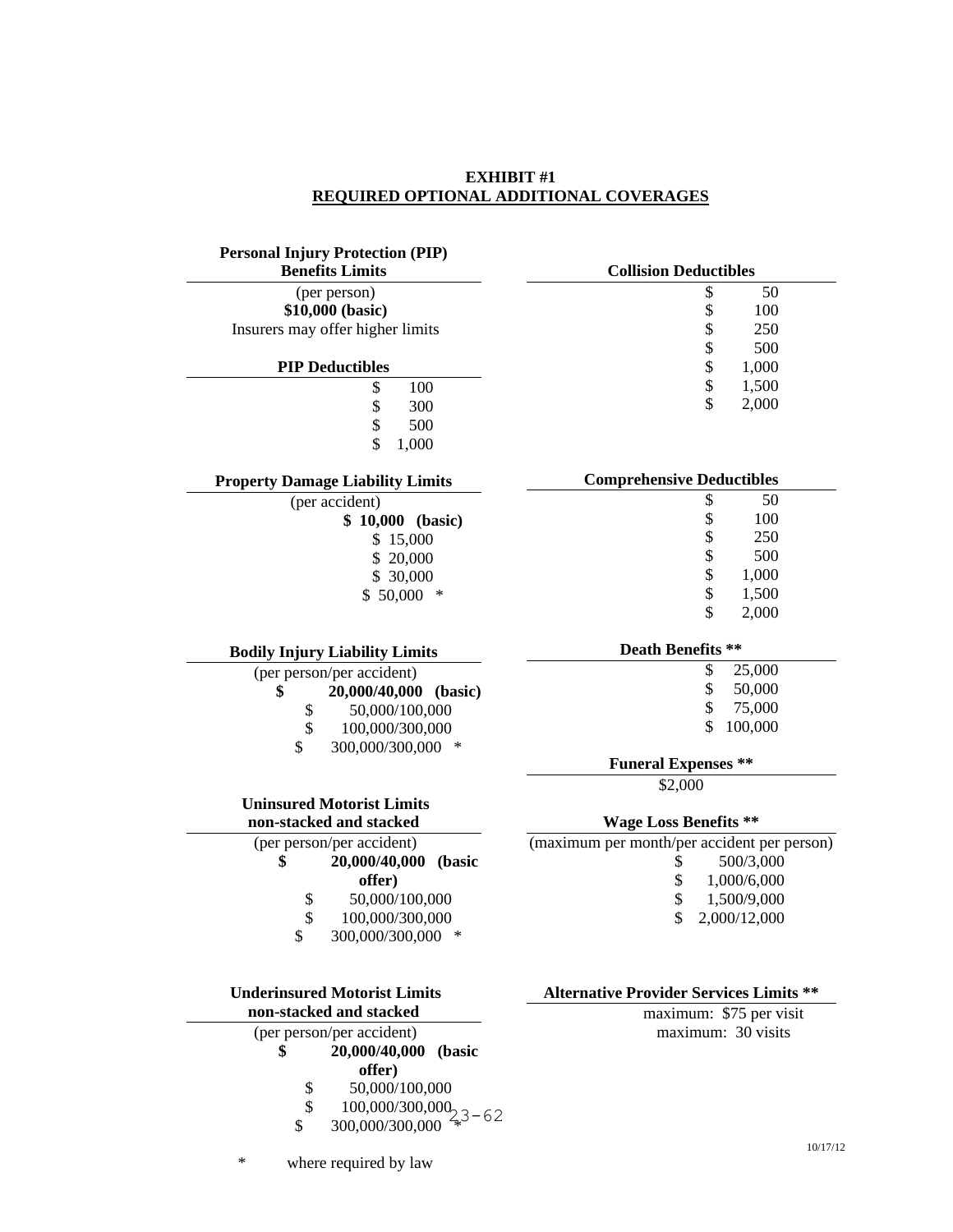# **EXHIBIT #1 REQUIRED OPTIONAL ADDITIONAL COVERAGES**

| <b>Personal Injury Protection (PIP)</b>                        |                                                |
|----------------------------------------------------------------|------------------------------------------------|
| <b>Benefits Limits</b>                                         | <b>Collision Deductibles</b>                   |
| (per person)                                                   | \$<br>50                                       |
| \$10,000 (basic)                                               | \$<br>100                                      |
| Insurers may offer higher limits                               | \$<br>250                                      |
|                                                                | \$<br>500                                      |
| <b>PIP Deductibles</b>                                         | \$<br>1,000                                    |
| 100<br>\$                                                      | \$<br>1,500                                    |
| \$<br>\$<br>300                                                | \$<br>2,000                                    |
| 500                                                            |                                                |
| \$<br>1,000                                                    |                                                |
| <b>Property Damage Liability Limits</b>                        | <b>Comprehensive Deductibles</b>               |
| (per accident)                                                 | \$<br>50                                       |
| \$ 10,000 (basic)                                              | \$<br>100                                      |
| \$15,000                                                       | 250                                            |
| \$20,000                                                       | 500                                            |
| \$ 30,000                                                      | \$\$\$\$<br>1,000                              |
| $$50,000$ *                                                    | 1,500<br>\$                                    |
|                                                                | 2,000                                          |
| <b>Bodily Injury Liability Limits</b>                          | <b>Death Benefits **</b>                       |
| (per person/per accident)                                      | \$<br>25,000                                   |
| \$<br>20,000/40,000 (basic)                                    | \$<br>50,000                                   |
| 50,000/100,000<br>\$                                           | \$<br>75,000                                   |
| \$<br>100,000/300,000                                          | \$<br>100,000                                  |
| \$<br>300,000/300,000<br>∗                                     | <b>Funeral Expenses **</b>                     |
|                                                                | \$2,000                                        |
| <b>Uninsured Motorist Limits</b>                               |                                                |
| non-stacked and stacked                                        | <b>Wage Loss Benefits **</b>                   |
| (per person/per accident)                                      | (maximum per month/per accident per person)    |
| \$<br>20,000/40,000<br>(basic                                  | \$<br>500/3,000                                |
| offer)                                                         | \$<br>1,000/6,000                              |
| 50,000/100,000<br>\$                                           | \$<br>1,500/9,000                              |
| $\frac{1}{2}$<br>100,000/300,000                               | \$<br>2,000/12,000                             |
| \$<br>300,000/300,000 *                                        |                                                |
|                                                                |                                                |
| <b>Underinsured Motorist Limits</b><br>non-stacked and stacked | <b>Alternative Provider Services Limits **</b> |
| (per person/per accident)                                      | maximum: \$75 per visit<br>maximum: 30 visits  |
| 20,000/40,000<br>(basic<br>\$                                  |                                                |
| offer)                                                         |                                                |
| 50,000/100,000<br>\$                                           |                                                |
| $\overline{\mathbf{S}}$<br>$100,000/300,000$<br>$2,3-62$       |                                                |
| 300,000/300,000<br>\$                                          |                                                |